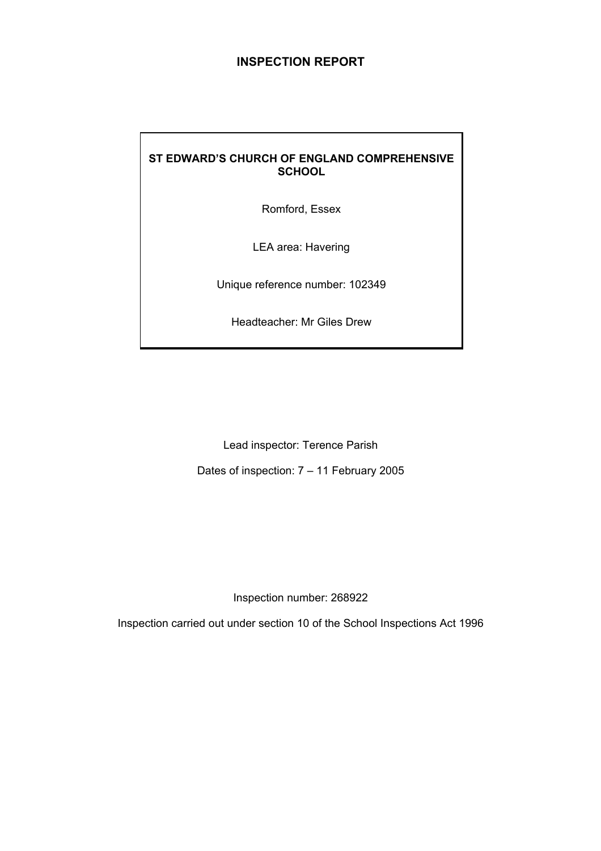# **INSPECTION REPORT**

# **ST EDWARD'S CHURCH OF ENGLAND COMPREHENSIVE SCHOOL**

Romford, Essex

LEA area: Havering

Unique reference number: 102349

Headteacher: Mr Giles Drew

Lead inspector: Terence Parish

Dates of inspection: 7 – 11 February 2005

Inspection number: 268922

Inspection carried out under section 10 of the School Inspections Act 1996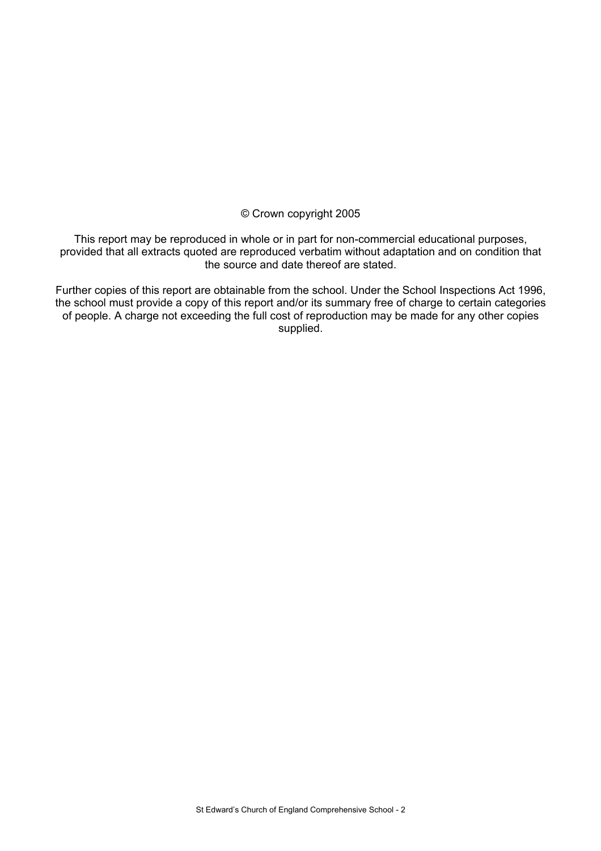#### © Crown copyright 2005

This report may be reproduced in whole or in part for non-commercial educational purposes, provided that all extracts quoted are reproduced verbatim without adaptation and on condition that the source and date thereof are stated.

Further copies of this report are obtainable from the school. Under the School Inspections Act 1996, the school must provide a copy of this report and/or its summary free of charge to certain categories of people. A charge not exceeding the full cost of reproduction may be made for any other copies supplied.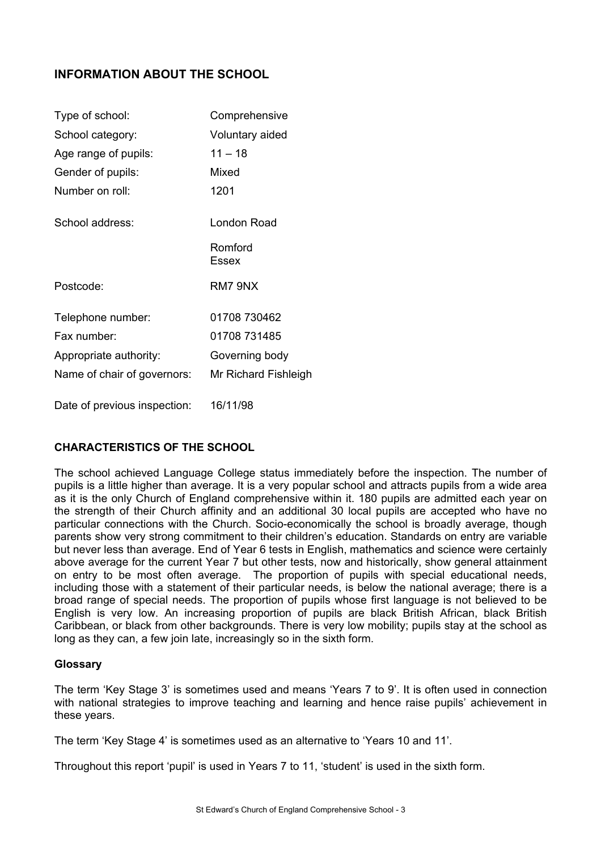# **INFORMATION ABOUT THE SCHOOL**

| Type of school:              | Comprehensive        |
|------------------------------|----------------------|
| School category:             | Voluntary aided      |
| Age range of pupils:         | $11 - 18$            |
| Gender of pupils:            | Mixed                |
| Number on roll:              | 1201                 |
| School address:              | London Road          |
|                              | Romford<br>Essex     |
| Postcode:                    | RM7 9NX              |
| Telephone number:            | 01708 730462         |
| Fax number:                  | 01708 731485         |
| Appropriate authority:       | Governing body       |
| Name of chair of governors:  | Mr Richard Fishleigh |
| Date of previous inspection: | 16/11/98             |

# **CHARACTERISTICS OF THE SCHOOL**

The school achieved Language College status immediately before the inspection. The number of pupils is a little higher than average. It is a very popular school and attracts pupils from a wide area as it is the only Church of England comprehensive within it. 180 pupils are admitted each year on the strength of their Church affinity and an additional 30 local pupils are accepted who have no particular connections with the Church. Socio-economically the school is broadly average, though parents show very strong commitment to their children's education. Standards on entry are variable but never less than average. End of Year 6 tests in English, mathematics and science were certainly above average for the current Year 7 but other tests, now and historically, show general attainment on entry to be most often average. The proportion of pupils with special educational needs, including those with a statement of their particular needs, is below the national average; there is a broad range of special needs. The proportion of pupils whose first language is not believed to be English is very low. An increasing proportion of pupils are black British African, black British Caribbean, or black from other backgrounds. There is very low mobility; pupils stay at the school as long as they can, a few join late, increasingly so in the sixth form.

#### **Glossary**

The term 'Key Stage 3' is sometimes used and means 'Years 7 to 9'. It is often used in connection with national strategies to improve teaching and learning and hence raise pupils' achievement in these years.

The term 'Key Stage 4' is sometimes used as an alternative to 'Years 10 and 11'.

Throughout this report 'pupil' is used in Years 7 to 11, 'student' is used in the sixth form.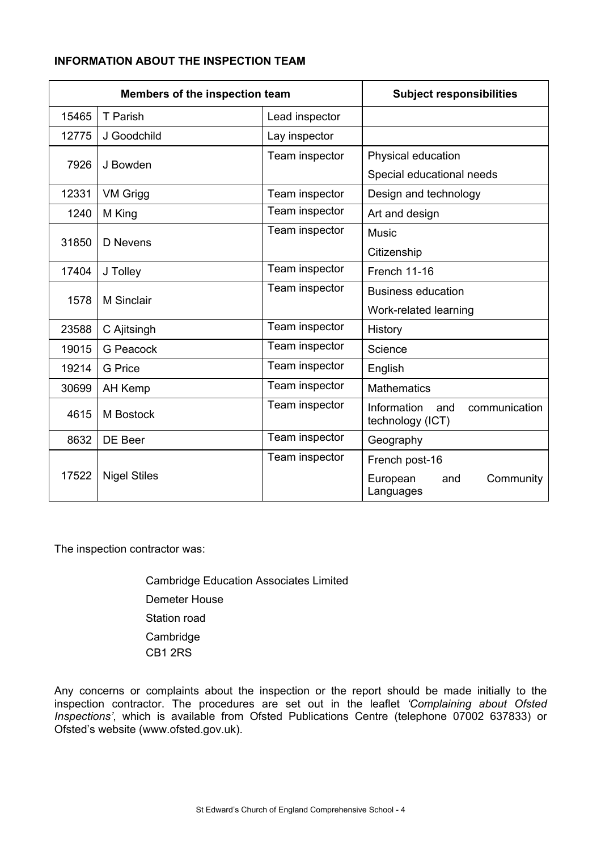# **INFORMATION ABOUT THE INSPECTION TEAM**

| Members of the inspection team |                     | <b>Subject responsibilities</b> |                                                             |  |  |
|--------------------------------|---------------------|---------------------------------|-------------------------------------------------------------|--|--|
| 15465                          | T Parish            | Lead inspector                  |                                                             |  |  |
| 12775                          | J Goodchild         | Lay inspector                   |                                                             |  |  |
| 7926                           | J Bowden            | Team inspector                  | Physical education                                          |  |  |
|                                |                     |                                 | Special educational needs                                   |  |  |
| 12331                          | VM Grigg            | Team inspector                  | Design and technology                                       |  |  |
| 1240                           | M King              | Team inspector                  | Art and design                                              |  |  |
| 31850                          | D Nevens            | Team inspector                  | <b>Music</b>                                                |  |  |
|                                |                     |                                 | Citizenship                                                 |  |  |
| 17404                          | J Tolley            | Team inspector                  | French 11-16                                                |  |  |
|                                |                     | Team inspector                  | <b>Business education</b>                                   |  |  |
| 1578                           | <b>M</b> Sinclair   |                                 | Work-related learning                                       |  |  |
| 23588                          | C Ajitsingh         | Team inspector                  | History                                                     |  |  |
| 19015                          | <b>G</b> Peacock    | Team inspector                  | Science                                                     |  |  |
| 19214                          | <b>G</b> Price      | Team inspector                  | English                                                     |  |  |
| 30699                          | <b>AH Kemp</b>      | Team inspector                  | <b>Mathematics</b>                                          |  |  |
| 4615                           | M Bostock           | Team inspector                  | Information<br>communication<br>and<br>technology (ICT)     |  |  |
| 8632                           | DE Beer             | Team inspector                  | Geography                                                   |  |  |
| 17522                          | <b>Nigel Stiles</b> | Team inspector                  | French post-16<br>European<br>Community<br>and<br>Languages |  |  |

The inspection contractor was:

 Cambridge Education Associates Limited Demeter House Station road Cambridge CB1 2RS

Any concerns or complaints about the inspection or the report should be made initially to the inspection contractor. The procedures are set out in the leaflet *'Complaining about Ofsted Inspections'*, which is available from Ofsted Publications Centre (telephone 07002 637833) or Ofsted's website (www.ofsted.gov.uk).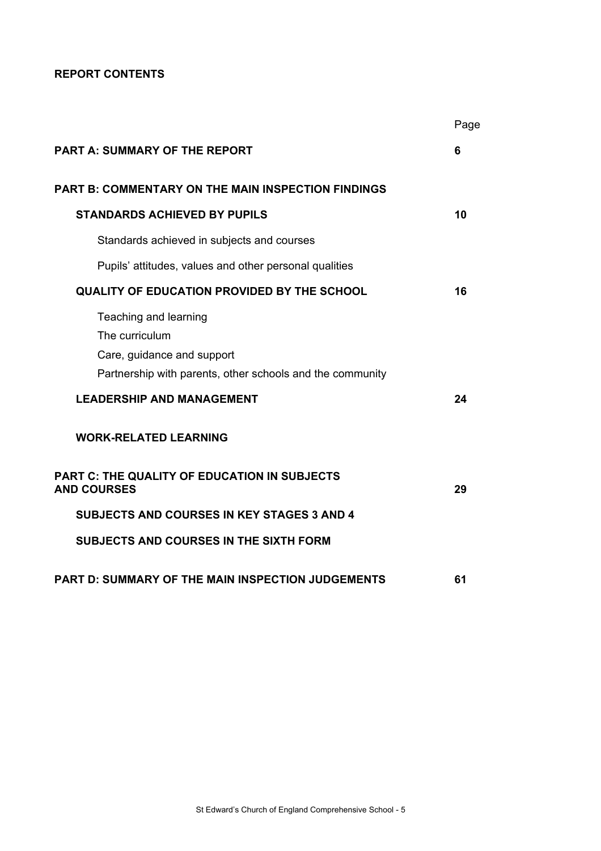**REPORT CONTENTS** 

|                                                                                                                                    | Page |
|------------------------------------------------------------------------------------------------------------------------------------|------|
| <b>PART A: SUMMARY OF THE REPORT</b>                                                                                               | 6    |
| <b>PART B: COMMENTARY ON THE MAIN INSPECTION FINDINGS</b>                                                                          |      |
| <b>STANDARDS ACHIEVED BY PUPILS</b>                                                                                                | 10   |
| Standards achieved in subjects and courses                                                                                         |      |
| Pupils' attitudes, values and other personal qualities                                                                             |      |
| <b>QUALITY OF EDUCATION PROVIDED BY THE SCHOOL</b>                                                                                 | 16   |
| Teaching and learning<br>The curriculum<br>Care, guidance and support<br>Partnership with parents, other schools and the community |      |
| <b>LEADERSHIP AND MANAGEMENT</b>                                                                                                   | 24   |
| <b>WORK-RELATED LEARNING</b>                                                                                                       |      |
| <b>PART C: THE QUALITY OF EDUCATION IN SUBJECTS</b><br><b>AND COURSES</b>                                                          | 29   |
| <b>SUBJECTS AND COURSES IN KEY STAGES 3 AND 4</b>                                                                                  |      |
| <b>SUBJECTS AND COURSES IN THE SIXTH FORM</b>                                                                                      |      |
| <b>PART D: SUMMARY OF THE MAIN INSPECTION JUDGEMENTS</b>                                                                           | 61   |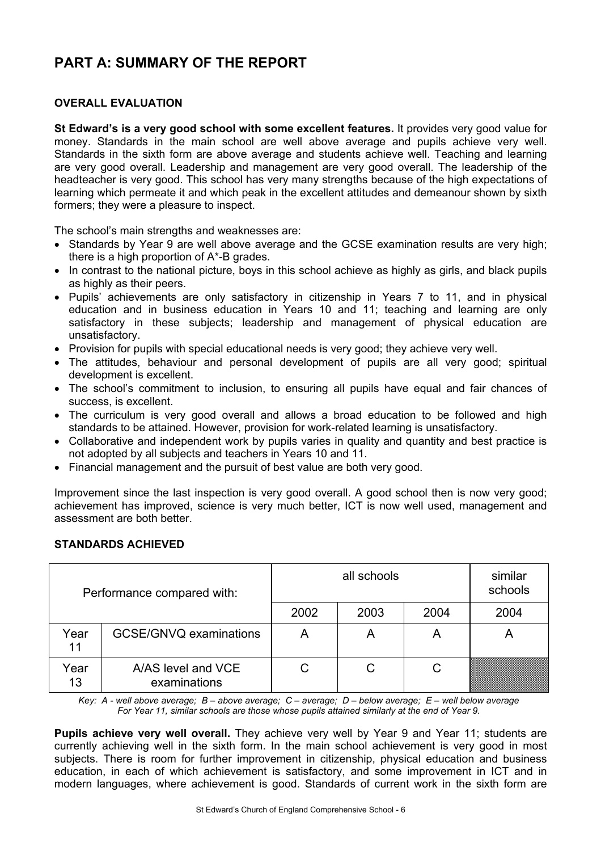# **PART A: SUMMARY OF THE REPORT**

# **OVERALL EVALUATION**

**St Edward's is a very good school with some excellent features.** It provides very good value for money. Standards in the main school are well above average and pupils achieve very well. Standards in the sixth form are above average and students achieve well. Teaching and learning are very good overall. Leadership and management are very good overall. The leadership of the headteacher is very good. This school has very many strengths because of the high expectations of learning which permeate it and which peak in the excellent attitudes and demeanour shown by sixth formers; they were a pleasure to inspect.

The school's main strengths and weaknesses are:

- Standards by Year 9 are well above average and the GCSE examination results are very high: there is a high proportion of A\*-B grades.
- In contrast to the national picture, boys in this school achieve as highly as girls, and black pupils as highly as their peers.
- Pupils' achievements are only satisfactory in citizenship in Years 7 to 11, and in physical education and in business education in Years 10 and 11; teaching and learning are only satisfactory in these subjects; leadership and management of physical education are unsatisfactory.
- Provision for pupils with special educational needs is very good; they achieve very well.
- The attitudes, behaviour and personal development of pupils are all very good; spiritual development is excellent.
- The school's commitment to inclusion, to ensuring all pupils have equal and fair chances of success, is excellent.
- The curriculum is very good overall and allows a broad education to be followed and high standards to be attained. However, provision for work-related learning is unsatisfactory.
- Collaborative and independent work by pupils varies in quality and quantity and best practice is not adopted by all subjects and teachers in Years 10 and 11.
- Financial management and the pursuit of best value are both very good.

Improvement since the last inspection is very good overall. A good school then is now very good; achievement has improved, science is very much better, ICT is now well used, management and assessment are both better.

# **STANDARDS ACHIEVED**

| Performance compared with: |                                    |      | similar<br>schools |      |      |
|----------------------------|------------------------------------|------|--------------------|------|------|
|                            |                                    | 2002 | 2003               | 2004 | 2004 |
| Year<br>11                 | <b>GCSE/GNVQ examinations</b>      | А    | A                  | A    | А    |
| Year<br>13                 | A/AS level and VCE<br>examinations |      |                    | С    |      |

*Key: A - well above average; B – above average; C – average; D – below average; E – well below average For Year 11, similar schools are those whose pupils attained similarly at the end of Year 9.* 

**Pupils achieve very well overall.** They achieve very well by Year 9 and Year 11; students are currently achieving well in the sixth form. In the main school achievement is very good in most subjects. There is room for further improvement in citizenship, physical education and business education, in each of which achievement is satisfactory, and some improvement in ICT and in modern languages, where achievement is good. Standards of current work in the sixth form are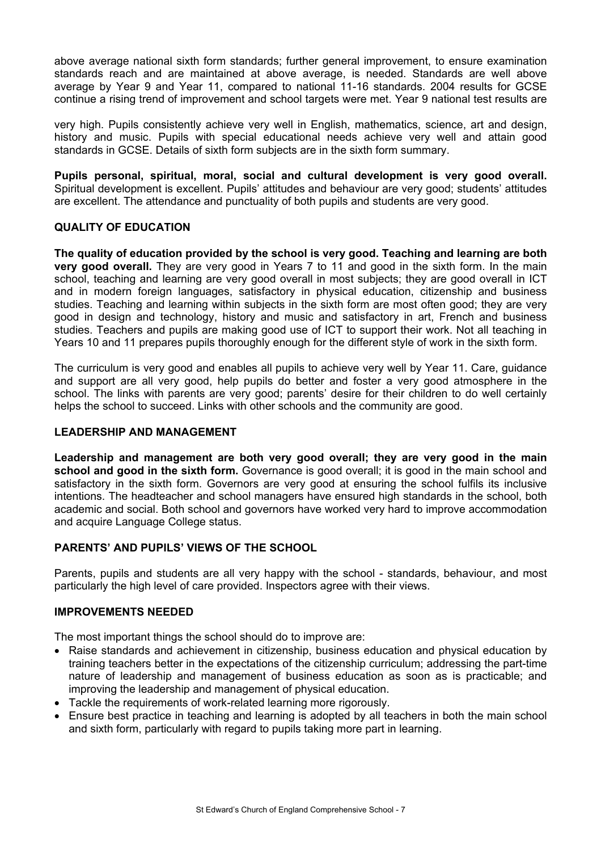above average national sixth form standards; further general improvement, to ensure examination standards reach and are maintained at above average, is needed. Standards are well above average by Year 9 and Year 11, compared to national 11-16 standards. 2004 results for GCSE continue a rising trend of improvement and school targets were met. Year 9 national test results are

very high. Pupils consistently achieve very well in English, mathematics, science, art and design, history and music. Pupils with special educational needs achieve very well and attain good standards in GCSE. Details of sixth form subjects are in the sixth form summary.

**Pupils personal, spiritual, moral, social and cultural development is very good overall.** Spiritual development is excellent. Pupils' attitudes and behaviour are very good; students' attitudes are excellent. The attendance and punctuality of both pupils and students are very good.

# **QUALITY OF EDUCATION**

**The quality of education provided by the school is very good. Teaching and learning are both very good overall.** They are very good in Years 7 to 11 and good in the sixth form. In the main school, teaching and learning are very good overall in most subjects; they are good overall in ICT and in modern foreign languages, satisfactory in physical education, citizenship and business studies. Teaching and learning within subjects in the sixth form are most often good; they are very good in design and technology, history and music and satisfactory in art, French and business studies. Teachers and pupils are making good use of ICT to support their work. Not all teaching in Years 10 and 11 prepares pupils thoroughly enough for the different style of work in the sixth form.

The curriculum is very good and enables all pupils to achieve very well by Year 11. Care, guidance and support are all very good, help pupils do better and foster a very good atmosphere in the school. The links with parents are very good; parents' desire for their children to do well certainly helps the school to succeed. Links with other schools and the community are good.

## **LEADERSHIP AND MANAGEMENT**

**Leadership and management are both very good overall; they are very good in the main school and good in the sixth form.** Governance is good overall; it is good in the main school and satisfactory in the sixth form. Governors are very good at ensuring the school fulfils its inclusive intentions. The headteacher and school managers have ensured high standards in the school, both academic and social. Both school and governors have worked very hard to improve accommodation and acquire Language College status.

# **PARENTS' AND PUPILS' VIEWS OF THE SCHOOL**

Parents, pupils and students are all very happy with the school - standards, behaviour, and most particularly the high level of care provided. Inspectors agree with their views.

# **IMPROVEMENTS NEEDED**

The most important things the school should do to improve are:

- Raise standards and achievement in citizenship, business education and physical education by training teachers better in the expectations of the citizenship curriculum; addressing the part-time nature of leadership and management of business education as soon as is practicable; and improving the leadership and management of physical education.
- Tackle the requirements of work-related learning more rigorously.
- Ensure best practice in teaching and learning is adopted by all teachers in both the main school and sixth form, particularly with regard to pupils taking more part in learning.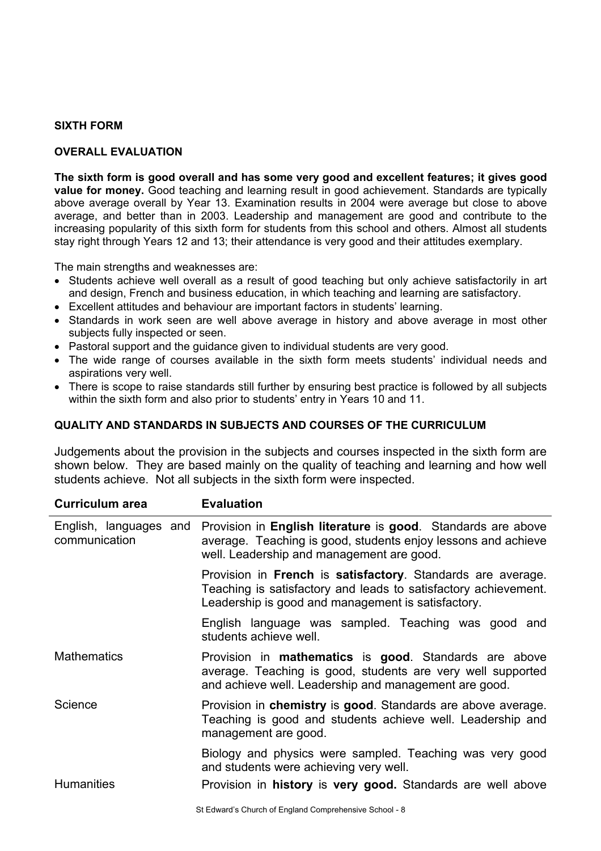#### **SIXTH FORM**

## **OVERALL EVALUATION**

**The sixth form is good overall and has some very good and excellent features; it gives good value for money.** Good teaching and learning result in good achievement. Standards are typically above average overall by Year 13. Examination results in 2004 were average but close to above average, and better than in 2003. Leadership and management are good and contribute to the increasing popularity of this sixth form for students from this school and others. Almost all students stay right through Years 12 and 13; their attendance is very good and their attitudes exemplary.

The main strengths and weaknesses are:

- Students achieve well overall as a result of good teaching but only achieve satisfactorily in art and design, French and business education, in which teaching and learning are satisfactory.
- Excellent attitudes and behaviour are important factors in students' learning.
- Standards in work seen are well above average in history and above average in most other subjects fully inspected or seen.
- Pastoral support and the guidance given to individual students are very good.
- The wide range of courses available in the sixth form meets students' individual needs and aspirations very well.
- There is scope to raise standards still further by ensuring best practice is followed by all subjects within the sixth form and also prior to students' entry in Years 10 and 11.

## **QUALITY AND STANDARDS IN SUBJECTS AND COURSES OF THE CURRICULUM**

Judgements about the provision in the subjects and courses inspected in the sixth form are shown below. They are based mainly on the quality of teaching and learning and how well students achieve. Not all subjects in the sixth form were inspected.

| <b>Curriculum area</b> | <b>Evaluation</b>                                                                                                                                                                                 |
|------------------------|---------------------------------------------------------------------------------------------------------------------------------------------------------------------------------------------------|
| communication          | English, languages and Provision in English literature is good. Standards are above<br>average. Teaching is good, students enjoy lessons and achieve<br>well. Leadership and management are good. |
|                        | Provision in French is satisfactory. Standards are average.<br>Teaching is satisfactory and leads to satisfactory achievement.<br>Leadership is good and management is satisfactory.              |
|                        | English language was sampled. Teaching was good and<br>students achieve well.                                                                                                                     |
| <b>Mathematics</b>     | Provision in <b>mathematics</b> is <b>good</b> . Standards are above<br>average. Teaching is good, students are very well supported<br>and achieve well. Leadership and management are good.      |
| Science                | Provision in chemistry is good. Standards are above average.<br>Teaching is good and students achieve well. Leadership and<br>management are good.                                                |
|                        | Biology and physics were sampled. Teaching was very good<br>and students were achieving very well.                                                                                                |
| <b>Humanities</b>      | Provision in history is very good. Standards are well above                                                                                                                                       |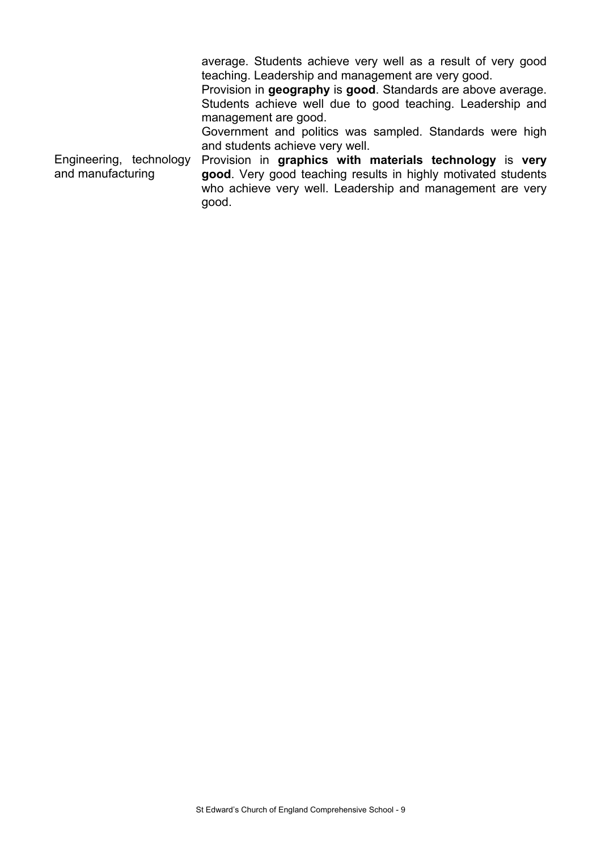average. Students achieve very well as a result of very good teaching. Leadership and management are very good. Provision in **geography** is **good**. Standards are above average. Students achieve well due to good teaching. Leadership and management are good. Government and politics was sampled. Standards were high and students achieve very well. Engineering, technology and manufacturing Provision in **graphics with materials technology** is **very good**. Very good teaching results in highly motivated students who achieve very well. Leadership and management are very good.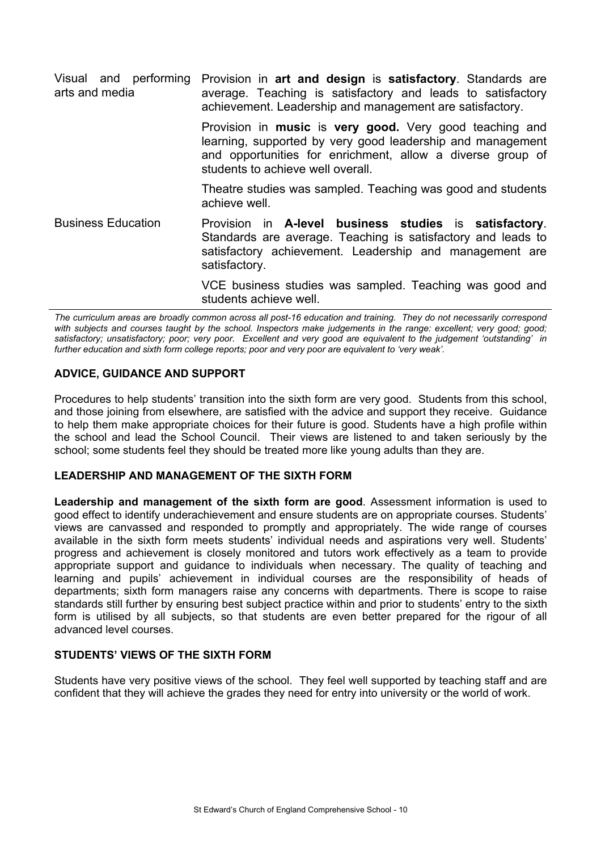| Visual and performing<br>arts and media | Provision in art and design is satisfactory. Standards are<br>average. Teaching is satisfactory and leads to satisfactory<br>achievement. Leadership and management are satisfactory.                                    |
|-----------------------------------------|--------------------------------------------------------------------------------------------------------------------------------------------------------------------------------------------------------------------------|
|                                         | Provision in music is very good. Very good teaching and<br>learning, supported by very good leadership and management<br>and opportunities for enrichment, allow a diverse group of<br>students to achieve well overall. |
|                                         | Theatre studies was sampled. Teaching was good and students<br>achieve well.                                                                                                                                             |
| <b>Business Education</b>               | Provision in A-level business studies is satisfactory.<br>Standards are average. Teaching is satisfactory and leads to<br>satisfactory achievement. Leadership and management are<br>satisfactory.                       |
|                                         | VCE business studies was sampled. Teaching was good and<br>students achieve well.                                                                                                                                        |

*The curriculum areas are broadly common across all post-16 education and training. They do not necessarily correspond*  with subjects and courses taught by the school. Inspectors make judgements in the range: excellent; very good; good; *satisfactory; unsatisfactory; poor; very poor. Excellent and very good are equivalent to the judgement 'outstanding' in further education and sixth form college reports; poor and very poor are equivalent to 'very weak'.*

# **ADVICE, GUIDANCE AND SUPPORT**

Procedures to help students' transition into the sixth form are very good. Students from this school, and those joining from elsewhere, are satisfied with the advice and support they receive. Guidance to help them make appropriate choices for their future is good. Students have a high profile within the school and lead the School Council. Their views are listened to and taken seriously by the school; some students feel they should be treated more like young adults than they are.

# **LEADERSHIP AND MANAGEMENT OF THE SIXTH FORM**

**Leadership and management of the sixth form are good**. Assessment information is used to good effect to identify underachievement and ensure students are on appropriate courses. Students' views are canvassed and responded to promptly and appropriately. The wide range of courses available in the sixth form meets students' individual needs and aspirations very well. Students' progress and achievement is closely monitored and tutors work effectively as a team to provide appropriate support and guidance to individuals when necessary. The quality of teaching and learning and pupils' achievement in individual courses are the responsibility of heads of departments; sixth form managers raise any concerns with departments. There is scope to raise standards still further by ensuring best subject practice within and prior to students' entry to the sixth form is utilised by all subjects, so that students are even better prepared for the rigour of all advanced level courses.

# **STUDENTS' VIEWS OF THE SIXTH FORM**

Students have very positive views of the school. They feel well supported by teaching staff and are confident that they will achieve the grades they need for entry into university or the world of work.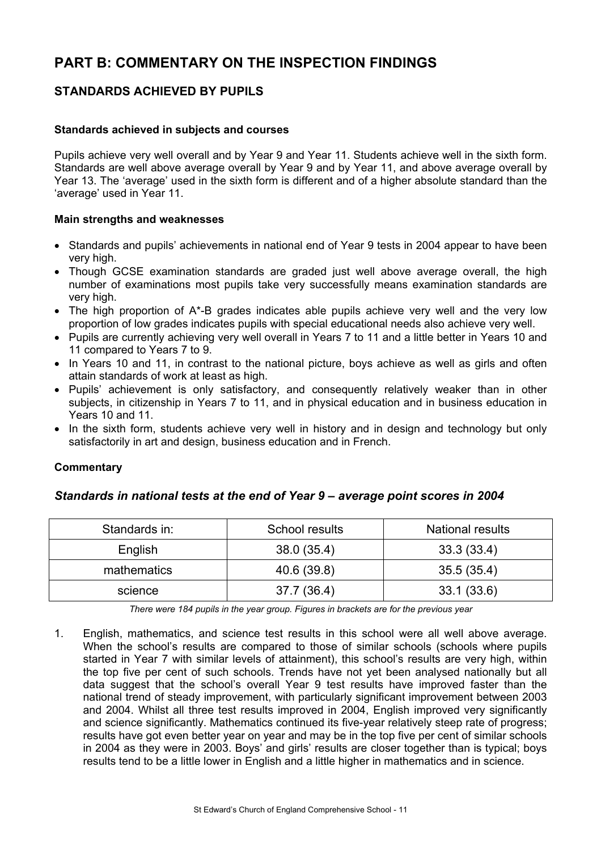# **PART B: COMMENTARY ON THE INSPECTION FINDINGS**

# **STANDARDS ACHIEVED BY PUPILS**

#### **Standards achieved in subjects and courses**

Pupils achieve very well overall and by Year 9 and Year 11. Students achieve well in the sixth form. Standards are well above average overall by Year 9 and by Year 11, and above average overall by Year 13. The 'average' used in the sixth form is different and of a higher absolute standard than the 'average' used in Year 11.

#### **Main strengths and weaknesses**

- Standards and pupils' achievements in national end of Year 9 tests in 2004 appear to have been very high.
- Though GCSE examination standards are graded just well above average overall, the high number of examinations most pupils take very successfully means examination standards are very high.
- The high proportion of A\*-B grades indicates able pupils achieve very well and the very low proportion of low grades indicates pupils with special educational needs also achieve very well.
- Pupils are currently achieving very well overall in Years 7 to 11 and a little better in Years 10 and 11 compared to Years 7 to 9.
- In Years 10 and 11, in contrast to the national picture, boys achieve as well as girls and often attain standards of work at least as high.
- Pupils' achievement is only satisfactory, and consequently relatively weaker than in other subjects, in citizenship in Years 7 to 11, and in physical education and in business education in Years 10 and 11.
- In the sixth form, students achieve very well in history and in design and technology but only satisfactorily in art and design, business education and in French.

# **Commentary**

# *Standards in national tests at the end of Year 9 – average point scores in 2004*

| Standards in: | School results | <b>National results</b> |
|---------------|----------------|-------------------------|
| English       | 38.0(35.4)     | 33.3(33.4)              |
| mathematics   | 40.6 (39.8)    | 35.5 (35.4)             |
| science       | 37.7 (36.4)    | 33.1(33.6)              |

*There were 184 pupils in the year group. Figures in brackets are for the previous year* 

1. English, mathematics, and science test results in this school were all well above average. When the school's results are compared to those of similar schools (schools where pupils started in Year 7 with similar levels of attainment), this school's results are very high, within the top five per cent of such schools. Trends have not yet been analysed nationally but all data suggest that the school's overall Year 9 test results have improved faster than the national trend of steady improvement, with particularly significant improvement between 2003 and 2004. Whilst all three test results improved in 2004, English improved very significantly and science significantly. Mathematics continued its five-year relatively steep rate of progress; results have got even better year on year and may be in the top five per cent of similar schools in 2004 as they were in 2003. Boys' and girls' results are closer together than is typical; boys results tend to be a little lower in English and a little higher in mathematics and in science.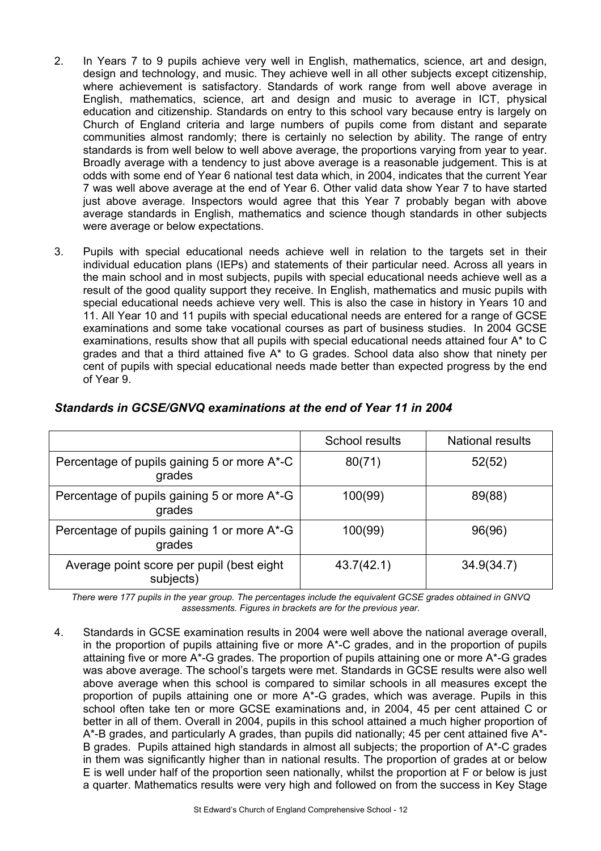- 2. In Years 7 to 9 pupils achieve very well in English, mathematics, science, art and design, design and technology, and music. They achieve well in all other subjects except citizenship, where achievement is satisfactory. Standards of work range from well above average in English, mathematics, science, art and design and music to average in ICT, physical education and citizenship. Standards on entry to this school vary because entry is largely on Church of England criteria and large numbers of pupils come from distant and separate communities almost randomly; there is certainly no selection by ability. The range of entry standards is from well below to well above average, the proportions varying from year to year. Broadly average with a tendency to just above average is a reasonable judgement. This is at odds with some end of Year 6 national test data which, in 2004, indicates that the current Year 7 was well above average at the end of Year 6. Other valid data show Year 7 to have started just above average. Inspectors would agree that this Year 7 probably began with above average standards in English, mathematics and science though standards in other subjects were average or below expectations.
- 3. Pupils with special educational needs achieve well in relation to the targets set in their individual education plans (IEPs) and statements of their particular need. Across all years in the main school and in most subjects, pupils with special educational needs achieve well as a result of the good quality support they receive. In English, mathematics and music pupils with special educational needs achieve very well. This is also the case in history in Years 10 and 11. All Year 10 and 11 pupils with special educational needs are entered for a range of GCSE examinations and some take vocational courses as part of business studies. In 2004 GCSE examinations, results show that all pupils with special educational needs attained four A\* to C grades and that a third attained five A\* to G grades. School data also show that ninety per cent of pupils with special educational needs made better than expected progress by the end of Year 9.

|                                                        | <b>School results</b> | <b>National results</b> |
|--------------------------------------------------------|-----------------------|-------------------------|
| Percentage of pupils gaining 5 or more A*-C<br>grades  | 80(71)                | 52(52)                  |
| Percentage of pupils gaining 5 or more A*-G<br>grades  | 100(99)               | 89(88)                  |
| Percentage of pupils gaining 1 or more A*-G<br>grades  | 100(99)               | 96(96)                  |
| Average point score per pupil (best eight<br>subjects) | 43.7(42.1)            | 34.9(34.7)              |

# *Standards in GCSE/GNVQ examinations at the end of Year 11 in 2004*

*There were 177 pupils in the year group. The percentages include the equivalent GCSE grades obtained in GNVQ assessments. Figures in brackets are for the previous year.* 

4. Standards in GCSE examination results in 2004 were well above the national average overall, in the proportion of pupils attaining five or more A\*-C grades, and in the proportion of pupils attaining five or more A\*-G grades. The proportion of pupils attaining one or more A\*-G grades was above average. The school's targets were met. Standards in GCSE results were also well above average when this school is compared to similar schools in all measures except the proportion of pupils attaining one or more A\*-G grades, which was average. Pupils in this school often take ten or more GCSE examinations and, in 2004, 45 per cent attained C or better in all of them. Overall in 2004, pupils in this school attained a much higher proportion of A\*-B grades, and particularly A grades, than pupils did nationally; 45 per cent attained five A\*- B grades. Pupils attained high standards in almost all subjects; the proportion of A\*-C grades in them was significantly higher than in national results. The proportion of grades at or below E is well under half of the proportion seen nationally, whilst the proportion at F or below is just a quarter. Mathematics results were very high and followed on from the success in Key Stage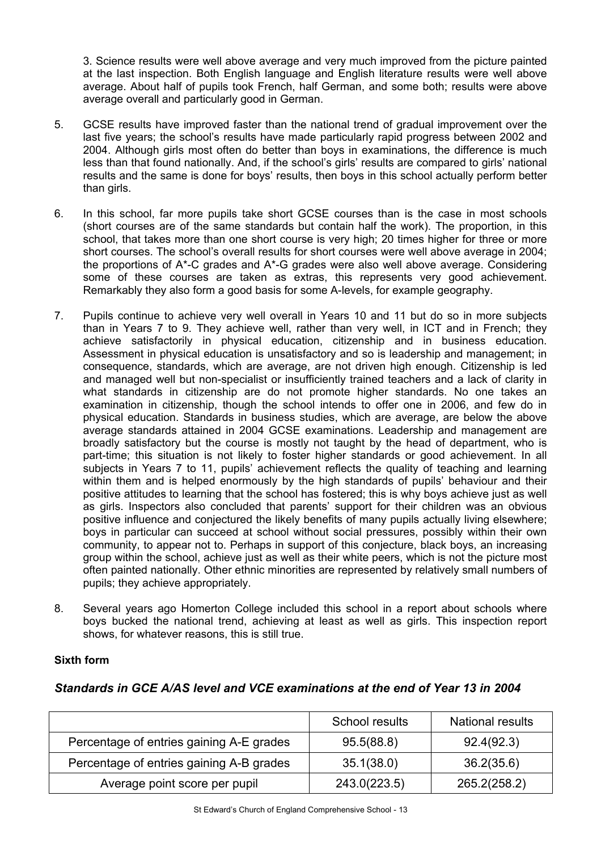3. Science results were well above average and very much improved from the picture painted at the last inspection. Both English language and English literature results were well above average. About half of pupils took French, half German, and some both; results were above average overall and particularly good in German.

- 5. GCSE results have improved faster than the national trend of gradual improvement over the last five years; the school's results have made particularly rapid progress between 2002 and 2004. Although girls most often do better than boys in examinations, the difference is much less than that found nationally. And, if the school's girls' results are compared to girls' national results and the same is done for boys' results, then boys in this school actually perform better than girls.
- 6. In this school, far more pupils take short GCSE courses than is the case in most schools (short courses are of the same standards but contain half the work). The proportion, in this school, that takes more than one short course is very high; 20 times higher for three or more short courses. The school's overall results for short courses were well above average in 2004; the proportions of A\*-C grades and A\*-G grades were also well above average. Considering some of these courses are taken as extras, this represents very good achievement. Remarkably they also form a good basis for some A-levels, for example geography.
- 7. Pupils continue to achieve very well overall in Years 10 and 11 but do so in more subjects than in Years 7 to 9. They achieve well, rather than very well, in ICT and in French; they achieve satisfactorily in physical education, citizenship and in business education. Assessment in physical education is unsatisfactory and so is leadership and management; in consequence, standards, which are average, are not driven high enough. Citizenship is led and managed well but non-specialist or insufficiently trained teachers and a lack of clarity in what standards in citizenship are do not promote higher standards. No one takes an examination in citizenship, though the school intends to offer one in 2006, and few do in physical education. Standards in business studies, which are average, are below the above average standards attained in 2004 GCSE examinations. Leadership and management are broadly satisfactory but the course is mostly not taught by the head of department, who is part-time; this situation is not likely to foster higher standards or good achievement. In all subjects in Years 7 to 11, pupils' achievement reflects the quality of teaching and learning within them and is helped enormously by the high standards of pupils' behaviour and their positive attitudes to learning that the school has fostered; this is why boys achieve just as well as girls. Inspectors also concluded that parents' support for their children was an obvious positive influence and conjectured the likely benefits of many pupils actually living elsewhere; boys in particular can succeed at school without social pressures, possibly within their own community, to appear not to. Perhaps in support of this conjecture, black boys, an increasing group within the school, achieve just as well as their white peers, which is not the picture most often painted nationally. Other ethnic minorities are represented by relatively small numbers of pupils; they achieve appropriately.
- 8. Several years ago Homerton College included this school in a report about schools where boys bucked the national trend, achieving at least as well as girls. This inspection report shows, for whatever reasons, this is still true.

# **Sixth form**

# *Standards in GCE A/AS level and VCE examinations at the end of Year 13 in 2004*

|                                          | <b>School results</b> | <b>National results</b> |
|------------------------------------------|-----------------------|-------------------------|
| Percentage of entries gaining A-E grades | 95.5(88.8)            | 92.4(92.3)              |
| Percentage of entries gaining A-B grades | 35.1(38.0)            | 36.2(35.6)              |
| Average point score per pupil            | 243.0(223.5)          | 265.2(258.2)            |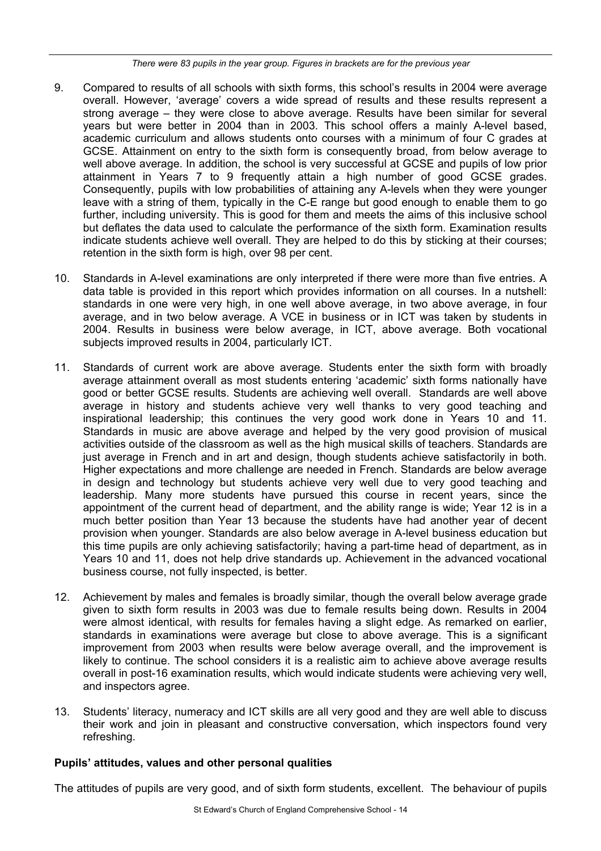*There were 83 pupils in the year group. Figures in brackets are for the previous year* 

- 9. Compared to results of all schools with sixth forms, this school's results in 2004 were average overall. However, 'average' covers a wide spread of results and these results represent a strong average – they were close to above average. Results have been similar for several years but were better in 2004 than in 2003. This school offers a mainly A-level based, academic curriculum and allows students onto courses with a minimum of four C grades at GCSE. Attainment on entry to the sixth form is consequently broad, from below average to well above average. In addition, the school is very successful at GCSE and pupils of low prior attainment in Years 7 to 9 frequently attain a high number of good GCSE grades. Consequently, pupils with low probabilities of attaining any A-levels when they were younger leave with a string of them, typically in the C-E range but good enough to enable them to go further, including university. This is good for them and meets the aims of this inclusive school but deflates the data used to calculate the performance of the sixth form. Examination results indicate students achieve well overall. They are helped to do this by sticking at their courses; retention in the sixth form is high, over 98 per cent.
- 10. Standards in A-level examinations are only interpreted if there were more than five entries. A data table is provided in this report which provides information on all courses. In a nutshell: standards in one were very high, in one well above average, in two above average, in four average, and in two below average. A VCE in business or in ICT was taken by students in 2004. Results in business were below average, in ICT, above average. Both vocational subjects improved results in 2004, particularly ICT.
- 11. Standards of current work are above average. Students enter the sixth form with broadly average attainment overall as most students entering 'academic' sixth forms nationally have good or better GCSE results. Students are achieving well overall. Standards are well above average in history and students achieve very well thanks to very good teaching and inspirational leadership; this continues the very good work done in Years 10 and 11. Standards in music are above average and helped by the very good provision of musical activities outside of the classroom as well as the high musical skills of teachers. Standards are just average in French and in art and design, though students achieve satisfactorily in both. Higher expectations and more challenge are needed in French. Standards are below average in design and technology but students achieve very well due to very good teaching and leadership. Many more students have pursued this course in recent years, since the appointment of the current head of department, and the ability range is wide; Year 12 is in a much better position than Year 13 because the students have had another year of decent provision when younger. Standards are also below average in A-level business education but this time pupils are only achieving satisfactorily; having a part-time head of department, as in Years 10 and 11, does not help drive standards up. Achievement in the advanced vocational business course, not fully inspected, is better.
- 12. Achievement by males and females is broadly similar, though the overall below average grade given to sixth form results in 2003 was due to female results being down. Results in 2004 were almost identical, with results for females having a slight edge. As remarked on earlier, standards in examinations were average but close to above average. This is a significant improvement from 2003 when results were below average overall, and the improvement is likely to continue. The school considers it is a realistic aim to achieve above average results overall in post-16 examination results, which would indicate students were achieving very well, and inspectors agree.
- 13. Students' literacy, numeracy and ICT skills are all very good and they are well able to discuss their work and join in pleasant and constructive conversation, which inspectors found very refreshing.

# **Pupils' attitudes, values and other personal qualities**

The attitudes of pupils are very good, and of sixth form students, excellent. The behaviour of pupils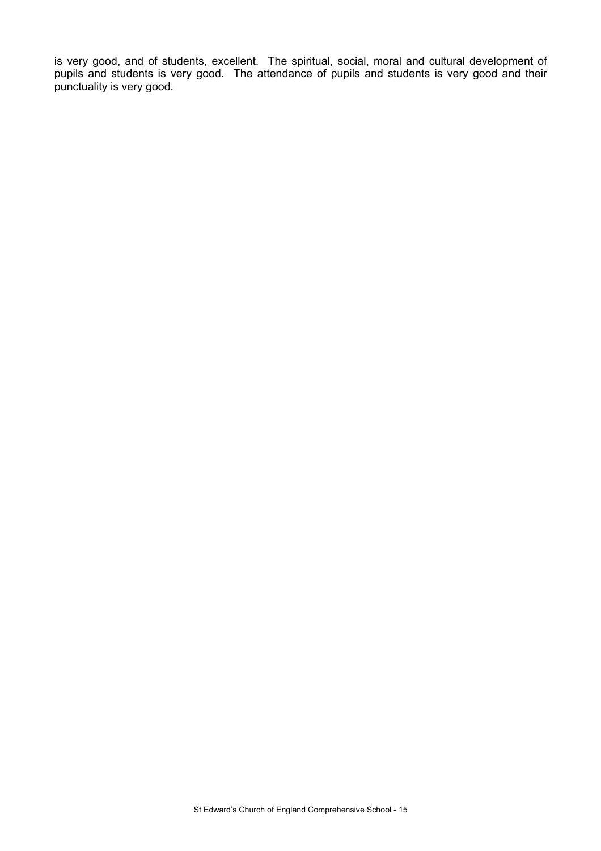is very good, and of students, excellent. The spiritual, social, moral and cultural development of pupils and students is very good. The attendance of pupils and students is very good and their punctuality is very good.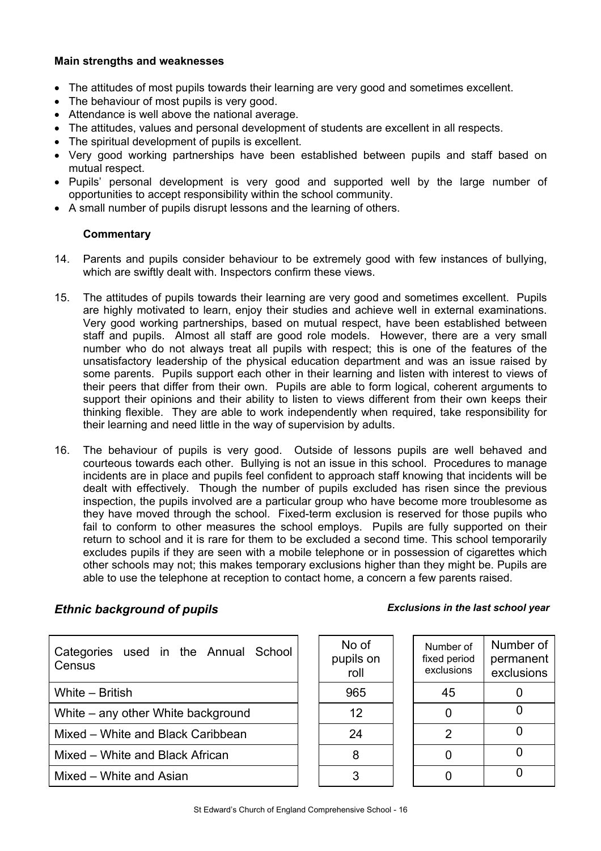## **Main strengths and weaknesses**

- The attitudes of most pupils towards their learning are very good and sometimes excellent.
- The behaviour of most pupils is very good.
- Attendance is well above the national average.
- The attitudes, values and personal development of students are excellent in all respects.
- The spiritual development of pupils is excellent.
- Very good working partnerships have been established between pupils and staff based on mutual respect.
- Pupils' personal development is very good and supported well by the large number of opportunities to accept responsibility within the school community.
- A small number of pupils disrupt lessons and the learning of others.

#### **Commentary**

- 14. Parents and pupils consider behaviour to be extremely good with few instances of bullying, which are swiftly dealt with. Inspectors confirm these views.
- 15. The attitudes of pupils towards their learning are very good and sometimes excellent. Pupils are highly motivated to learn, enjoy their studies and achieve well in external examinations. Very good working partnerships, based on mutual respect, have been established between staff and pupils. Almost all staff are good role models. However, there are a very small number who do not always treat all pupils with respect; this is one of the features of the unsatisfactory leadership of the physical education department and was an issue raised by some parents. Pupils support each other in their learning and listen with interest to views of their peers that differ from their own. Pupils are able to form logical, coherent arguments to support their opinions and their ability to listen to views different from their own keeps their thinking flexible. They are able to work independently when required, take responsibility for their learning and need little in the way of supervision by adults.
- 16. The behaviour of pupils is very good. Outside of lessons pupils are well behaved and courteous towards each other. Bullying is not an issue in this school. Procedures to manage incidents are in place and pupils feel confident to approach staff knowing that incidents will be dealt with effectively. Though the number of pupils excluded has risen since the previous inspection, the pupils involved are a particular group who have become more troublesome as they have moved through the school. Fixed-term exclusion is reserved for those pupils who fail to conform to other measures the school employs. Pupils are fully supported on their return to school and it is rare for them to be excluded a second time. This school temporarily excludes pupils if they are seen with a mobile telephone or in possession of cigarettes which other schools may not; this makes temporary exclusions higher than they might be. Pupils are able to use the telephone at reception to contact home, a concern a few parents raised.

# *Ethnic background of pupils Exclusions in the last school year*

| Categories used in the Annual School<br>Census | No of<br>pupils on<br>roll | Number of<br>fixed period<br>exclusions | Numbe<br>perma<br>exclus |
|------------------------------------------------|----------------------------|-----------------------------------------|--------------------------|
| White – British                                | 965                        | 45                                      | 0                        |
| White – any other White background             | 12                         |                                         | 0                        |
| Mixed - White and Black Caribbean              | 24                         | 2                                       | 0                        |
| Mixed – White and Black African                | 8                          |                                         | 0                        |
| Mixed - White and Asian                        | 3                          |                                         | 0                        |

| No of<br>pupils on<br>roll | Number of<br>fixed period<br>exclusions | Number of<br>permanent<br>exclusions |
|----------------------------|-----------------------------------------|--------------------------------------|
| 965                        | 45                                      |                                      |
| 12                         |                                         |                                      |
| 24                         | 2                                       |                                      |
| 8                          |                                         |                                      |
|                            |                                         |                                      |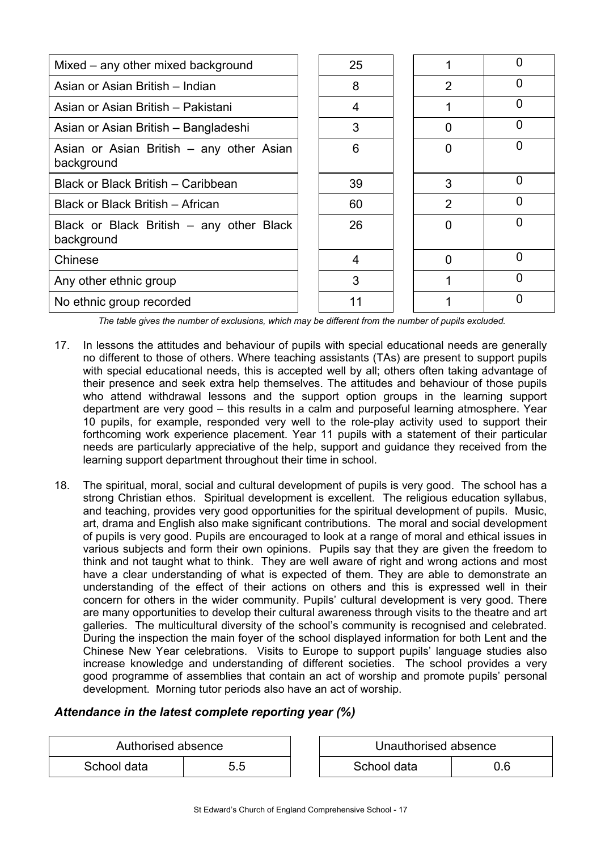| Mixed – any other mixed background                     | 25 |                | O |
|--------------------------------------------------------|----|----------------|---|
| Asian or Asian British – Indian                        | 8  | $\overline{2}$ | 0 |
| Asian or Asian British – Pakistani                     | 4  |                | 0 |
| Asian or Asian British - Bangladeshi                   | 3  | 0              | 0 |
| Asian or Asian British – any other Asian<br>background | 6  | 0              | ŋ |
| Black or Black British – Caribbean                     | 39 | 3              | O |
| Black or Black British - African                       | 60 | $\overline{2}$ | O |
| Black or Black British - any other Black<br>background | 26 | O              | n |
| Chinese                                                | 4  | 0              | O |
| Any other ethnic group                                 | 3  |                | O |
| No ethnic group recorded                               |    |                | ი |

*The table gives the number of exclusions, which may be different from the number of pupils excluded.*

- 17. In lessons the attitudes and behaviour of pupils with special educational needs are generally no different to those of others. Where teaching assistants (TAs) are present to support pupils with special educational needs, this is accepted well by all; others often taking advantage of their presence and seek extra help themselves. The attitudes and behaviour of those pupils who attend withdrawal lessons and the support option groups in the learning support department are very good – this results in a calm and purposeful learning atmosphere. Year 10 pupils, for example, responded very well to the role-play activity used to support their forthcoming work experience placement. Year 11 pupils with a statement of their particular needs are particularly appreciative of the help, support and guidance they received from the learning support department throughout their time in school.
- 18. The spiritual, moral, social and cultural development of pupils is very good. The school has a strong Christian ethos. Spiritual development is excellent. The religious education syllabus, and teaching, provides very good opportunities for the spiritual development of pupils. Music, art, drama and English also make significant contributions. The moral and social development of pupils is very good. Pupils are encouraged to look at a range of moral and ethical issues in various subjects and form their own opinions. Pupils say that they are given the freedom to think and not taught what to think. They are well aware of right and wrong actions and most have a clear understanding of what is expected of them. They are able to demonstrate an understanding of the effect of their actions on others and this is expressed well in their concern for others in the wider community. Pupils' cultural development is very good. There are many opportunities to develop their cultural awareness through visits to the theatre and art galleries. The multicultural diversity of the school's community is recognised and celebrated. During the inspection the main foyer of the school displayed information for both Lent and the Chinese New Year celebrations. Visits to Europe to support pupils' language studies also increase knowledge and understanding of different societies. The school provides a very good programme of assemblies that contain an act of worship and promote pupils' personal development. Morning tutor periods also have an act of worship.

# *Attendance in the latest complete reporting year (%)*

| Authorised absence |     | Unauthorised absence |     |
|--------------------|-----|----------------------|-----|
| School data        | 5.5 | School data          | 0.6 |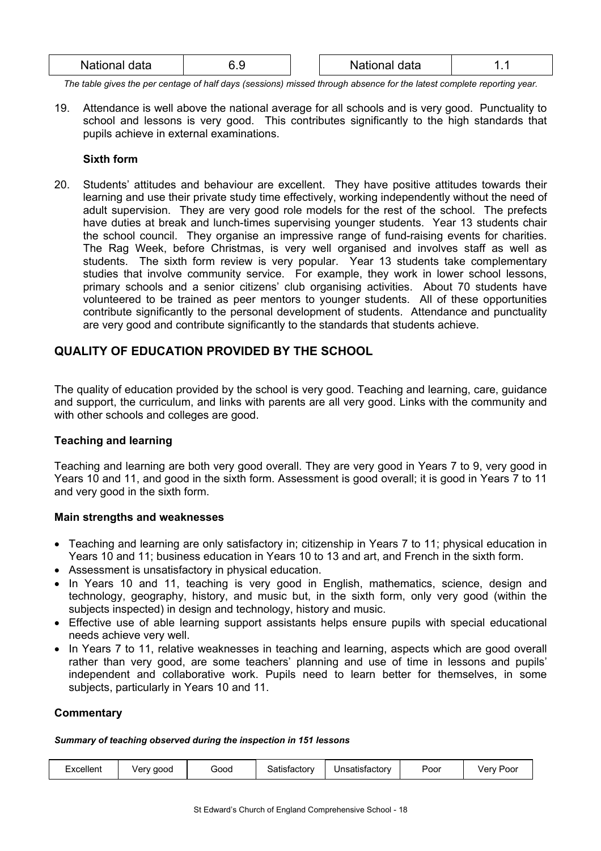| $N = 1$<br>.<br><b>Natic</b><br>iala | ı | data<br>.<br>auur |  |
|--------------------------------------|---|-------------------|--|
|                                      |   |                   |  |

*The table gives the per centage of half days (sessions) missed through absence for the latest complete reporting year.*

19. Attendance is well above the national average for all schools and is very good. Punctuality to school and lessons is very good. This contributes significantly to the high standards that pupils achieve in external examinations.

# **Sixth form**

20. Students' attitudes and behaviour are excellent. They have positive attitudes towards their learning and use their private study time effectively, working independently without the need of adult supervision. They are very good role models for the rest of the school. The prefects have duties at break and lunch-times supervising younger students. Year 13 students chair the school council. They organise an impressive range of fund-raising events for charities. The Rag Week, before Christmas, is very well organised and involves staff as well as students. The sixth form review is very popular. Year 13 students take complementary studies that involve community service. For example, they work in lower school lessons, primary schools and a senior citizens' club organising activities. About 70 students have volunteered to be trained as peer mentors to younger students. All of these opportunities contribute significantly to the personal development of students. Attendance and punctuality are very good and contribute significantly to the standards that students achieve.

# **QUALITY OF EDUCATION PROVIDED BY THE SCHOOL**

The quality of education provided by the school is very good. Teaching and learning, care, guidance and support, the curriculum, and links with parents are all very good. Links with the community and with other schools and colleges are good.

# **Teaching and learning**

Teaching and learning are both very good overall. They are very good in Years 7 to 9, very good in Years 10 and 11, and good in the sixth form. Assessment is good overall; it is good in Years 7 to 11 and very good in the sixth form.

# **Main strengths and weaknesses**

- Teaching and learning are only satisfactory in; citizenship in Years 7 to 11; physical education in Years 10 and 11; business education in Years 10 to 13 and art, and French in the sixth form.
- Assessment is unsatisfactory in physical education.
- In Years 10 and 11, teaching is very good in English, mathematics, science, design and technology, geography, history, and music but, in the sixth form, only very good (within the subjects inspected) in design and technology, history and music.
- Effective use of able learning support assistants helps ensure pupils with special educational needs achieve very well.
- In Years 7 to 11, relative weaknesses in teaching and learning, aspects which are good overall rather than very good, are some teachers' planning and use of time in lessons and pupils' independent and collaborative work. Pupils need to learn better for themselves, in some subjects, particularly in Years 10 and 11.

# **Commentary**

#### *Summary of teaching observed during the inspection in 151 lessons*

|  | $\sim$ $\sim$<br>⊨xcellent | Verv good | Good | iatistactor∨ | Unsatistactory | Poor | √erv<br>Poor |
|--|----------------------------|-----------|------|--------------|----------------|------|--------------|
|--|----------------------------|-----------|------|--------------|----------------|------|--------------|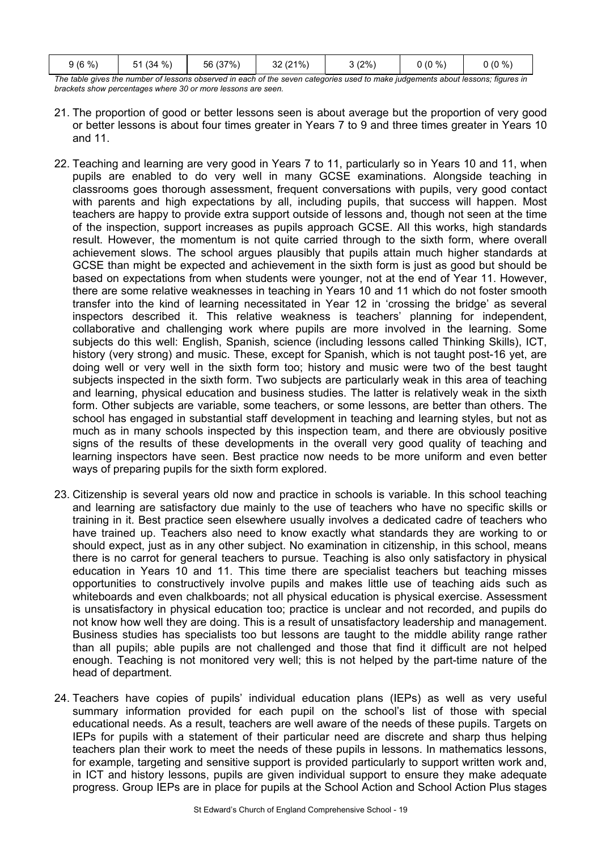| $9(6\%)$ | %<br>(34)<br>51<br>ີ | 56 (37%) | 32 (21%) | 3(2%) | $0(0\%)$ | $0(0\%)$ |
|----------|----------------------|----------|----------|-------|----------|----------|
|----------|----------------------|----------|----------|-------|----------|----------|

*The table gives the number of lessons observed in each of the seven categories used to make judgements about lessons; figures in brackets show percentages where 30 or more lessons are seen.* 

- 21. The proportion of good or better lessons seen is about average but the proportion of very good or better lessons is about four times greater in Years 7 to 9 and three times greater in Years 10 and 11.
- 22. Teaching and learning are very good in Years 7 to 11, particularly so in Years 10 and 11, when pupils are enabled to do very well in many GCSE examinations. Alongside teaching in classrooms goes thorough assessment, frequent conversations with pupils, very good contact with parents and high expectations by all, including pupils, that success will happen. Most teachers are happy to provide extra support outside of lessons and, though not seen at the time of the inspection, support increases as pupils approach GCSE. All this works, high standards result. However, the momentum is not quite carried through to the sixth form, where overall achievement slows. The school argues plausibly that pupils attain much higher standards at GCSE than might be expected and achievement in the sixth form is just as good but should be based on expectations from when students were younger, not at the end of Year 11. However, there are some relative weaknesses in teaching in Years 10 and 11 which do not foster smooth transfer into the kind of learning necessitated in Year 12 in 'crossing the bridge' as several inspectors described it. This relative weakness is teachers' planning for independent, collaborative and challenging work where pupils are more involved in the learning. Some subjects do this well: English, Spanish, science (including lessons called Thinking Skills), ICT, history (very strong) and music. These, except for Spanish, which is not taught post-16 yet, are doing well or very well in the sixth form too; history and music were two of the best taught subjects inspected in the sixth form. Two subjects are particularly weak in this area of teaching and learning, physical education and business studies. The latter is relatively weak in the sixth form. Other subjects are variable, some teachers, or some lessons, are better than others. The school has engaged in substantial staff development in teaching and learning styles, but not as much as in many schools inspected by this inspection team, and there are obviously positive signs of the results of these developments in the overall very good quality of teaching and learning inspectors have seen. Best practice now needs to be more uniform and even better ways of preparing pupils for the sixth form explored.
- 23. Citizenship is several years old now and practice in schools is variable. In this school teaching and learning are satisfactory due mainly to the use of teachers who have no specific skills or training in it. Best practice seen elsewhere usually involves a dedicated cadre of teachers who have trained up. Teachers also need to know exactly what standards they are working to or should expect, just as in any other subject. No examination in citizenship, in this school, means there is no carrot for general teachers to pursue. Teaching is also only satisfactory in physical education in Years 10 and 11. This time there are specialist teachers but teaching misses opportunities to constructively involve pupils and makes little use of teaching aids such as whiteboards and even chalkboards; not all physical education is physical exercise. Assessment is unsatisfactory in physical education too; practice is unclear and not recorded, and pupils do not know how well they are doing. This is a result of unsatisfactory leadership and management. Business studies has specialists too but lessons are taught to the middle ability range rather than all pupils; able pupils are not challenged and those that find it difficult are not helped enough. Teaching is not monitored very well; this is not helped by the part-time nature of the head of department.
- 24. Teachers have copies of pupils' individual education plans (IEPs) as well as very useful summary information provided for each pupil on the school's list of those with special educational needs. As a result, teachers are well aware of the needs of these pupils. Targets on IEPs for pupils with a statement of their particular need are discrete and sharp thus helping teachers plan their work to meet the needs of these pupils in lessons. In mathematics lessons, for example, targeting and sensitive support is provided particularly to support written work and, in ICT and history lessons, pupils are given individual support to ensure they make adequate progress. Group IEPs are in place for pupils at the School Action and School Action Plus stages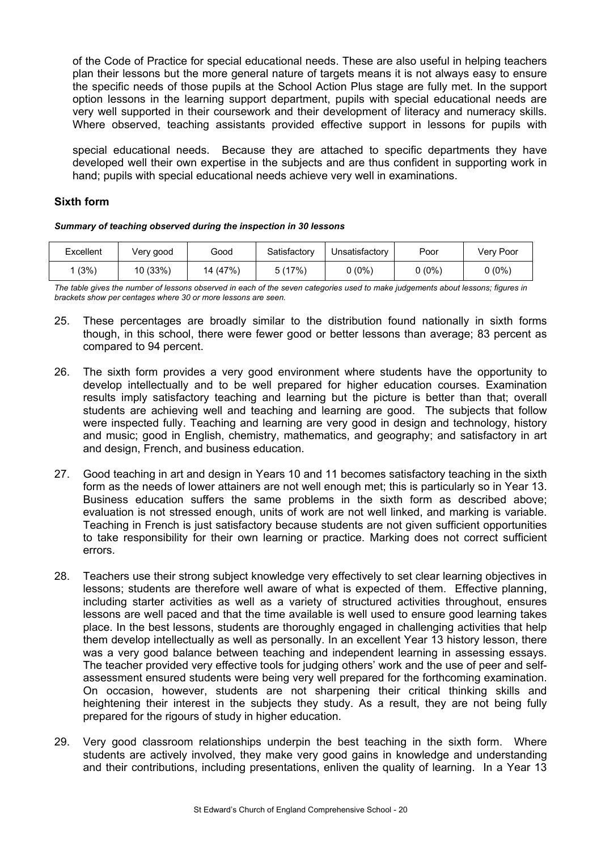of the Code of Practice for special educational needs. These are also useful in helping teachers plan their lessons but the more general nature of targets means it is not always easy to ensure the specific needs of those pupils at the School Action Plus stage are fully met. In the support option lessons in the learning support department, pupils with special educational needs are very well supported in their coursework and their development of literacy and numeracy skills. Where observed, teaching assistants provided effective support in lessons for pupils with

special educational needs. Because they are attached to specific departments they have developed well their own expertise in the subjects and are thus confident in supporting work in hand; pupils with special educational needs achieve very well in examinations.

#### **Sixth form**

*Summary of teaching observed during the inspection in 30 lessons*

| Excellent | Very good | Good     | Satisfactory | Unsatisfactory | Poor   | Very Poor |
|-----------|-----------|----------|--------------|----------------|--------|-----------|
| (3%)      | 10 (33%)  | 14 (47%) | 5(17%)       | $0(0\%)$       | J (0%) | 0 (0%)    |

*The table gives the number of lessons observed in each of the seven categories used to make judgements about lessons; figures in brackets show per centages where 30 or more lessons are seen.* 

- 25. These percentages are broadly similar to the distribution found nationally in sixth forms though, in this school, there were fewer good or better lessons than average; 83 percent as compared to 94 percent.
- 26. The sixth form provides a very good environment where students have the opportunity to develop intellectually and to be well prepared for higher education courses. Examination results imply satisfactory teaching and learning but the picture is better than that; overall students are achieving well and teaching and learning are good. The subjects that follow were inspected fully. Teaching and learning are very good in design and technology, history and music; good in English, chemistry, mathematics, and geography; and satisfactory in art and design, French, and business education.
- 27. Good teaching in art and design in Years 10 and 11 becomes satisfactory teaching in the sixth form as the needs of lower attainers are not well enough met; this is particularly so in Year 13. Business education suffers the same problems in the sixth form as described above; evaluation is not stressed enough, units of work are not well linked, and marking is variable. Teaching in French is just satisfactory because students are not given sufficient opportunities to take responsibility for their own learning or practice. Marking does not correct sufficient errors.
- 28. Teachers use their strong subject knowledge very effectively to set clear learning objectives in lessons; students are therefore well aware of what is expected of them. Effective planning, including starter activities as well as a variety of structured activities throughout, ensures lessons are well paced and that the time available is well used to ensure good learning takes place. In the best lessons, students are thoroughly engaged in challenging activities that help them develop intellectually as well as personally. In an excellent Year 13 history lesson, there was a very good balance between teaching and independent learning in assessing essays. The teacher provided very effective tools for judging others' work and the use of peer and selfassessment ensured students were being very well prepared for the forthcoming examination. On occasion, however, students are not sharpening their critical thinking skills and heightening their interest in the subjects they study. As a result, they are not being fully prepared for the rigours of study in higher education.
- 29. Very good classroom relationships underpin the best teaching in the sixth form. Where students are actively involved, they make very good gains in knowledge and understanding and their contributions, including presentations, enliven the quality of learning. In a Year 13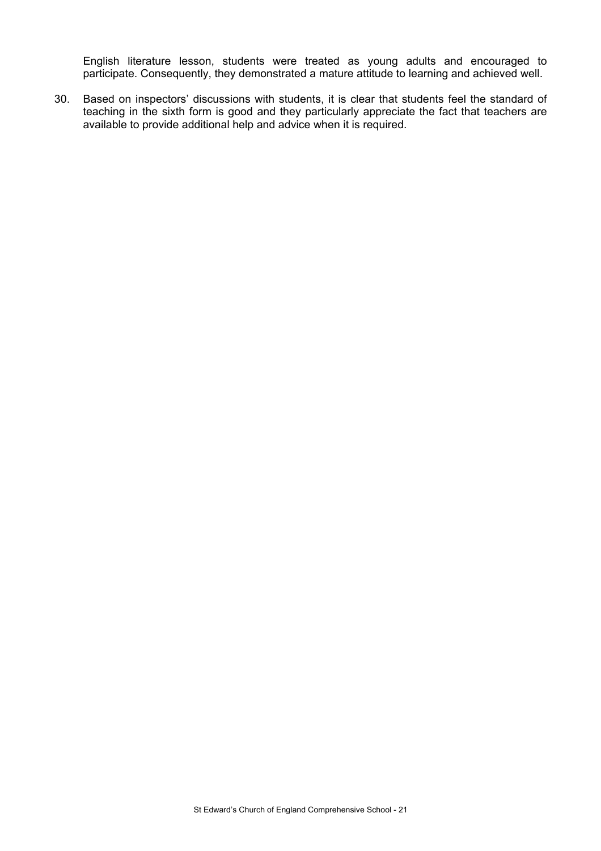English literature lesson, students were treated as young adults and encouraged to participate. Consequently, they demonstrated a mature attitude to learning and achieved well.

30. Based on inspectors' discussions with students, it is clear that students feel the standard of teaching in the sixth form is good and they particularly appreciate the fact that teachers are available to provide additional help and advice when it is required.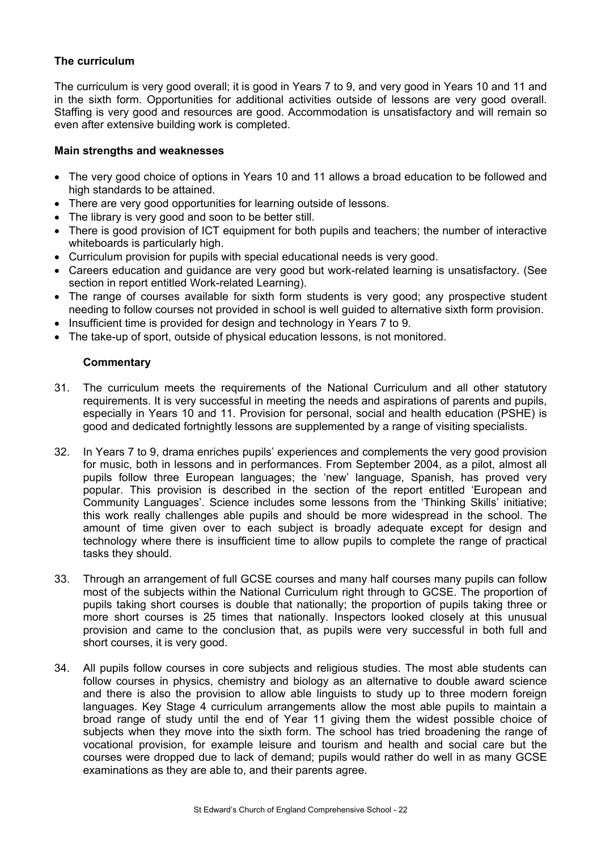# **The curriculum**

The curriculum is very good overall; it is good in Years 7 to 9, and very good in Years 10 and 11 and in the sixth form. Opportunities for additional activities outside of lessons are very good overall. Staffing is very good and resources are good. Accommodation is unsatisfactory and will remain so even after extensive building work is completed.

#### **Main strengths and weaknesses**

- The very good choice of options in Years 10 and 11 allows a broad education to be followed and high standards to be attained.
- There are very good opportunities for learning outside of lessons.
- The library is very good and soon to be better still.
- There is good provision of ICT equipment for both pupils and teachers; the number of interactive whiteboards is particularly high.
- Curriculum provision for pupils with special educational needs is very good.
- Careers education and guidance are very good but work-related learning is unsatisfactory. (See section in report entitled Work-related Learning).
- The range of courses available for sixth form students is very good; any prospective student needing to follow courses not provided in school is well guided to alternative sixth form provision.
- Insufficient time is provided for design and technology in Years 7 to 9.
- The take-up of sport, outside of physical education lessons, is not monitored.

- 31. The curriculum meets the requirements of the National Curriculum and all other statutory requirements. It is very successful in meeting the needs and aspirations of parents and pupils, especially in Years 10 and 11. Provision for personal, social and health education (PSHE) is good and dedicated fortnightly lessons are supplemented by a range of visiting specialists.
- 32. In Years 7 to 9, drama enriches pupils' experiences and complements the very good provision for music, both in lessons and in performances. From September 2004, as a pilot, almost all pupils follow three European languages; the 'new' language, Spanish, has proved very popular. This provision is described in the section of the report entitled 'European and Community Languages'. Science includes some lessons from the 'Thinking Skills' initiative; this work really challenges able pupils and should be more widespread in the school. The amount of time given over to each subject is broadly adequate except for design and technology where there is insufficient time to allow pupils to complete the range of practical tasks they should.
- 33. Through an arrangement of full GCSE courses and many half courses many pupils can follow most of the subjects within the National Curriculum right through to GCSE. The proportion of pupils taking short courses is double that nationally; the proportion of pupils taking three or more short courses is 25 times that nationally. Inspectors looked closely at this unusual provision and came to the conclusion that, as pupils were very successful in both full and short courses, it is very good.
- 34. All pupils follow courses in core subjects and religious studies. The most able students can follow courses in physics, chemistry and biology as an alternative to double award science and there is also the provision to allow able linguists to study up to three modern foreign languages. Key Stage 4 curriculum arrangements allow the most able pupils to maintain a broad range of study until the end of Year 11 giving them the widest possible choice of subjects when they move into the sixth form. The school has tried broadening the range of vocational provision, for example leisure and tourism and health and social care but the courses were dropped due to lack of demand; pupils would rather do well in as many GCSE examinations as they are able to, and their parents agree.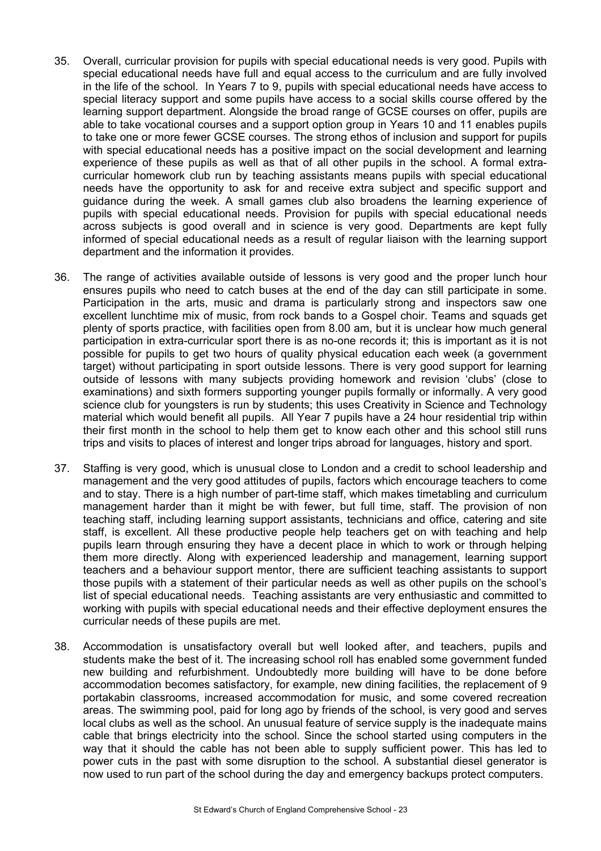- 35. Overall, curricular provision for pupils with special educational needs is very good. Pupils with special educational needs have full and equal access to the curriculum and are fully involved in the life of the school. In Years 7 to 9, pupils with special educational needs have access to special literacy support and some pupils have access to a social skills course offered by the learning support department. Alongside the broad range of GCSE courses on offer, pupils are able to take vocational courses and a support option group in Years 10 and 11 enables pupils to take one or more fewer GCSE courses. The strong ethos of inclusion and support for pupils with special educational needs has a positive impact on the social development and learning experience of these pupils as well as that of all other pupils in the school. A formal extracurricular homework club run by teaching assistants means pupils with special educational needs have the opportunity to ask for and receive extra subject and specific support and guidance during the week. A small games club also broadens the learning experience of pupils with special educational needs. Provision for pupils with special educational needs across subjects is good overall and in science is very good. Departments are kept fully informed of special educational needs as a result of regular liaison with the learning support department and the information it provides.
- 36. The range of activities available outside of lessons is very good and the proper lunch hour ensures pupils who need to catch buses at the end of the day can still participate in some. Participation in the arts, music and drama is particularly strong and inspectors saw one excellent lunchtime mix of music, from rock bands to a Gospel choir. Teams and squads get plenty of sports practice, with facilities open from 8.00 am, but it is unclear how much general participation in extra-curricular sport there is as no-one records it; this is important as it is not possible for pupils to get two hours of quality physical education each week (a government target) without participating in sport outside lessons. There is very good support for learning outside of lessons with many subjects providing homework and revision 'clubs' (close to examinations) and sixth formers supporting younger pupils formally or informally. A very good science club for youngsters is run by students; this uses Creativity in Science and Technology material which would benefit all pupils. All Year 7 pupils have a 24 hour residential trip within their first month in the school to help them get to know each other and this school still runs trips and visits to places of interest and longer trips abroad for languages, history and sport.
- 37. Staffing is very good, which is unusual close to London and a credit to school leadership and management and the very good attitudes of pupils, factors which encourage teachers to come and to stay. There is a high number of part-time staff, which makes timetabling and curriculum management harder than it might be with fewer, but full time, staff. The provision of non teaching staff, including learning support assistants, technicians and office, catering and site staff, is excellent. All these productive people help teachers get on with teaching and help pupils learn through ensuring they have a decent place in which to work or through helping them more directly. Along with experienced leadership and management, learning support teachers and a behaviour support mentor, there are sufficient teaching assistants to support those pupils with a statement of their particular needs as well as other pupils on the school's list of special educational needs. Teaching assistants are very enthusiastic and committed to working with pupils with special educational needs and their effective deployment ensures the curricular needs of these pupils are met.
- 38. Accommodation is unsatisfactory overall but well looked after, and teachers, pupils and students make the best of it. The increasing school roll has enabled some government funded new building and refurbishment. Undoubtedly more building will have to be done before accommodation becomes satisfactory, for example, new dining facilities, the replacement of 9 portakabin classrooms, increased accommodation for music, and some covered recreation areas. The swimming pool, paid for long ago by friends of the school, is very good and serves local clubs as well as the school. An unusual feature of service supply is the inadequate mains cable that brings electricity into the school. Since the school started using computers in the way that it should the cable has not been able to supply sufficient power. This has led to power cuts in the past with some disruption to the school. A substantial diesel generator is now used to run part of the school during the day and emergency backups protect computers.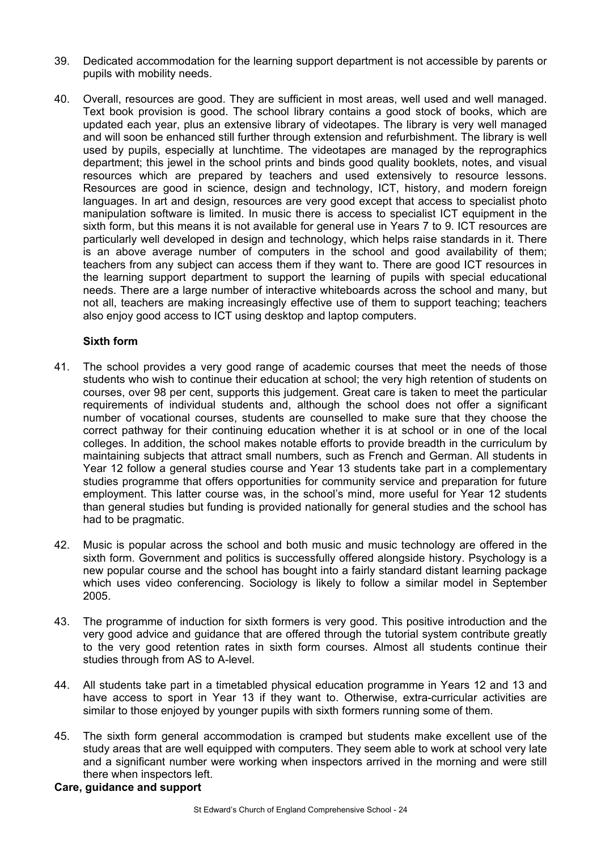- 39. Dedicated accommodation for the learning support department is not accessible by parents or pupils with mobility needs.
- 40. Overall, resources are good. They are sufficient in most areas, well used and well managed. Text book provision is good. The school library contains a good stock of books, which are updated each year, plus an extensive library of videotapes. The library is very well managed and will soon be enhanced still further through extension and refurbishment. The library is well used by pupils, especially at lunchtime. The videotapes are managed by the reprographics department; this jewel in the school prints and binds good quality booklets, notes, and visual resources which are prepared by teachers and used extensively to resource lessons. Resources are good in science, design and technology, ICT, history, and modern foreign languages. In art and design, resources are very good except that access to specialist photo manipulation software is limited. In music there is access to specialist ICT equipment in the sixth form, but this means it is not available for general use in Years 7 to 9. ICT resources are particularly well developed in design and technology, which helps raise standards in it. There is an above average number of computers in the school and good availability of them; teachers from any subject can access them if they want to. There are good ICT resources in the learning support department to support the learning of pupils with special educational needs. There are a large number of interactive whiteboards across the school and many, but not all, teachers are making increasingly effective use of them to support teaching; teachers also enjoy good access to ICT using desktop and laptop computers.

#### **Sixth form**

- 41. The school provides a very good range of academic courses that meet the needs of those students who wish to continue their education at school; the very high retention of students on courses, over 98 per cent, supports this judgement. Great care is taken to meet the particular requirements of individual students and, although the school does not offer a significant number of vocational courses, students are counselled to make sure that they choose the correct pathway for their continuing education whether it is at school or in one of the local colleges. In addition, the school makes notable efforts to provide breadth in the curriculum by maintaining subjects that attract small numbers, such as French and German. All students in Year 12 follow a general studies course and Year 13 students take part in a complementary studies programme that offers opportunities for community service and preparation for future employment. This latter course was, in the school's mind, more useful for Year 12 students than general studies but funding is provided nationally for general studies and the school has had to be pragmatic.
- 42. Music is popular across the school and both music and music technology are offered in the sixth form. Government and politics is successfully offered alongside history. Psychology is a new popular course and the school has bought into a fairly standard distant learning package which uses video conferencing. Sociology is likely to follow a similar model in September 2005.
- 43. The programme of induction for sixth formers is very good. This positive introduction and the very good advice and guidance that are offered through the tutorial system contribute greatly to the very good retention rates in sixth form courses. Almost all students continue their studies through from AS to A-level.
- 44. All students take part in a timetabled physical education programme in Years 12 and 13 and have access to sport in Year 13 if they want to. Otherwise, extra-curricular activities are similar to those enjoyed by younger pupils with sixth formers running some of them.
- 45. The sixth form general accommodation is cramped but students make excellent use of the study areas that are well equipped with computers. They seem able to work at school very late and a significant number were working when inspectors arrived in the morning and were still there when inspectors left.

#### **Care, guidance and support**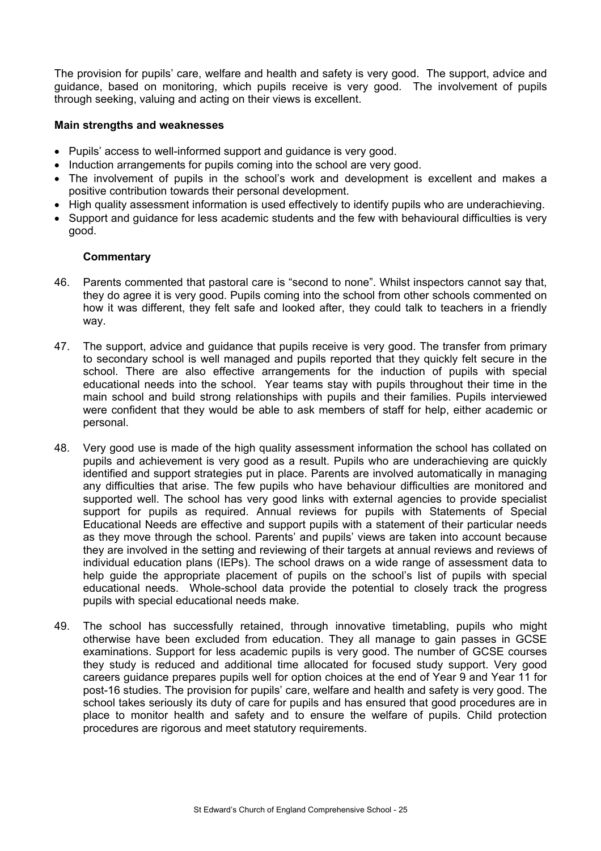The provision for pupils' care, welfare and health and safety is very good. The support, advice and guidance, based on monitoring, which pupils receive is very good. The involvement of pupils through seeking, valuing and acting on their views is excellent.

## **Main strengths and weaknesses**

- Pupils' access to well-informed support and guidance is very good.
- Induction arrangements for pupils coming into the school are very good.
- The involvement of pupils in the school's work and development is excellent and makes a positive contribution towards their personal development.
- High quality assessment information is used effectively to identify pupils who are underachieving.
- Support and guidance for less academic students and the few with behavioural difficulties is very good.

- 46. Parents commented that pastoral care is "second to none". Whilst inspectors cannot say that, they do agree it is very good. Pupils coming into the school from other schools commented on how it was different, they felt safe and looked after, they could talk to teachers in a friendly way.
- 47. The support, advice and guidance that pupils receive is very good. The transfer from primary to secondary school is well managed and pupils reported that they quickly felt secure in the school. There are also effective arrangements for the induction of pupils with special educational needs into the school. Year teams stay with pupils throughout their time in the main school and build strong relationships with pupils and their families. Pupils interviewed were confident that they would be able to ask members of staff for help, either academic or personal.
- 48. Very good use is made of the high quality assessment information the school has collated on pupils and achievement is very good as a result. Pupils who are underachieving are quickly identified and support strategies put in place. Parents are involved automatically in managing any difficulties that arise. The few pupils who have behaviour difficulties are monitored and supported well. The school has very good links with external agencies to provide specialist support for pupils as required. Annual reviews for pupils with Statements of Special Educational Needs are effective and support pupils with a statement of their particular needs as they move through the school. Parents' and pupils' views are taken into account because they are involved in the setting and reviewing of their targets at annual reviews and reviews of individual education plans (IEPs). The school draws on a wide range of assessment data to help guide the appropriate placement of pupils on the school's list of pupils with special educational needs. Whole-school data provide the potential to closely track the progress pupils with special educational needs make.
- 49. The school has successfully retained, through innovative timetabling, pupils who might otherwise have been excluded from education. They all manage to gain passes in GCSE examinations. Support for less academic pupils is very good. The number of GCSE courses they study is reduced and additional time allocated for focused study support. Very good careers guidance prepares pupils well for option choices at the end of Year 9 and Year 11 for post-16 studies. The provision for pupils' care, welfare and health and safety is very good. The school takes seriously its duty of care for pupils and has ensured that good procedures are in place to monitor health and safety and to ensure the welfare of pupils. Child protection procedures are rigorous and meet statutory requirements.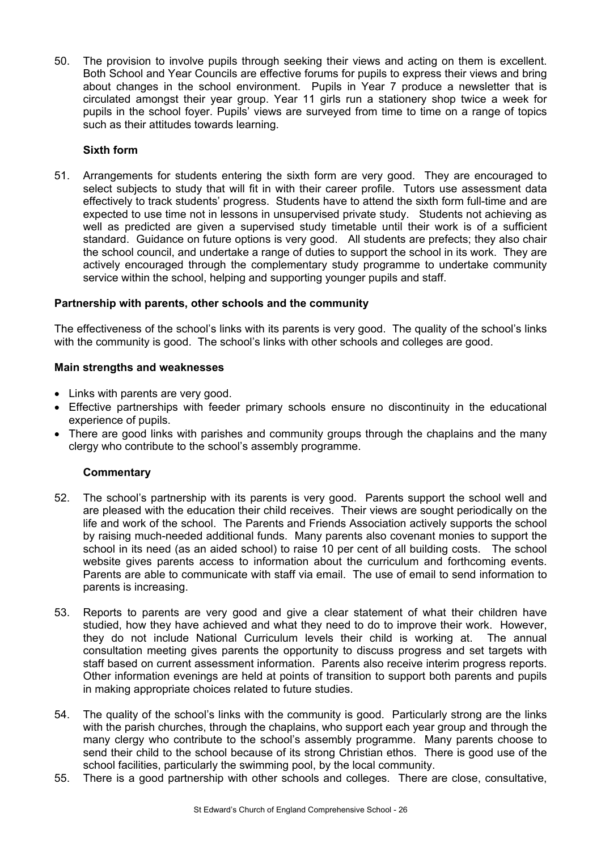50. The provision to involve pupils through seeking their views and acting on them is excellent. Both School and Year Councils are effective forums for pupils to express their views and bring about changes in the school environment. Pupils in Year 7 produce a newsletter that is circulated amongst their year group. Year 11 girls run a stationery shop twice a week for pupils in the school foyer. Pupils' views are surveyed from time to time on a range of topics such as their attitudes towards learning.

# **Sixth form**

51. Arrangements for students entering the sixth form are very good. They are encouraged to select subjects to study that will fit in with their career profile. Tutors use assessment data effectively to track students' progress. Students have to attend the sixth form full-time and are expected to use time not in lessons in unsupervised private study. Students not achieving as well as predicted are given a supervised study timetable until their work is of a sufficient standard. Guidance on future options is very good. All students are prefects; they also chair the school council, and undertake a range of duties to support the school in its work. They are actively encouraged through the complementary study programme to undertake community service within the school, helping and supporting younger pupils and staff.

# **Partnership with parents, other schools and the community**

The effectiveness of the school's links with its parents is very good. The quality of the school's links with the community is good. The school's links with other schools and colleges are good.

# **Main strengths and weaknesses**

- Links with parents are very good.
- Effective partnerships with feeder primary schools ensure no discontinuity in the educational experience of pupils.
- There are good links with parishes and community groups through the chaplains and the many clergy who contribute to the school's assembly programme.

- 52. The school's partnership with its parents is very good. Parents support the school well and are pleased with the education their child receives. Their views are sought periodically on the life and work of the school. The Parents and Friends Association actively supports the school by raising much-needed additional funds. Many parents also covenant monies to support the school in its need (as an aided school) to raise 10 per cent of all building costs. The school website gives parents access to information about the curriculum and forthcoming events. Parents are able to communicate with staff via email. The use of email to send information to parents is increasing.
- 53. Reports to parents are very good and give a clear statement of what their children have studied, how they have achieved and what they need to do to improve their work. However, they do not include National Curriculum levels their child is working at. The annual consultation meeting gives parents the opportunity to discuss progress and set targets with staff based on current assessment information. Parents also receive interim progress reports. Other information evenings are held at points of transition to support both parents and pupils in making appropriate choices related to future studies.
- 54. The quality of the school's links with the community is good. Particularly strong are the links with the parish churches, through the chaplains, who support each year group and through the many clergy who contribute to the school's assembly programme. Many parents choose to send their child to the school because of its strong Christian ethos. There is good use of the school facilities, particularly the swimming pool, by the local community.
- 55. There is a good partnership with other schools and colleges. There are close, consultative,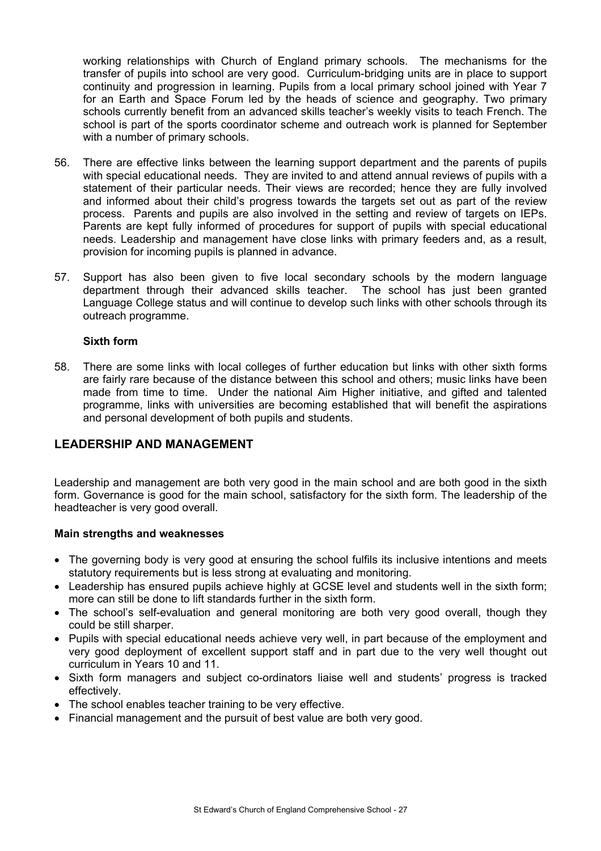working relationships with Church of England primary schools. The mechanisms for the transfer of pupils into school are very good. Curriculum-bridging units are in place to support continuity and progression in learning. Pupils from a local primary school joined with Year 7 for an Earth and Space Forum led by the heads of science and geography. Two primary schools currently benefit from an advanced skills teacher's weekly visits to teach French. The school is part of the sports coordinator scheme and outreach work is planned for September with a number of primary schools.

- 56. There are effective links between the learning support department and the parents of pupils with special educational needs. They are invited to and attend annual reviews of pupils with a statement of their particular needs. Their views are recorded; hence they are fully involved and informed about their child's progress towards the targets set out as part of the review process. Parents and pupils are also involved in the setting and review of targets on IEPs. Parents are kept fully informed of procedures for support of pupils with special educational needs. Leadership and management have close links with primary feeders and, as a result, provision for incoming pupils is planned in advance.
- 57. Support has also been given to five local secondary schools by the modern language department through their advanced skills teacher. The school has just been granted Language College status and will continue to develop such links with other schools through its outreach programme.

#### **Sixth form**

58. There are some links with local colleges of further education but links with other sixth forms are fairly rare because of the distance between this school and others; music links have been made from time to time. Under the national Aim Higher initiative, and gifted and talented programme, links with universities are becoming established that will benefit the aspirations and personal development of both pupils and students.

# **LEADERSHIP AND MANAGEMENT**

Leadership and management are both very good in the main school and are both good in the sixth form. Governance is good for the main school, satisfactory for the sixth form. The leadership of the headteacher is very good overall.

#### **Main strengths and weaknesses**

- The governing body is very good at ensuring the school fulfils its inclusive intentions and meets statutory requirements but is less strong at evaluating and monitoring.
- Leadership has ensured pupils achieve highly at GCSE level and students well in the sixth form; more can still be done to lift standards further in the sixth form.
- The school's self-evaluation and general monitoring are both very good overall, though they could be still sharper.
- Pupils with special educational needs achieve very well, in part because of the employment and very good deployment of excellent support staff and in part due to the very well thought out curriculum in Years 10 and 11.
- Sixth form managers and subject co-ordinators liaise well and students' progress is tracked effectively.
- The school enables teacher training to be very effective.
- Financial management and the pursuit of best value are both very good.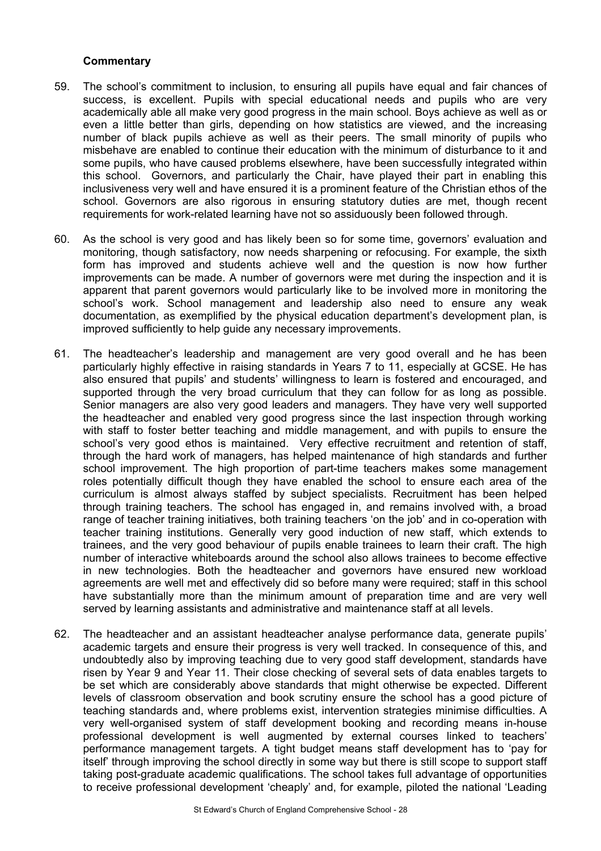- 59. The school's commitment to inclusion, to ensuring all pupils have equal and fair chances of success, is excellent. Pupils with special educational needs and pupils who are very academically able all make very good progress in the main school. Boys achieve as well as or even a little better than girls, depending on how statistics are viewed, and the increasing number of black pupils achieve as well as their peers. The small minority of pupils who misbehave are enabled to continue their education with the minimum of disturbance to it and some pupils, who have caused problems elsewhere, have been successfully integrated within this school. Governors, and particularly the Chair, have played their part in enabling this inclusiveness very well and have ensured it is a prominent feature of the Christian ethos of the school. Governors are also rigorous in ensuring statutory duties are met, though recent requirements for work-related learning have not so assiduously been followed through.
- 60. As the school is very good and has likely been so for some time, governors' evaluation and monitoring, though satisfactory, now needs sharpening or refocusing. For example, the sixth form has improved and students achieve well and the question is now how further improvements can be made. A number of governors were met during the inspection and it is apparent that parent governors would particularly like to be involved more in monitoring the school's work. School management and leadership also need to ensure any weak documentation, as exemplified by the physical education department's development plan, is improved sufficiently to help guide any necessary improvements.
- 61. The headteacher's leadership and management are very good overall and he has been particularly highly effective in raising standards in Years 7 to 11, especially at GCSE. He has also ensured that pupils' and students' willingness to learn is fostered and encouraged, and supported through the very broad curriculum that they can follow for as long as possible. Senior managers are also very good leaders and managers. They have very well supported the headteacher and enabled very good progress since the last inspection through working with staff to foster better teaching and middle management, and with pupils to ensure the school's very good ethos is maintained. Very effective recruitment and retention of staff, through the hard work of managers, has helped maintenance of high standards and further school improvement. The high proportion of part-time teachers makes some management roles potentially difficult though they have enabled the school to ensure each area of the curriculum is almost always staffed by subject specialists. Recruitment has been helped through training teachers. The school has engaged in, and remains involved with, a broad range of teacher training initiatives, both training teachers 'on the job' and in co-operation with teacher training institutions. Generally very good induction of new staff, which extends to trainees, and the very good behaviour of pupils enable trainees to learn their craft. The high number of interactive whiteboards around the school also allows trainees to become effective in new technologies. Both the headteacher and governors have ensured new workload agreements are well met and effectively did so before many were required; staff in this school have substantially more than the minimum amount of preparation time and are very well served by learning assistants and administrative and maintenance staff at all levels.
- 62. The headteacher and an assistant headteacher analyse performance data, generate pupils' academic targets and ensure their progress is very well tracked. In consequence of this, and undoubtedly also by improving teaching due to very good staff development, standards have risen by Year 9 and Year 11. Their close checking of several sets of data enables targets to be set which are considerably above standards that might otherwise be expected. Different levels of classroom observation and book scrutiny ensure the school has a good picture of teaching standards and, where problems exist, intervention strategies minimise difficulties. A very well-organised system of staff development booking and recording means in-house professional development is well augmented by external courses linked to teachers' performance management targets. A tight budget means staff development has to 'pay for itself' through improving the school directly in some way but there is still scope to support staff taking post-graduate academic qualifications. The school takes full advantage of opportunities to receive professional development 'cheaply' and, for example, piloted the national 'Leading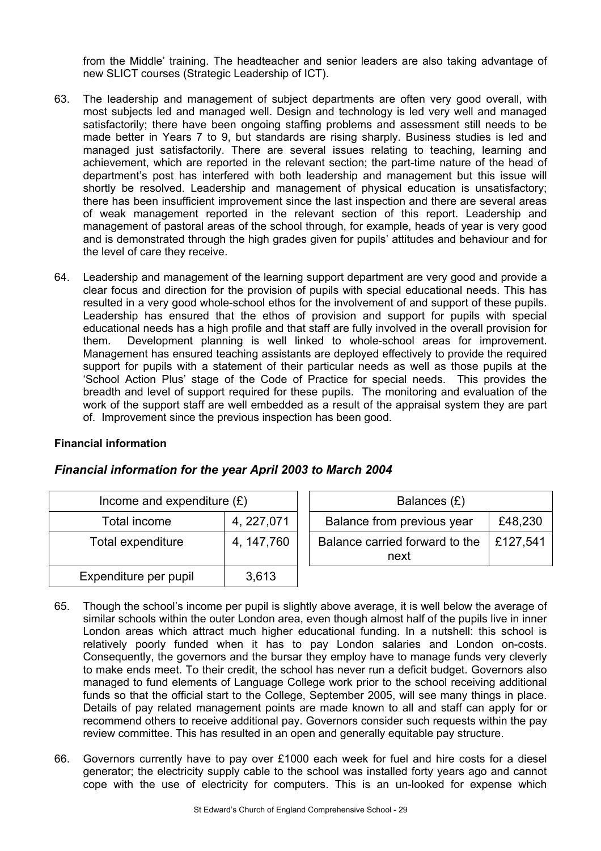from the Middle' training. The headteacher and senior leaders are also taking advantage of new SLICT courses (Strategic Leadership of ICT).

- 63. The leadership and management of subject departments are often very good overall, with most subjects led and managed well. Design and technology is led very well and managed satisfactorily; there have been ongoing staffing problems and assessment still needs to be made better in Years 7 to 9, but standards are rising sharply. Business studies is led and managed just satisfactorily. There are several issues relating to teaching, learning and achievement, which are reported in the relevant section; the part-time nature of the head of department's post has interfered with both leadership and management but this issue will shortly be resolved. Leadership and management of physical education is unsatisfactory; there has been insufficient improvement since the last inspection and there are several areas of weak management reported in the relevant section of this report. Leadership and management of pastoral areas of the school through, for example, heads of year is very good and is demonstrated through the high grades given for pupils' attitudes and behaviour and for the level of care they receive.
- 64. Leadership and management of the learning support department are very good and provide a clear focus and direction for the provision of pupils with special educational needs. This has resulted in a very good whole-school ethos for the involvement of and support of these pupils. Leadership has ensured that the ethos of provision and support for pupils with special educational needs has a high profile and that staff are fully involved in the overall provision for them. Development planning is well linked to whole-school areas for improvement. Management has ensured teaching assistants are deployed effectively to provide the required support for pupils with a statement of their particular needs as well as those pupils at the 'School Action Plus' stage of the Code of Practice for special needs. This provides the breadth and level of support required for these pupils. The monitoring and evaluation of the work of the support staff are well embedded as a result of the appraisal system they are part of. Improvement since the previous inspection has been good.

# **Financial information**

# *Financial information for the year April 2003 to March 2004*

| Income and expenditure $(E)$ |             | Balances (£)                           |          |
|------------------------------|-------------|----------------------------------------|----------|
| Total income                 | 4, 227,071  | Balance from previous year             | £48,230  |
| Total expenditure            | 4, 147, 760 | Balance carried forward to the<br>next | £127,541 |
| Expenditure per pupil        | 3,613       |                                        |          |

- 65. Though the school's income per pupil is slightly above average, it is well below the average of similar schools within the outer London area, even though almost half of the pupils live in inner London areas which attract much higher educational funding. In a nutshell: this school is relatively poorly funded when it has to pay London salaries and London on-costs. Consequently, the governors and the bursar they employ have to manage funds very cleverly to make ends meet. To their credit, the school has never run a deficit budget. Governors also managed to fund elements of Language College work prior to the school receiving additional funds so that the official start to the College, September 2005, will see many things in place. Details of pay related management points are made known to all and staff can apply for or recommend others to receive additional pay. Governors consider such requests within the pay review committee. This has resulted in an open and generally equitable pay structure.
- 66. Governors currently have to pay over £1000 each week for fuel and hire costs for a diesel generator; the electricity supply cable to the school was installed forty years ago and cannot cope with the use of electricity for computers. This is an un-looked for expense which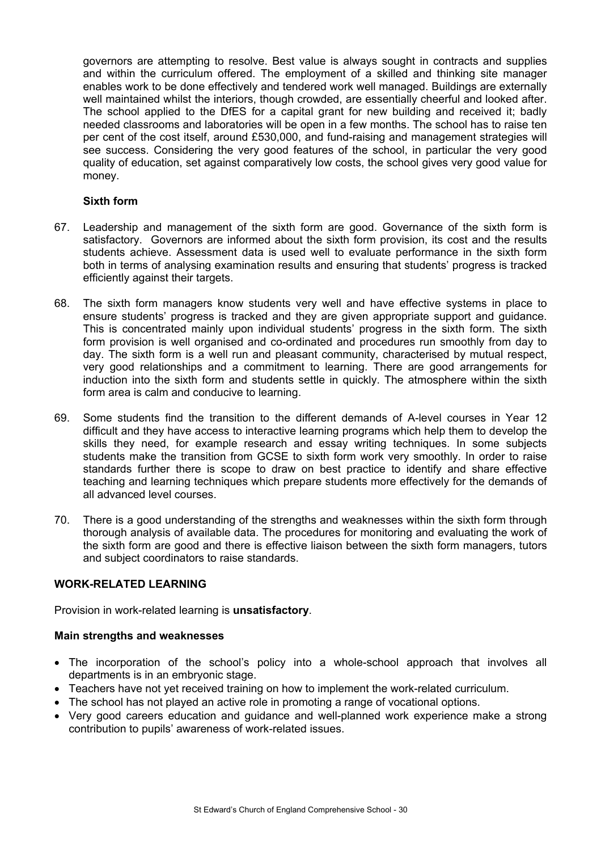governors are attempting to resolve. Best value is always sought in contracts and supplies and within the curriculum offered. The employment of a skilled and thinking site manager enables work to be done effectively and tendered work well managed. Buildings are externally well maintained whilst the interiors, though crowded, are essentially cheerful and looked after. The school applied to the DfES for a capital grant for new building and received it; badly needed classrooms and laboratories will be open in a few months. The school has to raise ten per cent of the cost itself, around £530,000, and fund-raising and management strategies will see success. Considering the very good features of the school, in particular the very good quality of education, set against comparatively low costs, the school gives very good value for money.

#### **Sixth form**

- 67. Leadership and management of the sixth form are good. Governance of the sixth form is satisfactory. Governors are informed about the sixth form provision, its cost and the results students achieve. Assessment data is used well to evaluate performance in the sixth form both in terms of analysing examination results and ensuring that students' progress is tracked efficiently against their targets.
- 68. The sixth form managers know students very well and have effective systems in place to ensure students' progress is tracked and they are given appropriate support and guidance. This is concentrated mainly upon individual students' progress in the sixth form. The sixth form provision is well organised and co-ordinated and procedures run smoothly from day to day. The sixth form is a well run and pleasant community, characterised by mutual respect, very good relationships and a commitment to learning. There are good arrangements for induction into the sixth form and students settle in quickly. The atmosphere within the sixth form area is calm and conducive to learning.
- 69. Some students find the transition to the different demands of A-level courses in Year 12 difficult and they have access to interactive learning programs which help them to develop the skills they need, for example research and essay writing techniques. In some subjects students make the transition from GCSE to sixth form work very smoothly. In order to raise standards further there is scope to draw on best practice to identify and share effective teaching and learning techniques which prepare students more effectively for the demands of all advanced level courses.
- 70. There is a good understanding of the strengths and weaknesses within the sixth form through thorough analysis of available data. The procedures for monitoring and evaluating the work of the sixth form are good and there is effective liaison between the sixth form managers, tutors and subject coordinators to raise standards.

# **WORK-RELATED LEARNING**

Provision in work-related learning is **unsatisfactory**.

#### **Main strengths and weaknesses**

- The incorporation of the school's policy into a whole-school approach that involves all departments is in an embryonic stage.
- Teachers have not yet received training on how to implement the work-related curriculum.
- The school has not played an active role in promoting a range of vocational options.
- Very good careers education and guidance and well-planned work experience make a strong contribution to pupils' awareness of work-related issues.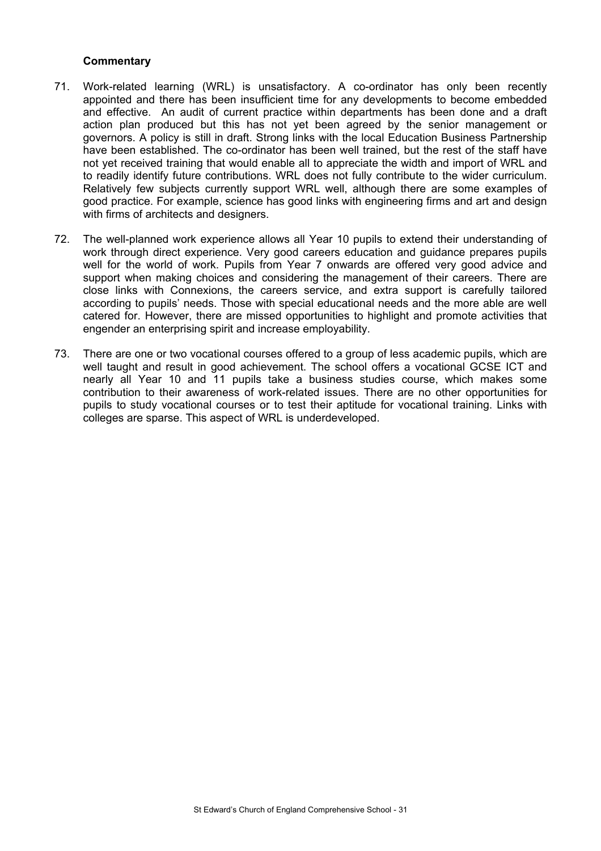- 71. Work-related learning (WRL) is unsatisfactory. A co-ordinator has only been recently appointed and there has been insufficient time for any developments to become embedded and effective. An audit of current practice within departments has been done and a draft action plan produced but this has not yet been agreed by the senior management or governors. A policy is still in draft. Strong links with the local Education Business Partnership have been established. The co-ordinator has been well trained, but the rest of the staff have not yet received training that would enable all to appreciate the width and import of WRL and to readily identify future contributions. WRL does not fully contribute to the wider curriculum. Relatively few subjects currently support WRL well, although there are some examples of good practice. For example, science has good links with engineering firms and art and design with firms of architects and designers.
- 72. The well-planned work experience allows all Year 10 pupils to extend their understanding of work through direct experience. Very good careers education and guidance prepares pupils well for the world of work. Pupils from Year 7 onwards are offered very good advice and support when making choices and considering the management of their careers. There are close links with Connexions, the careers service, and extra support is carefully tailored according to pupils' needs. Those with special educational needs and the more able are well catered for. However, there are missed opportunities to highlight and promote activities that engender an enterprising spirit and increase employability.
- 73. There are one or two vocational courses offered to a group of less academic pupils, which are well taught and result in good achievement. The school offers a vocational GCSE ICT and nearly all Year 10 and 11 pupils take a business studies course, which makes some contribution to their awareness of work-related issues. There are no other opportunities for pupils to study vocational courses or to test their aptitude for vocational training. Links with colleges are sparse. This aspect of WRL is underdeveloped.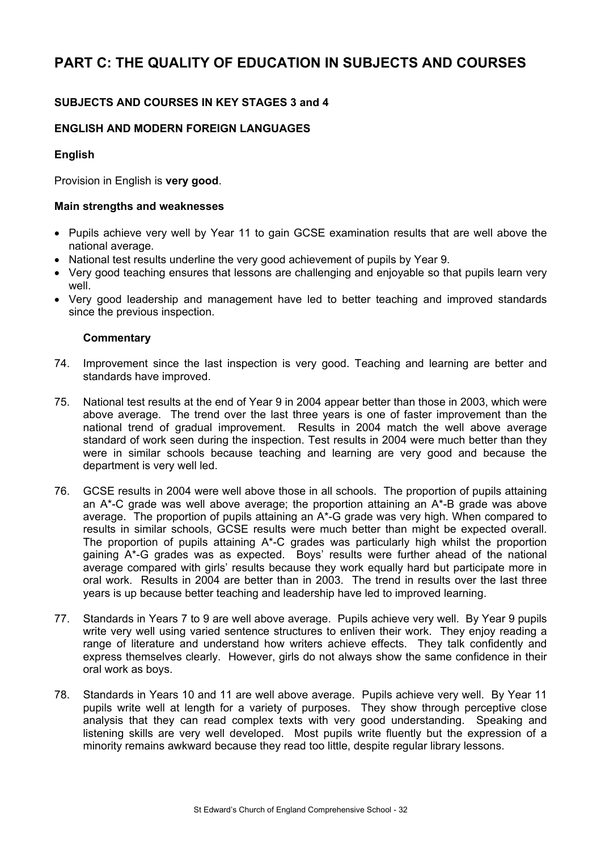# **PART C: THE QUALITY OF EDUCATION IN SUBJECTS AND COURSES**

# **SUBJECTS AND COURSES IN KEY STAGES 3 and 4**

# **ENGLISH AND MODERN FOREIGN LANGUAGES**

# **English**

Provision in English is **very good**.

## **Main strengths and weaknesses**

- Pupils achieve very well by Year 11 to gain GCSE examination results that are well above the national average.
- National test results underline the very good achievement of pupils by Year 9.
- Very good teaching ensures that lessons are challenging and enjoyable so that pupils learn very well
- Very good leadership and management have led to better teaching and improved standards since the previous inspection.

- 74. Improvement since the last inspection is very good. Teaching and learning are better and standards have improved.
- 75. National test results at the end of Year 9 in 2004 appear better than those in 2003, which were above average. The trend over the last three years is one of faster improvement than the national trend of gradual improvement. Results in 2004 match the well above average standard of work seen during the inspection. Test results in 2004 were much better than they were in similar schools because teaching and learning are very good and because the department is very well led.
- 76. GCSE results in 2004 were well above those in all schools. The proportion of pupils attaining an A\*-C grade was well above average; the proportion attaining an A\*-B grade was above average. The proportion of pupils attaining an A\*-G grade was very high. When compared to results in similar schools, GCSE results were much better than might be expected overall. The proportion of pupils attaining A\*-C grades was particularly high whilst the proportion gaining A\*-G grades was as expected. Boys' results were further ahead of the national average compared with girls' results because they work equally hard but participate more in oral work. Results in 2004 are better than in 2003. The trend in results over the last three years is up because better teaching and leadership have led to improved learning.
- 77. Standards in Years 7 to 9 are well above average. Pupils achieve very well.By Year 9 pupils write very well using varied sentence structures to enliven their work. They enjoy reading a range of literature and understand how writers achieve effects. They talk confidently and express themselves clearly. However, girls do not always show the same confidence in their oral work as boys.
- 78. Standards in Years 10 and 11 are well above average. Pupils achieve very well.By Year 11 pupils write well at length for a variety of purposes. They show through perceptive close analysis that they can read complex texts with very good understanding. Speaking and listening skills are very well developed. Most pupils write fluently but the expression of a minority remains awkward because they read too little, despite regular library lessons.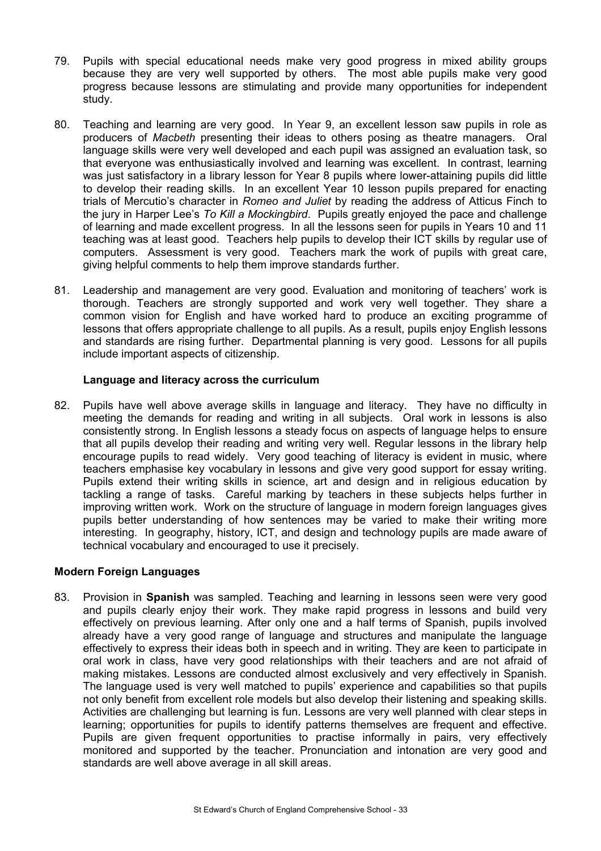- 79. Pupils with special educational needs make very good progress in mixed ability groups because they are very well supported by others. The most able pupils make very good progress because lessons are stimulating and provide many opportunities for independent study.
- 80. Teaching and learning are very good.In Year 9, an excellent lesson saw pupils in role as producers of *Macbeth* presenting their ideas to others posing as theatre managers. Oral language skills were very well developed and each pupil was assigned an evaluation task, so that everyone was enthusiastically involved and learning was excellent. In contrast, learning was just satisfactory in a library lesson for Year 8 pupils where lower-attaining pupils did little to develop their reading skills. In an excellent Year 10 lesson pupils prepared for enacting trials of Mercutio's character in *Romeo and Juliet* by reading the address of Atticus Finch to the jury in Harper Lee's *To Kill a Mockingbird*. Pupils greatly enjoyed the pace and challenge of learning and made excellent progress. In all the lessons seen for pupils in Years 10 and 11 teaching was at least good. Teachers help pupils to develop their ICT skills by regular use of computers. Assessment is very good.Teachers mark the work of pupils with great care, giving helpful comments to help them improve standards further.
- 81. Leadership and management are very good. Evaluation and monitoring of teachers' work is thorough. Teachers are strongly supported and work very well together. They share a common vision for English and have worked hard to produce an exciting programme of lessons that offers appropriate challenge to all pupils. As a result, pupils enjoy English lessons and standards are rising further. Departmental planning is very good. Lessons for all pupils include important aspects of citizenship.

#### **Language and literacy across the curriculum**

82. Pupils have well above average skills in language and literacy. They have no difficulty in meeting the demands for reading and writing in all subjects. Oral work in lessons is also consistently strong. In English lessons a steady focus on aspects of language helps to ensure that all pupils develop their reading and writing very well. Regular lessons in the library help encourage pupils to read widely. Very good teaching of literacy is evident in music, where teachers emphasise key vocabulary in lessons and give very good support for essay writing. Pupils extend their writing skills in science, art and design and in religious education by tackling a range of tasks. Careful marking by teachers in these subjects helps further in improving written work. Work on the structure of language in modern foreign languages gives pupils better understanding of how sentences may be varied to make their writing more interesting. In geography, history, ICT, and design and technology pupils are made aware of technical vocabulary and encouraged to use it precisely.

# **Modern Foreign Languages**

83. Provision in **Spanish** was sampled. Teaching and learning in lessons seen were very good and pupils clearly enjoy their work. They make rapid progress in lessons and build very effectively on previous learning. After only one and a half terms of Spanish, pupils involved already have a very good range of language and structures and manipulate the language effectively to express their ideas both in speech and in writing. They are keen to participate in oral work in class, have very good relationships with their teachers and are not afraid of making mistakes. Lessons are conducted almost exclusively and very effectively in Spanish. The language used is very well matched to pupils' experience and capabilities so that pupils not only benefit from excellent role models but also develop their listening and speaking skills. Activities are challenging but learning is fun. Lessons are very well planned with clear steps in learning; opportunities for pupils to identify patterns themselves are frequent and effective. Pupils are given frequent opportunities to practise informally in pairs, very effectively monitored and supported by the teacher. Pronunciation and intonation are very good and standards are well above average in all skill areas.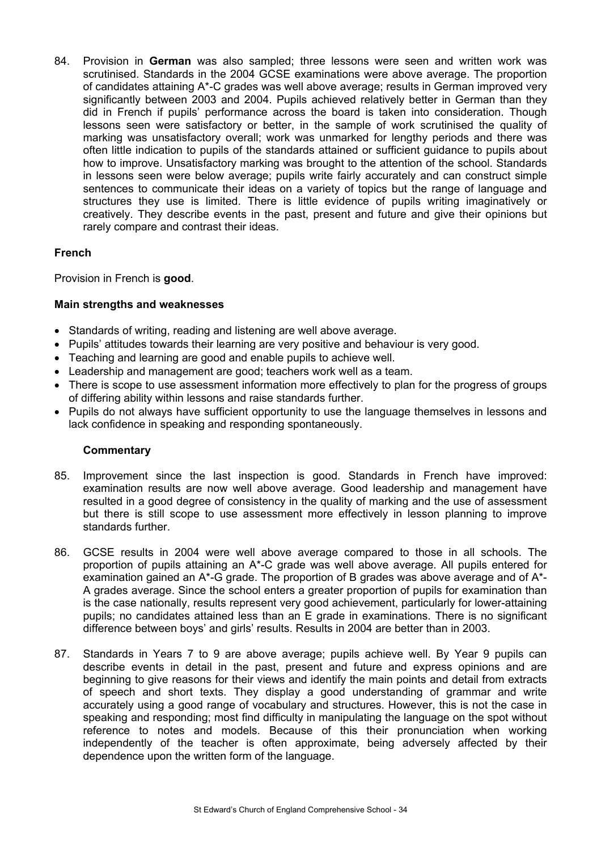84. Provision in **German** was also sampled; three lessons were seen and written work was scrutinised. Standards in the 2004 GCSE examinations were above average. The proportion of candidates attaining A\*-C grades was well above average; results in German improved very significantly between 2003 and 2004. Pupils achieved relatively better in German than they did in French if pupils' performance across the board is taken into consideration. Though lessons seen were satisfactory or better, in the sample of work scrutinised the quality of marking was unsatisfactory overall; work was unmarked for lengthy periods and there was often little indication to pupils of the standards attained or sufficient guidance to pupils about how to improve. Unsatisfactory marking was brought to the attention of the school. Standards in lessons seen were below average; pupils write fairly accurately and can construct simple sentences to communicate their ideas on a variety of topics but the range of language and structures they use is limited. There is little evidence of pupils writing imaginatively or creatively. They describe events in the past, present and future and give their opinions but rarely compare and contrast their ideas.

# **French**

Provision in French is **good**.

# **Main strengths and weaknesses**

- Standards of writing, reading and listening are well above average.
- Pupils' attitudes towards their learning are very positive and behaviour is very good.
- Teaching and learning are good and enable pupils to achieve well.
- Leadership and management are good; teachers work well as a team.
- There is scope to use assessment information more effectively to plan for the progress of groups of differing ability within lessons and raise standards further.
- Pupils do not always have sufficient opportunity to use the language themselves in lessons and lack confidence in speaking and responding spontaneously.

- 85. Improvement since the last inspection is good. Standards in French have improved: examination results are now well above average. Good leadership and management have resulted in a good degree of consistency in the quality of marking and the use of assessment but there is still scope to use assessment more effectively in lesson planning to improve standards further.
- 86. GCSE results in 2004 were well above average compared to those in all schools. The proportion of pupils attaining an A\*-C grade was well above average. All pupils entered for examination gained an A\*-G grade. The proportion of B grades was above average and of A\*- A grades average. Since the school enters a greater proportion of pupils for examination than is the case nationally, results represent very good achievement, particularly for lower-attaining pupils; no candidates attained less than an E grade in examinations. There is no significant difference between boys' and girls' results. Results in 2004 are better than in 2003.
- 87. Standards in Years 7 to 9 are above average; pupils achieve well. By Year 9 pupils can describe events in detail in the past, present and future and express opinions and are beginning to give reasons for their views and identify the main points and detail from extracts of speech and short texts. They display a good understanding of grammar and write accurately using a good range of vocabulary and structures. However, this is not the case in speaking and responding; most find difficulty in manipulating the language on the spot without reference to notes and models. Because of this their pronunciation when working independently of the teacher is often approximate, being adversely affected by their dependence upon the written form of the language.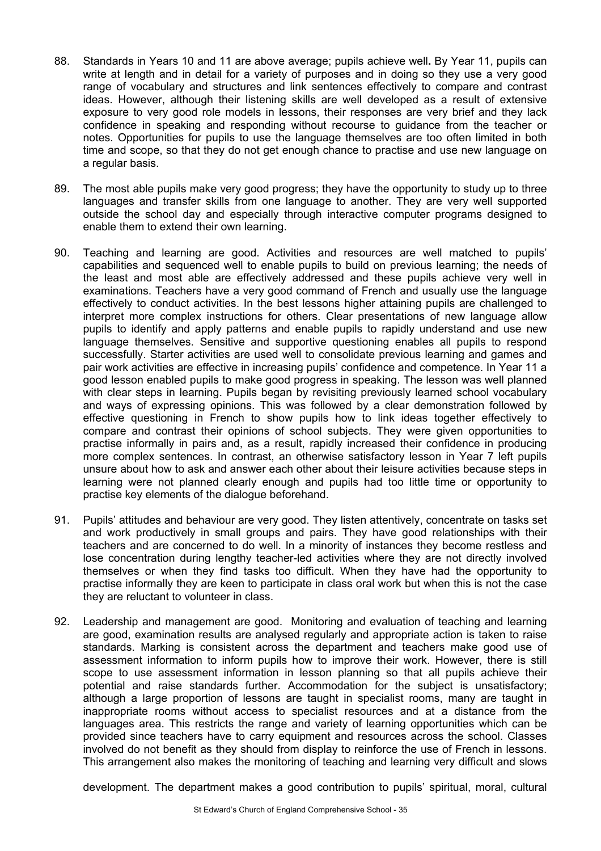- 88. Standards in Years 10 and 11 are above average; pupils achieve well**.** By Year 11, pupils can write at length and in detail for a variety of purposes and in doing so they use a very good range of vocabulary and structures and link sentences effectively to compare and contrast ideas. However, although their listening skills are well developed as a result of extensive exposure to very good role models in lessons, their responses are very brief and they lack confidence in speaking and responding without recourse to guidance from the teacher or notes. Opportunities for pupils to use the language themselves are too often limited in both time and scope, so that they do not get enough chance to practise and use new language on a regular basis.
- 89. The most able pupils make very good progress; they have the opportunity to study up to three languages and transfer skills from one language to another. They are very well supported outside the school day and especially through interactive computer programs designed to enable them to extend their own learning.
- 90. Teaching and learning are good. Activities and resources are well matched to pupils' capabilities and sequenced well to enable pupils to build on previous learning; the needs of the least and most able are effectively addressed and these pupils achieve very well in examinations. Teachers have a very good command of French and usually use the language effectively to conduct activities. In the best lessons higher attaining pupils are challenged to interpret more complex instructions for others. Clear presentations of new language allow pupils to identify and apply patterns and enable pupils to rapidly understand and use new language themselves. Sensitive and supportive questioning enables all pupils to respond successfully. Starter activities are used well to consolidate previous learning and games and pair work activities are effective in increasing pupils' confidence and competence. In Year 11 a good lesson enabled pupils to make good progress in speaking. The lesson was well planned with clear steps in learning. Pupils began by revisiting previously learned school vocabulary and ways of expressing opinions. This was followed by a clear demonstration followed by effective questioning in French to show pupils how to link ideas together effectively to compare and contrast their opinions of school subjects. They were given opportunities to practise informally in pairs and, as a result, rapidly increased their confidence in producing more complex sentences. In contrast, an otherwise satisfactory lesson in Year 7 left pupils unsure about how to ask and answer each other about their leisure activities because steps in learning were not planned clearly enough and pupils had too little time or opportunity to practise key elements of the dialogue beforehand.
- 91. Pupils' attitudes and behaviour are very good. They listen attentively, concentrate on tasks set and work productively in small groups and pairs. They have good relationships with their teachers and are concerned to do well. In a minority of instances they become restless and lose concentration during lengthy teacher-led activities where they are not directly involved themselves or when they find tasks too difficult. When they have had the opportunity to practise informally they are keen to participate in class oral work but when this is not the case they are reluctant to volunteer in class.
- 92. Leadership and management are good. Monitoring and evaluation of teaching and learning are good, examination results are analysed regularly and appropriate action is taken to raise standards. Marking is consistent across the department and teachers make good use of assessment information to inform pupils how to improve their work. However, there is still scope to use assessment information in lesson planning so that all pupils achieve their potential and raise standards further. Accommodation for the subject is unsatisfactory; although a large proportion of lessons are taught in specialist rooms, many are taught in inappropriate rooms without access to specialist resources and at a distance from the languages area. This restricts the range and variety of learning opportunities which can be provided since teachers have to carry equipment and resources across the school. Classes involved do not benefit as they should from display to reinforce the use of French in lessons. This arrangement also makes the monitoring of teaching and learning very difficult and slows

development. The department makes a good contribution to pupils' spiritual, moral, cultural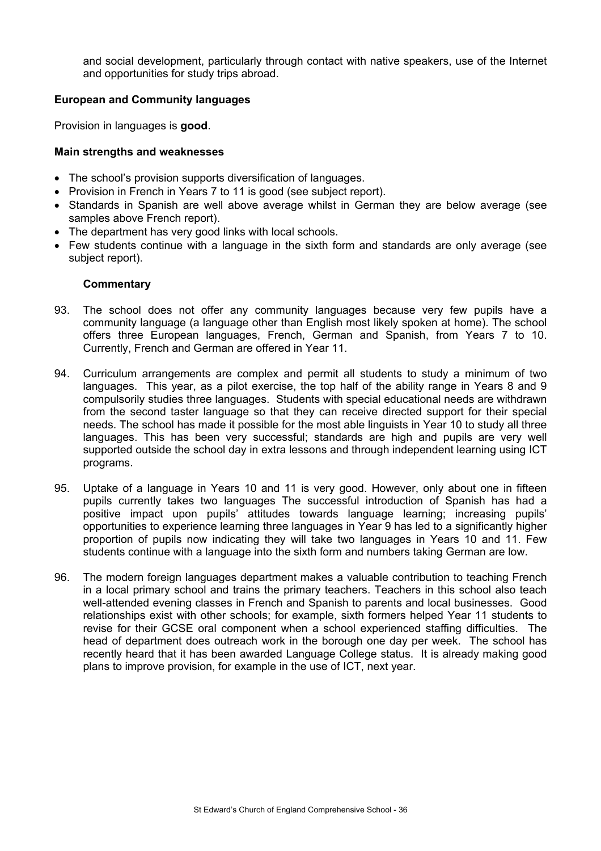and social development, particularly through contact with native speakers, use of the Internet and opportunities for study trips abroad.

#### **European and Community languages**

Provision in languages is **good**.

#### **Main strengths and weaknesses**

- The school's provision supports diversification of languages.
- Provision in French in Years 7 to 11 is good (see subject report).
- Standards in Spanish are well above average whilst in German they are below average (see samples above French report).
- The department has very good links with local schools.
- Few students continue with a language in the sixth form and standards are only average (see subject report).

- 93. The school does not offer any community languages because very few pupils have a community language (a language other than English most likely spoken at home). The school offers three European languages, French, German and Spanish, from Years 7 to 10. Currently, French and German are offered in Year 11.
- 94. Curriculum arrangements are complex and permit all students to study a minimum of two languages. This year, as a pilot exercise, the top half of the ability range in Years 8 and 9 compulsorily studies three languages. Students with special educational needs are withdrawn from the second taster language so that they can receive directed support for their special needs. The school has made it possible for the most able linguists in Year 10 to study all three languages. This has been very successful; standards are high and pupils are very well supported outside the school day in extra lessons and through independent learning using ICT programs.
- 95. Uptake of a language in Years 10 and 11 is very good. However, only about one in fifteen pupils currently takes two languages The successful introduction of Spanish has had a positive impact upon pupils' attitudes towards language learning; increasing pupils' opportunities to experience learning three languages in Year 9 has led to a significantly higher proportion of pupils now indicating they will take two languages in Years 10 and 11. Few students continue with a language into the sixth form and numbers taking German are low.
- 96. The modern foreign languages department makes a valuable contribution to teaching French in a local primary school and trains the primary teachers. Teachers in this school also teach well-attended evening classes in French and Spanish to parents and local businesses. Good relationships exist with other schools; for example, sixth formers helped Year 11 students to revise for their GCSE oral component when a school experienced staffing difficulties. The head of department does outreach work in the borough one day per week. The school has recently heard that it has been awarded Language College status. It is already making good plans to improve provision, for example in the use of ICT, next year.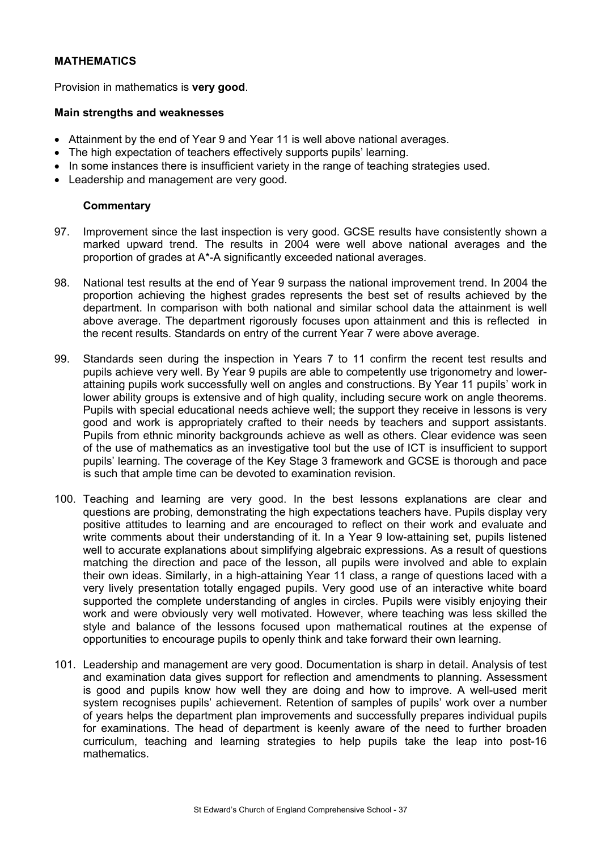# **MATHEMATICS**

Provision in mathematics is **very good**.

#### **Main strengths and weaknesses**

- Attainment by the end of Year 9 and Year 11 is well above national averages.
- The high expectation of teachers effectively supports pupils' learning.
- In some instances there is insufficient variety in the range of teaching strategies used.
- Leadership and management are very good.

- 97. Improvement since the last inspection is very good. GCSE results have consistently shown a marked upward trend. The results in 2004 were well above national averages and the proportion of grades at A\*-A significantly exceeded national averages.
- 98. National test results at the end of Year 9 surpass the national improvement trend. In 2004 the proportion achieving the highest grades represents the best set of results achieved by the department. In comparison with both national and similar school data the attainment is well above average. The department rigorously focuses upon attainment and this is reflected in the recent results. Standards on entry of the current Year 7 were above average.
- 99. Standards seen during the inspection in Years 7 to 11 confirm the recent test results and pupils achieve very well. By Year 9 pupils are able to competently use trigonometry and lowerattaining pupils work successfully well on angles and constructions. By Year 11 pupils' work in lower ability groups is extensive and of high quality, including secure work on angle theorems. Pupils with special educational needs achieve well; the support they receive in lessons is very good and work is appropriately crafted to their needs by teachers and support assistants. Pupils from ethnic minority backgrounds achieve as well as others. Clear evidence was seen of the use of mathematics as an investigative tool but the use of ICT is insufficient to support pupils' learning. The coverage of the Key Stage 3 framework and GCSE is thorough and pace is such that ample time can be devoted to examination revision.
- 100. Teaching and learning are very good. In the best lessons explanations are clear and questions are probing, demonstrating the high expectations teachers have. Pupils display very positive attitudes to learning and are encouraged to reflect on their work and evaluate and write comments about their understanding of it. In a Year 9 low-attaining set, pupils listened well to accurate explanations about simplifying algebraic expressions. As a result of questions matching the direction and pace of the lesson, all pupils were involved and able to explain their own ideas. Similarly, in a high-attaining Year 11 class, a range of questions laced with a very lively presentation totally engaged pupils. Very good use of an interactive white board supported the complete understanding of angles in circles. Pupils were visibly enjoying their work and were obviously very well motivated. However, where teaching was less skilled the style and balance of the lessons focused upon mathematical routines at the expense of opportunities to encourage pupils to openly think and take forward their own learning.
- 101. Leadership and management are very good. Documentation is sharp in detail. Analysis of test and examination data gives support for reflection and amendments to planning. Assessment is good and pupils know how well they are doing and how to improve. A well-used merit system recognises pupils' achievement. Retention of samples of pupils' work over a number of years helps the department plan improvements and successfully prepares individual pupils for examinations. The head of department is keenly aware of the need to further broaden curriculum, teaching and learning strategies to help pupils take the leap into post-16 mathematics.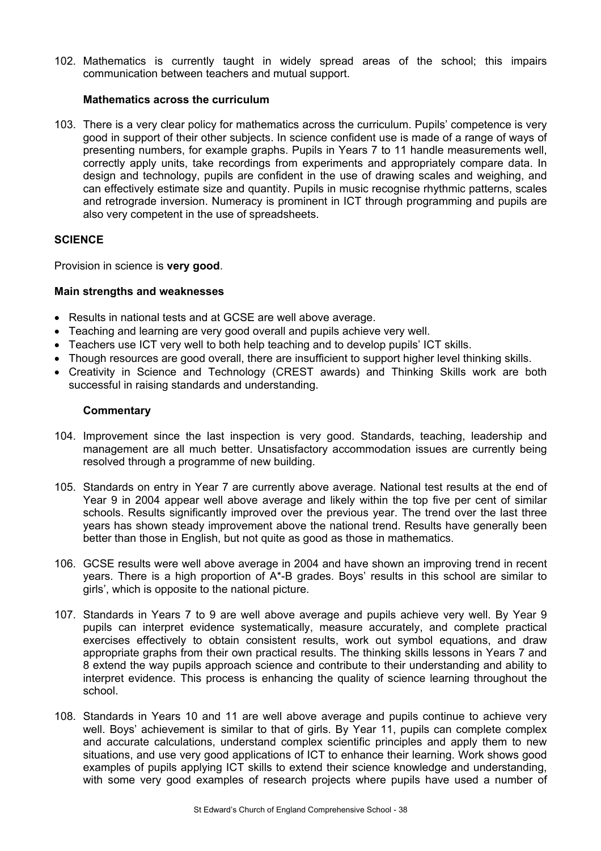102. Mathematics is currently taught in widely spread areas of the school; this impairs communication between teachers and mutual support.

# **Mathematics across the curriculum**

103. There is a very clear policy for mathematics across the curriculum. Pupils' competence is very good in support of their other subjects. In science confident use is made of a range of ways of presenting numbers, for example graphs. Pupils in Years 7 to 11 handle measurements well, correctly apply units, take recordings from experiments and appropriately compare data. In design and technology, pupils are confident in the use of drawing scales and weighing, and can effectively estimate size and quantity. Pupils in music recognise rhythmic patterns, scales and retrograde inversion. Numeracy is prominent in ICT through programming and pupils are also very competent in the use of spreadsheets.

# **SCIENCE**

Provision in science is **very good**.

# **Main strengths and weaknesses**

- Results in national tests and at GCSE are well above average.
- Teaching and learning are very good overall and pupils achieve very well.
- Teachers use ICT very well to both help teaching and to develop pupils' ICT skills.
- Though resources are good overall, there are insufficient to support higher level thinking skills.
- Creativity in Science and Technology (CREST awards) and Thinking Skills work are both successful in raising standards and understanding.

- 104. Improvement since the last inspection is very good. Standards, teaching, leadership and management are all much better. Unsatisfactory accommodation issues are currently being resolved through a programme of new building.
- 105. Standards on entry in Year 7 are currently above average. National test results at the end of Year 9 in 2004 appear well above average and likely within the top five per cent of similar schools. Results significantly improved over the previous year. The trend over the last three years has shown steady improvement above the national trend. Results have generally been better than those in English, but not quite as good as those in mathematics.
- 106. GCSE results were well above average in 2004 and have shown an improving trend in recent years. There is a high proportion of A\*-B grades. Boys' results in this school are similar to girls', which is opposite to the national picture.
- 107. Standards in Years 7 to 9 are well above average and pupils achieve very well. By Year 9 pupils can interpret evidence systematically, measure accurately, and complete practical exercises effectively to obtain consistent results, work out symbol equations, and draw appropriate graphs from their own practical results. The thinking skills lessons in Years 7 and 8 extend the way pupils approach science and contribute to their understanding and ability to interpret evidence. This process is enhancing the quality of science learning throughout the school.
- 108. Standards in Years 10 and 11 are well above average and pupils continue to achieve very well. Boys' achievement is similar to that of girls. By Year 11, pupils can complete complex and accurate calculations, understand complex scientific principles and apply them to new situations, and use very good applications of ICT to enhance their learning. Work shows good examples of pupils applying ICT skills to extend their science knowledge and understanding, with some very good examples of research projects where pupils have used a number of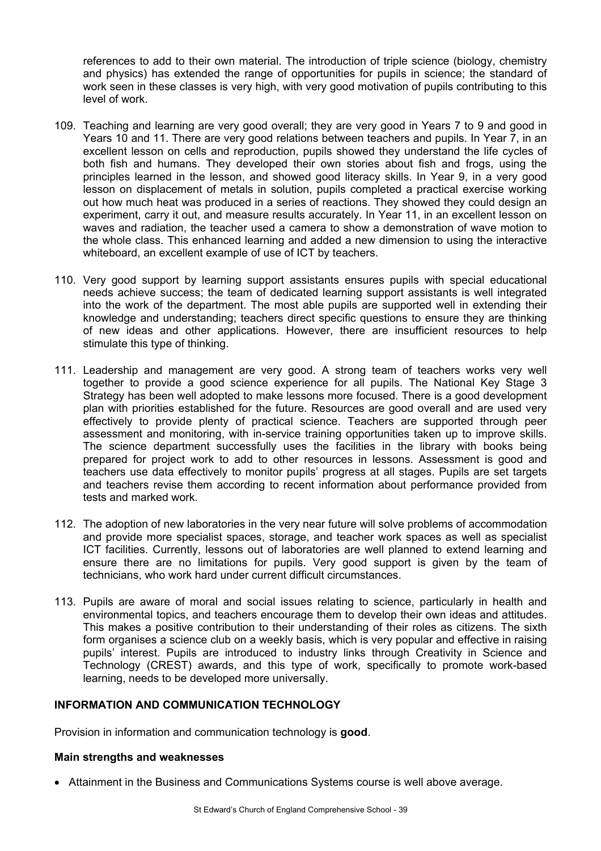references to add to their own material. The introduction of triple science (biology, chemistry and physics) has extended the range of opportunities for pupils in science; the standard of work seen in these classes is very high, with very good motivation of pupils contributing to this level of work.

- 109. Teaching and learning are very good overall; they are very good in Years 7 to 9 and good in Years 10 and 11. There are very good relations between teachers and pupils. In Year 7, in an excellent lesson on cells and reproduction, pupils showed they understand the life cycles of both fish and humans. They developed their own stories about fish and frogs, using the principles learned in the lesson, and showed good literacy skills. In Year 9, in a very good lesson on displacement of metals in solution, pupils completed a practical exercise working out how much heat was produced in a series of reactions. They showed they could design an experiment, carry it out, and measure results accurately. In Year 11, in an excellent lesson on waves and radiation, the teacher used a camera to show a demonstration of wave motion to the whole class. This enhanced learning and added a new dimension to using the interactive whiteboard, an excellent example of use of ICT by teachers.
- 110. Very good support by learning support assistants ensures pupils with special educational needs achieve success; the team of dedicated learning support assistants is well integrated into the work of the department. The most able pupils are supported well in extending their knowledge and understanding; teachers direct specific questions to ensure they are thinking of new ideas and other applications. However, there are insufficient resources to help stimulate this type of thinking.
- 111. Leadership and management are very good. A strong team of teachers works very well together to provide a good science experience for all pupils. The National Key Stage 3 Strategy has been well adopted to make lessons more focused. There is a good development plan with priorities established for the future. Resources are good overall and are used very effectively to provide plenty of practical science. Teachers are supported through peer assessment and monitoring, with in-service training opportunities taken up to improve skills. The science department successfully uses the facilities in the library with books being prepared for project work to add to other resources in lessons. Assessment is good and teachers use data effectively to monitor pupils' progress at all stages. Pupils are set targets and teachers revise them according to recent information about performance provided from tests and marked work.
- 112. The adoption of new laboratories in the very near future will solve problems of accommodation and provide more specialist spaces, storage, and teacher work spaces as well as specialist ICT facilities. Currently, lessons out of laboratories are well planned to extend learning and ensure there are no limitations for pupils. Very good support is given by the team of technicians, who work hard under current difficult circumstances.
- 113. Pupils are aware of moral and social issues relating to science, particularly in health and environmental topics, and teachers encourage them to develop their own ideas and attitudes. This makes a positive contribution to their understanding of their roles as citizens. The sixth form organises a science club on a weekly basis, which is very popular and effective in raising pupils' interest. Pupils are introduced to industry links through Creativity in Science and Technology (CREST) awards, and this type of work, specifically to promote work-based learning, needs to be developed more universally.

# **INFORMATION AND COMMUNICATION TECHNOLOGY**

Provision in information and communication technology is **good**.

#### **Main strengths and weaknesses**

• Attainment in the Business and Communications Systems course is well above average.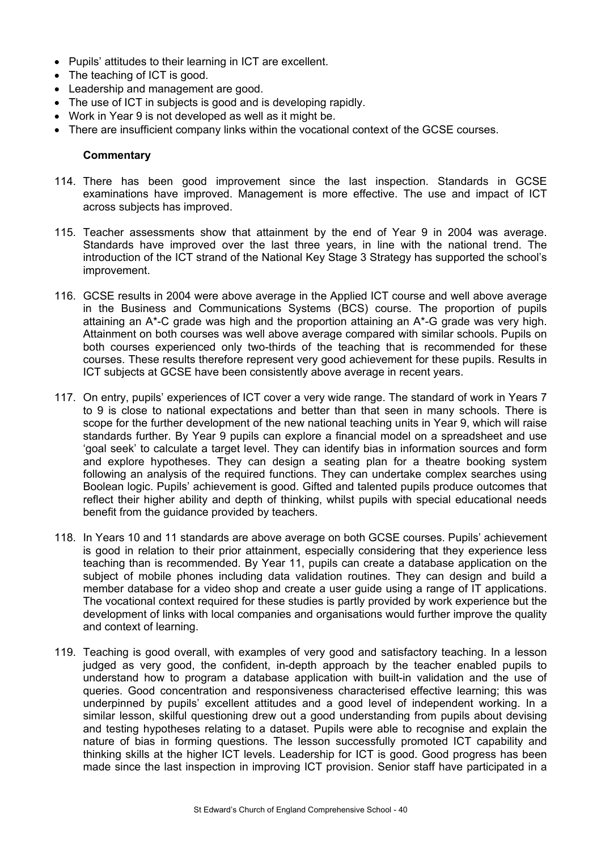- Pupils' attitudes to their learning in ICT are excellent.
- The teaching of ICT is good.
- Leadership and management are good.
- The use of ICT in subjects is good and is developing rapidly.
- Work in Year 9 is not developed as well as it might be.
- There are insufficient company links within the vocational context of the GCSE courses.

- 114. There has been good improvement since the last inspection. Standards in GCSE examinations have improved. Management is more effective. The use and impact of ICT across subjects has improved.
- 115. Teacher assessments show that attainment by the end of Year 9 in 2004 was average. Standards have improved over the last three years, in line with the national trend. The introduction of the ICT strand of the National Key Stage 3 Strategy has supported the school's improvement.
- 116. GCSE results in 2004 were above average in the Applied ICT course and well above average in the Business and Communications Systems (BCS) course. The proportion of pupils attaining an A\*-C grade was high and the proportion attaining an A\*-G grade was very high. Attainment on both courses was well above average compared with similar schools. Pupils on both courses experienced only two-thirds of the teaching that is recommended for these courses. These results therefore represent very good achievement for these pupils. Results in ICT subjects at GCSE have been consistently above average in recent years.
- 117. On entry, pupils' experiences of ICT cover a very wide range. The standard of work in Years 7 to 9 is close to national expectations and better than that seen in many schools. There is scope for the further development of the new national teaching units in Year 9, which will raise standards further. By Year 9 pupils can explore a financial model on a spreadsheet and use 'goal seek' to calculate a target level. They can identify bias in information sources and form and explore hypotheses. They can design a seating plan for a theatre booking system following an analysis of the required functions. They can undertake complex searches using Boolean logic. Pupils' achievement is good. Gifted and talented pupils produce outcomes that reflect their higher ability and depth of thinking, whilst pupils with special educational needs benefit from the guidance provided by teachers.
- 118. In Years 10 and 11 standards are above average on both GCSE courses. Pupils' achievement is good in relation to their prior attainment, especially considering that they experience less teaching than is recommended. By Year 11, pupils can create a database application on the subject of mobile phones including data validation routines. They can design and build a member database for a video shop and create a user guide using a range of IT applications. The vocational context required for these studies is partly provided by work experience but the development of links with local companies and organisations would further improve the quality and context of learning.
- 119. Teaching is good overall, with examples of very good and satisfactory teaching. In a lesson judged as very good, the confident, in-depth approach by the teacher enabled pupils to understand how to program a database application with built-in validation and the use of queries. Good concentration and responsiveness characterised effective learning; this was underpinned by pupils' excellent attitudes and a good level of independent working. In a similar lesson, skilful questioning drew out a good understanding from pupils about devising and testing hypotheses relating to a dataset. Pupils were able to recognise and explain the nature of bias in forming questions. The lesson successfully promoted ICT capability and thinking skills at the higher ICT levels. Leadership for ICT is good. Good progress has been made since the last inspection in improving ICT provision. Senior staff have participated in a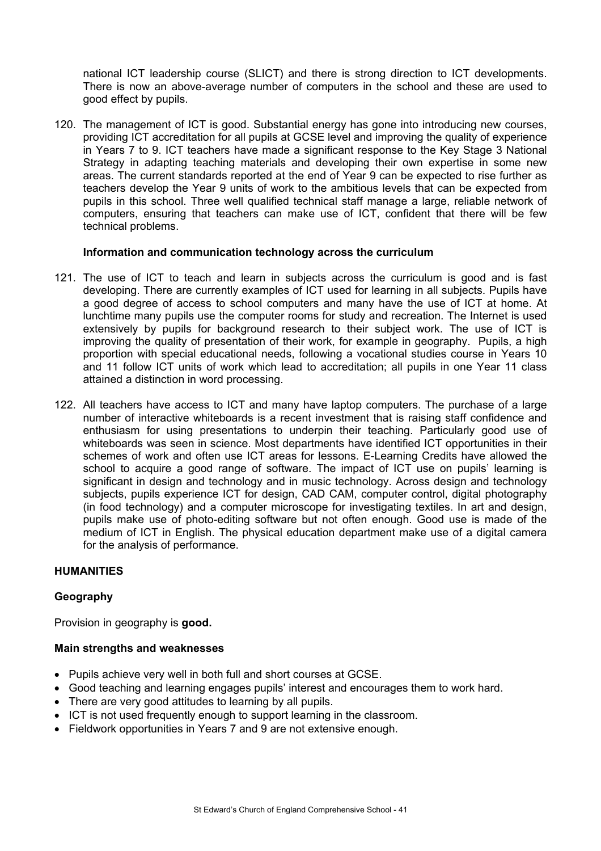national ICT leadership course (SLICT) and there is strong direction to ICT developments. There is now an above-average number of computers in the school and these are used to good effect by pupils.

120. The management of ICT is good. Substantial energy has gone into introducing new courses, providing ICT accreditation for all pupils at GCSE level and improving the quality of experience in Years 7 to 9. ICT teachers have made a significant response to the Key Stage 3 National Strategy in adapting teaching materials and developing their own expertise in some new areas. The current standards reported at the end of Year 9 can be expected to rise further as teachers develop the Year 9 units of work to the ambitious levels that can be expected from pupils in this school. Three well qualified technical staff manage a large, reliable network of computers, ensuring that teachers can make use of ICT, confident that there will be few technical problems.

#### **Information and communication technology across the curriculum**

- 121. The use of ICT to teach and learn in subjects across the curriculum is good and is fast developing. There are currently examples of ICT used for learning in all subjects. Pupils have a good degree of access to school computers and many have the use of ICT at home. At lunchtime many pupils use the computer rooms for study and recreation. The Internet is used extensively by pupils for background research to their subject work. The use of ICT is improving the quality of presentation of their work, for example in geography. Pupils, a high proportion with special educational needs, following a vocational studies course in Years 10 and 11 follow ICT units of work which lead to accreditation; all pupils in one Year 11 class attained a distinction in word processing.
- 122. All teachers have access to ICT and many have laptop computers. The purchase of a large number of interactive whiteboards is a recent investment that is raising staff confidence and enthusiasm for using presentations to underpin their teaching. Particularly good use of whiteboards was seen in science. Most departments have identified ICT opportunities in their schemes of work and often use ICT areas for lessons. E-Learning Credits have allowed the school to acquire a good range of software. The impact of ICT use on pupils' learning is significant in design and technology and in music technology. Across design and technology subjects, pupils experience ICT for design, CAD CAM, computer control, digital photography (in food technology) and a computer microscope for investigating textiles. In art and design, pupils make use of photo-editing software but not often enough. Good use is made of the medium of ICT in English. The physical education department make use of a digital camera for the analysis of performance.

# **HUMANITIES**

# **Geography**

Provision in geography is **good.**

#### **Main strengths and weaknesses**

- Pupils achieve very well in both full and short courses at GCSE.
- Good teaching and learning engages pupils' interest and encourages them to work hard.
- There are very good attitudes to learning by all pupils.
- ICT is not used frequently enough to support learning in the classroom.
- Fieldwork opportunities in Years 7 and 9 are not extensive enough.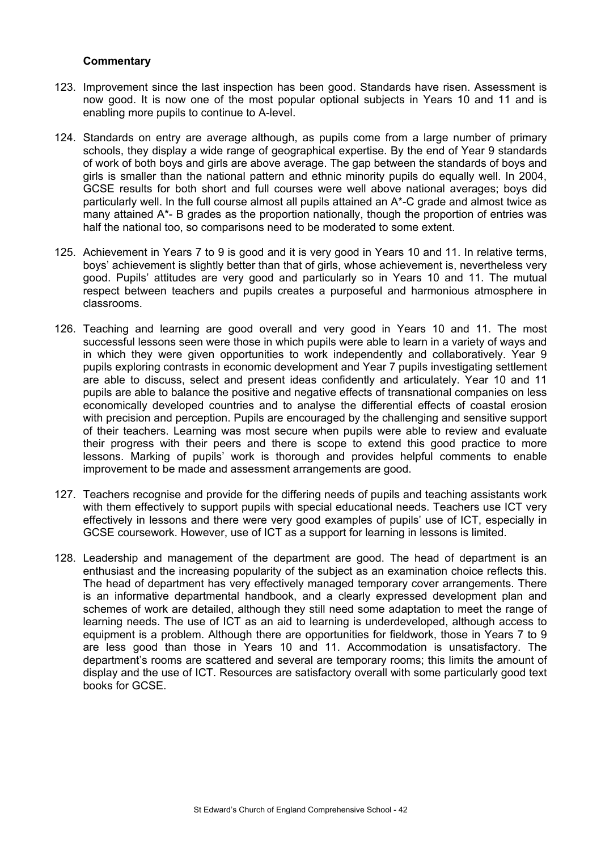- 123. Improvement since the last inspection has been good. Standards have risen. Assessment is now good. It is now one of the most popular optional subjects in Years 10 and 11 and is enabling more pupils to continue to A-level.
- 124. Standards on entry are average although, as pupils come from a large number of primary schools, they display a wide range of geographical expertise. By the end of Year 9 standards of work of both boys and girls are above average. The gap between the standards of boys and girls is smaller than the national pattern and ethnic minority pupils do equally well. In 2004, GCSE results for both short and full courses were well above national averages; boys did particularly well. In the full course almost all pupils attained an A\*-C grade and almost twice as many attained A\*- B grades as the proportion nationally, though the proportion of entries was half the national too, so comparisons need to be moderated to some extent.
- 125. Achievement in Years 7 to 9 is good and it is very good in Years 10 and 11. In relative terms, boys' achievement is slightly better than that of girls, whose achievement is, nevertheless very good. Pupils' attitudes are very good and particularly so in Years 10 and 11. The mutual respect between teachers and pupils creates a purposeful and harmonious atmosphere in classrooms.
- 126. Teaching and learning are good overall and very good in Years 10 and 11. The most successful lessons seen were those in which pupils were able to learn in a variety of ways and in which they were given opportunities to work independently and collaboratively. Year 9 pupils exploring contrasts in economic development and Year 7 pupils investigating settlement are able to discuss, select and present ideas confidently and articulately. Year 10 and 11 pupils are able to balance the positive and negative effects of transnational companies on less economically developed countries and to analyse the differential effects of coastal erosion with precision and perception. Pupils are encouraged by the challenging and sensitive support of their teachers. Learning was most secure when pupils were able to review and evaluate their progress with their peers and there is scope to extend this good practice to more lessons. Marking of pupils' work is thorough and provides helpful comments to enable improvement to be made and assessment arrangements are good.
- 127. Teachers recognise and provide for the differing needs of pupils and teaching assistants work with them effectively to support pupils with special educational needs. Teachers use ICT very effectively in lessons and there were very good examples of pupils' use of ICT, especially in GCSE coursework. However, use of ICT as a support for learning in lessons is limited.
- 128. Leadership and management of the department are good. The head of department is an enthusiast and the increasing popularity of the subject as an examination choice reflects this. The head of department has very effectively managed temporary cover arrangements. There is an informative departmental handbook, and a clearly expressed development plan and schemes of work are detailed, although they still need some adaptation to meet the range of learning needs. The use of ICT as an aid to learning is underdeveloped, although access to equipment is a problem. Although there are opportunities for fieldwork, those in Years 7 to 9 are less good than those in Years 10 and 11. Accommodation is unsatisfactory. The department's rooms are scattered and several are temporary rooms; this limits the amount of display and the use of ICT. Resources are satisfactory overall with some particularly good text books for GCSE.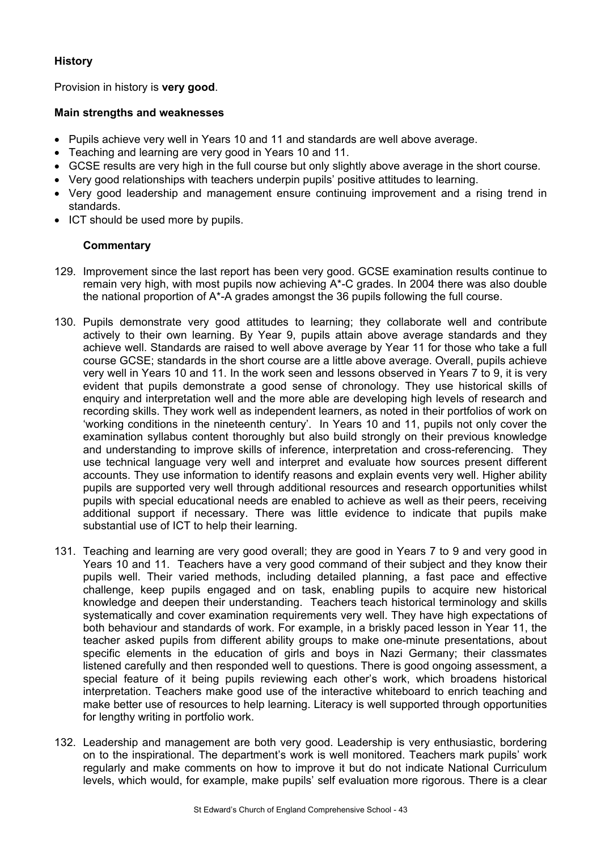# **History**

Provision in history is **very good**.

# **Main strengths and weaknesses**

- Pupils achieve very well in Years 10 and 11 and standards are well above average.
- Teaching and learning are very good in Years 10 and 11.
- GCSE results are very high in the full course but only slightly above average in the short course.
- Very good relationships with teachers underpin pupils' positive attitudes to learning.
- Very good leadership and management ensure continuing improvement and a rising trend in standards.
- ICT should be used more by pupils.

- 129. Improvement since the last report has been very good. GCSE examination results continue to remain very high, with most pupils now achieving A\*-C grades. In 2004 there was also double the national proportion of A\*-A grades amongst the 36 pupils following the full course.
- 130. Pupils demonstrate very good attitudes to learning; they collaborate well and contribute actively to their own learning. By Year 9, pupils attain above average standards and they achieve well. Standards are raised to well above average by Year 11 for those who take a full course GCSE; standards in the short course are a little above average. Overall, pupils achieve very well in Years 10 and 11. In the work seen and lessons observed in Years 7 to 9, it is very evident that pupils demonstrate a good sense of chronology. They use historical skills of enquiry and interpretation well and the more able are developing high levels of research and recording skills. They work well as independent learners, as noted in their portfolios of work on 'working conditions in the nineteenth century'. In Years 10 and 11, pupils not only cover the examination syllabus content thoroughly but also build strongly on their previous knowledge and understanding to improve skills of inference, interpretation and cross-referencing. They use technical language very well and interpret and evaluate how sources present different accounts. They use information to identify reasons and explain events very well. Higher ability pupils are supported very well through additional resources and research opportunities whilst pupils with special educational needs are enabled to achieve as well as their peers, receiving additional support if necessary. There was little evidence to indicate that pupils make substantial use of ICT to help their learning.
- 131. Teaching and learning are very good overall; they are good in Years 7 to 9 and very good in Years 10 and 11. Teachers have a very good command of their subject and they know their pupils well. Their varied methods, including detailed planning, a fast pace and effective challenge, keep pupils engaged and on task, enabling pupils to acquire new historical knowledge and deepen their understanding. Teachers teach historical terminology and skills systematically and cover examination requirements very well. They have high expectations of both behaviour and standards of work. For example, in a briskly paced lesson in Year 11, the teacher asked pupils from different ability groups to make one-minute presentations, about specific elements in the education of girls and boys in Nazi Germany; their classmates listened carefully and then responded well to questions. There is good ongoing assessment, a special feature of it being pupils reviewing each other's work, which broadens historical interpretation. Teachers make good use of the interactive whiteboard to enrich teaching and make better use of resources to help learning. Literacy is well supported through opportunities for lengthy writing in portfolio work.
- 132. Leadership and management are both very good. Leadership is very enthusiastic, bordering on to the inspirational. The department's work is well monitored. Teachers mark pupils' work regularly and make comments on how to improve it but do not indicate National Curriculum levels, which would, for example, make pupils' self evaluation more rigorous. There is a clear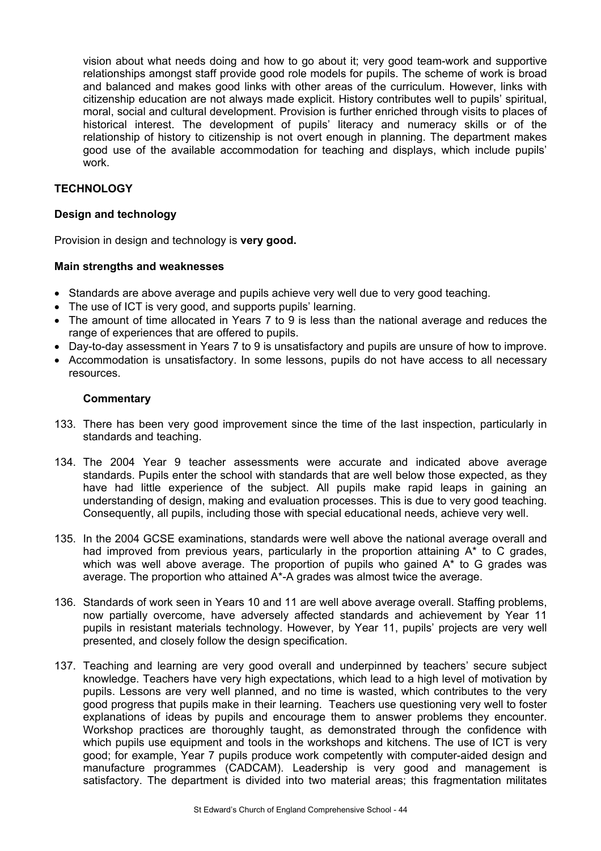vision about what needs doing and how to go about it; very good team-work and supportive relationships amongst staff provide good role models for pupils. The scheme of work is broad and balanced and makes good links with other areas of the curriculum. However, links with citizenship education are not always made explicit. History contributes well to pupils' spiritual, moral, social and cultural development. Provision is further enriched through visits to places of historical interest. The development of pupils' literacy and numeracy skills or of the relationship of history to citizenship is not overt enough in planning. The department makes good use of the available accommodation for teaching and displays, which include pupils' work.

# **TECHNOLOGY**

## **Design and technology**

Provision in design and technology is **very good.** 

#### **Main strengths and weaknesses**

- Standards are above average and pupils achieve very well due to very good teaching.
- The use of ICT is very good, and supports pupils' learning.
- The amount of time allocated in Years 7 to 9 is less than the national average and reduces the range of experiences that are offered to pupils.
- Day-to-day assessment in Years 7 to 9 is unsatisfactory and pupils are unsure of how to improve.
- Accommodation is unsatisfactory. In some lessons, pupils do not have access to all necessary resources.

- 133. There has been very good improvement since the time of the last inspection, particularly in standards and teaching.
- 134. The 2004 Year 9 teacher assessments were accurate and indicated above average standards. Pupils enter the school with standards that are well below those expected, as they have had little experience of the subject. All pupils make rapid leaps in gaining an understanding of design, making and evaluation processes. This is due to very good teaching. Consequently, all pupils, including those with special educational needs, achieve very well.
- 135. In the 2004 GCSE examinations, standards were well above the national average overall and had improved from previous years, particularly in the proportion attaining  $A^*$  to C grades, which was well above average. The proportion of pupils who gained A\* to G grades was average. The proportion who attained A\*-A grades was almost twice the average.
- 136. Standards of work seen in Years 10 and 11 are well above average overall. Staffing problems, now partially overcome, have adversely affected standards and achievement by Year 11 pupils in resistant materials technology. However, by Year 11, pupils' projects are very well presented, and closely follow the design specification.
- 137. Teaching and learning are very good overall and underpinned by teachers' secure subject knowledge. Teachers have very high expectations, which lead to a high level of motivation by pupils. Lessons are very well planned, and no time is wasted, which contributes to the very good progress that pupils make in their learning. Teachers use questioning very well to foster explanations of ideas by pupils and encourage them to answer problems they encounter. Workshop practices are thoroughly taught, as demonstrated through the confidence with which pupils use equipment and tools in the workshops and kitchens. The use of ICT is very good; for example, Year 7 pupils produce work competently with computer-aided design and manufacture programmes (CADCAM). Leadership is very good and management is satisfactory. The department is divided into two material areas; this fragmentation militates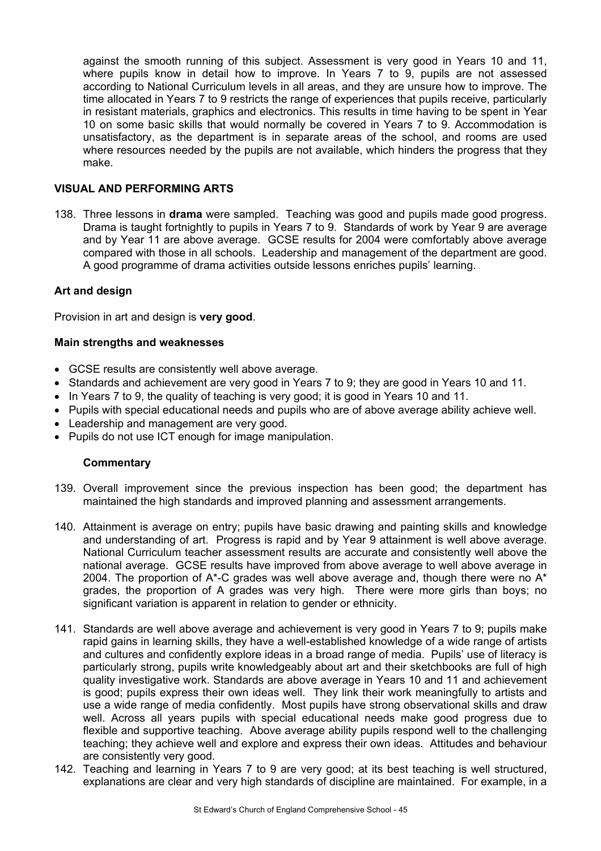against the smooth running of this subject. Assessment is very good in Years 10 and 11, where pupils know in detail how to improve. In Years 7 to 9, pupils are not assessed according to National Curriculum levels in all areas, and they are unsure how to improve. The time allocated in Years 7 to 9 restricts the range of experiences that pupils receive, particularly in resistant materials, graphics and electronics. This results in time having to be spent in Year 10 on some basic skills that would normally be covered in Years 7 to 9. Accommodation is unsatisfactory, as the department is in separate areas of the school, and rooms are used where resources needed by the pupils are not available, which hinders the progress that they make.

# **VISUAL AND PERFORMING ARTS**

138. Three lessons in **drama** were sampled. Teaching was good and pupils made good progress. Drama is taught fortnightly to pupils in Years 7 to 9. Standards of work by Year 9 are average and by Year 11 are above average. GCSE results for 2004 were comfortably above average compared with those in all schools. Leadership and management of the department are good. A good programme of drama activities outside lessons enriches pupils' learning.

#### **Art and design**

Provision in art and design is **very good**.

#### **Main strengths and weaknesses**

- GCSE results are consistently well above average.
- Standards and achievement are very good in Years 7 to 9; they are good in Years 10 and 11.
- In Years 7 to 9, the quality of teaching is very good; it is good in Years 10 and 11.
- Pupils with special educational needs and pupils who are of above average ability achieve well.
- Leadership and management are very good.
- Pupils do not use ICT enough for image manipulation.

- 139. Overall improvement since the previous inspection has been good; the department has maintained the high standards and improved planning and assessment arrangements.
- 140. Attainment is average on entry; pupils have basic drawing and painting skills and knowledge and understanding of art. Progress is rapid and by Year 9 attainment is well above average. National Curriculum teacher assessment results are accurate and consistently well above the national average. GCSE results have improved from above average to well above average in 2004. The proportion of  $A^*$ -C grades was well above average and, though there were no  $A^*$ grades, the proportion of A grades was very high. There were more girls than boys; no significant variation is apparent in relation to gender or ethnicity.
- 141. Standards are well above average and achievement is very good in Years 7 to 9; pupils make rapid gains in learning skills, they have a well-established knowledge of a wide range of artists and cultures and confidently explore ideas in a broad range of media. Pupils' use of literacy is particularly strong, pupils write knowledgeably about art and their sketchbooks are full of high quality investigative work. Standards are above average in Years 10 and 11 and achievement is good; pupils express their own ideas well. They link their work meaningfully to artists and use a wide range of media confidently. Most pupils have strong observational skills and draw well. Across all years pupils with special educational needs make good progress due to flexible and supportive teaching. Above average ability pupils respond well to the challenging teaching; they achieve well and explore and express their own ideas. Attitudes and behaviour are consistently very good.
- 142. Teaching and learning in Years 7 to 9 are very good; at its best teaching is well structured, explanations are clear and very high standards of discipline are maintained. For example, in a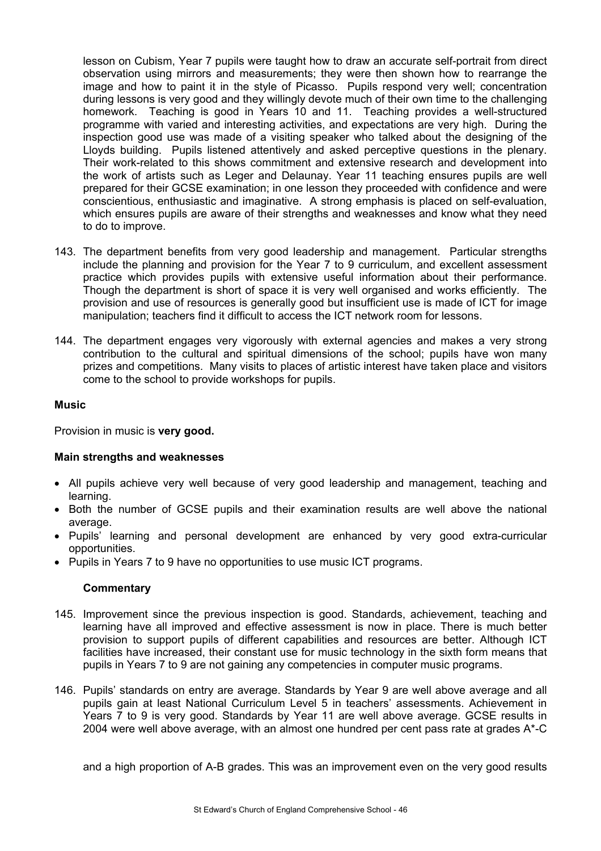lesson on Cubism, Year 7 pupils were taught how to draw an accurate self-portrait from direct observation using mirrors and measurements; they were then shown how to rearrange the image and how to paint it in the style of Picasso. Pupils respond very well; concentration during lessons is very good and they willingly devote much of their own time to the challenging homework. Teaching is good in Years 10 and 11. Teaching provides a well-structured programme with varied and interesting activities, and expectations are very high. During the inspection good use was made of a visiting speaker who talked about the designing of the Lloyds building. Pupils listened attentively and asked perceptive questions in the plenary. Their work-related to this shows commitment and extensive research and development into the work of artists such as Leger and Delaunay. Year 11 teaching ensures pupils are well prepared for their GCSE examination; in one lesson they proceeded with confidence and were conscientious, enthusiastic and imaginative. A strong emphasis is placed on self-evaluation, which ensures pupils are aware of their strengths and weaknesses and know what they need to do to improve.

- 143. The department benefits from very good leadership and management. Particular strengths include the planning and provision for the Year 7 to 9 curriculum, and excellent assessment practice which provides pupils with extensive useful information about their performance. Though the department is short of space it is very well organised and works efficiently. The provision and use of resources is generally good but insufficient use is made of ICT for image manipulation; teachers find it difficult to access the ICT network room for lessons.
- 144. The department engages very vigorously with external agencies and makes a very strong contribution to the cultural and spiritual dimensions of the school; pupils have won many prizes and competitions. Many visits to places of artistic interest have taken place and visitors come to the school to provide workshops for pupils.

#### **Music**

Provision in music is **very good.** 

# **Main strengths and weaknesses**

- All pupils achieve very well because of very good leadership and management, teaching and learning.
- Both the number of GCSE pupils and their examination results are well above the national average.
- Pupils' learning and personal development are enhanced by very good extra-curricular opportunities.
- Pupils in Years 7 to 9 have no opportunities to use music ICT programs.

# **Commentary**

- 145. Improvement since the previous inspection is good. Standards, achievement, teaching and learning have all improved and effective assessment is now in place. There is much better provision to support pupils of different capabilities and resources are better. Although ICT facilities have increased, their constant use for music technology in the sixth form means that pupils in Years 7 to 9 are not gaining any competencies in computer music programs.
- 146. Pupils' standards on entry are average. Standards by Year 9 are well above average and all pupils gain at least National Curriculum Level 5 in teachers' assessments. Achievement in Years 7 to 9 is very good. Standards by Year 11 are well above average. GCSE results in 2004 were well above average, with an almost one hundred per cent pass rate at grades A\*-C

and a high proportion of A-B grades. This was an improvement even on the very good results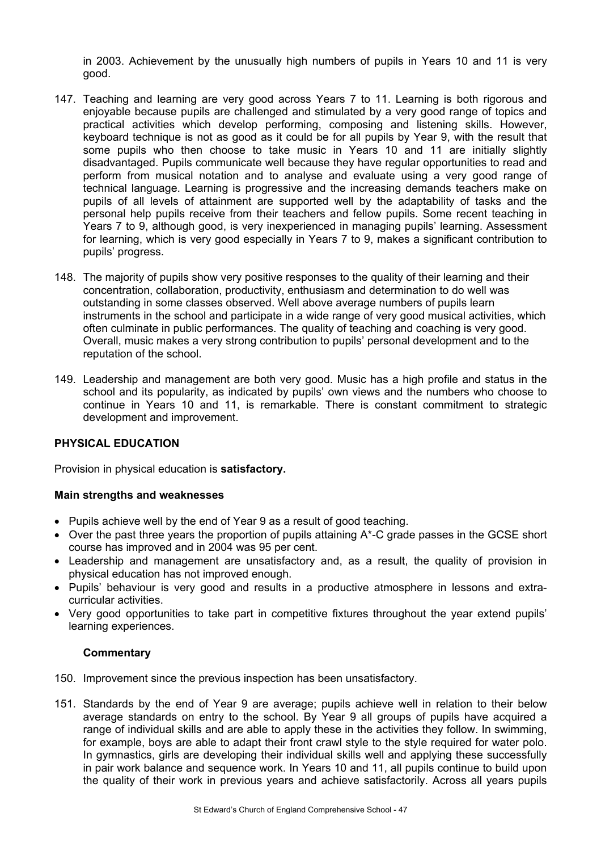in 2003. Achievement by the unusually high numbers of pupils in Years 10 and 11 is very good.

- 147. Teaching and learning are very good across Years 7 to 11. Learning is both rigorous and enjoyable because pupils are challenged and stimulated by a very good range of topics and practical activities which develop performing, composing and listening skills. However, keyboard technique is not as good as it could be for all pupils by Year 9, with the result that some pupils who then choose to take music in Years 10 and 11 are initially slightly disadvantaged. Pupils communicate well because they have regular opportunities to read and perform from musical notation and to analyse and evaluate using a very good range of technical language. Learning is progressive and the increasing demands teachers make on pupils of all levels of attainment are supported well by the adaptability of tasks and the personal help pupils receive from their teachers and fellow pupils. Some recent teaching in Years 7 to 9, although good, is very inexperienced in managing pupils' learning. Assessment for learning, which is very good especially in Years 7 to 9, makes a significant contribution to pupils' progress.
- 148. The majority of pupils show very positive responses to the quality of their learning and their concentration, collaboration, productivity, enthusiasm and determination to do well was outstanding in some classes observed. Well above average numbers of pupils learn instruments in the school and participate in a wide range of very good musical activities, which often culminate in public performances. The quality of teaching and coaching is very good. Overall, music makes a very strong contribution to pupils' personal development and to the reputation of the school.
- 149. Leadership and management are both very good. Music has a high profile and status in the school and its popularity, as indicated by pupils' own views and the numbers who choose to continue in Years 10 and 11, is remarkable. There is constant commitment to strategic development and improvement.

# **PHYSICAL EDUCATION**

Provision in physical education is **satisfactory.** 

# **Main strengths and weaknesses**

- Pupils achieve well by the end of Year 9 as a result of good teaching.
- Over the past three years the proportion of pupils attaining  $A^*$ -C grade passes in the GCSE short course has improved and in 2004 was 95 per cent.
- Leadership and management are unsatisfactory and, as a result, the quality of provision in physical education has not improved enough.
- Pupils' behaviour is very good and results in a productive atmosphere in lessons and extracurricular activities.
- Very good opportunities to take part in competitive fixtures throughout the year extend pupils' learning experiences.

- 150. Improvement since the previous inspection has been unsatisfactory.
- 151. Standards by the end of Year 9 are average; pupils achieve well in relation to their below average standards on entry to the school. By Year 9 all groups of pupils have acquired a range of individual skills and are able to apply these in the activities they follow. In swimming, for example, boys are able to adapt their front crawl style to the style required for water polo. In gymnastics, girls are developing their individual skills well and applying these successfully in pair work balance and sequence work. In Years 10 and 11, all pupils continue to build upon the quality of their work in previous years and achieve satisfactorily. Across all years pupils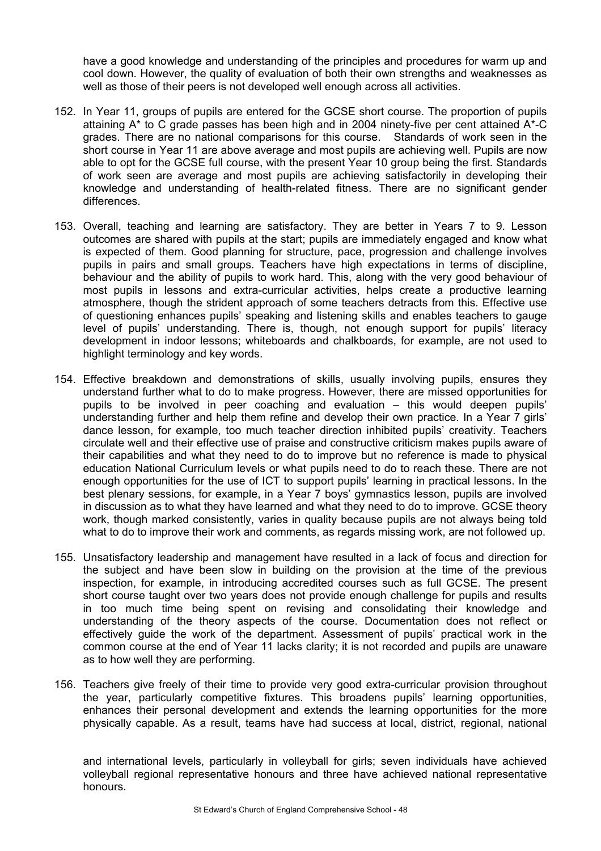have a good knowledge and understanding of the principles and procedures for warm up and cool down. However, the quality of evaluation of both their own strengths and weaknesses as well as those of their peers is not developed well enough across all activities.

- 152. In Year 11, groups of pupils are entered for the GCSE short course. The proportion of pupils attaining  $A^*$  to C grade passes has been high and in 2004 ninety-five per cent attained  $A^*$ -C grades. There are no national comparisons for this course. Standards of work seen in the short course in Year 11 are above average and most pupils are achieving well. Pupils are now able to opt for the GCSE full course, with the present Year 10 group being the first. Standards of work seen are average and most pupils are achieving satisfactorily in developing their knowledge and understanding of health-related fitness. There are no significant gender differences.
- 153. Overall, teaching and learning are satisfactory. They are better in Years 7 to 9. Lesson outcomes are shared with pupils at the start; pupils are immediately engaged and know what is expected of them. Good planning for structure, pace, progression and challenge involves pupils in pairs and small groups. Teachers have high expectations in terms of discipline, behaviour and the ability of pupils to work hard. This, along with the very good behaviour of most pupils in lessons and extra-curricular activities, helps create a productive learning atmosphere, though the strident approach of some teachers detracts from this. Effective use of questioning enhances pupils' speaking and listening skills and enables teachers to gauge level of pupils' understanding. There is, though, not enough support for pupils' literacy development in indoor lessons; whiteboards and chalkboards, for example, are not used to highlight terminology and key words.
- 154. Effective breakdown and demonstrations of skills, usually involving pupils, ensures they understand further what to do to make progress. However, there are missed opportunities for pupils to be involved in peer coaching and evaluation – this would deepen pupils' understanding further and help them refine and develop their own practice. In a Year 7 girls' dance lesson, for example, too much teacher direction inhibited pupils' creativity. Teachers circulate well and their effective use of praise and constructive criticism makes pupils aware of their capabilities and what they need to do to improve but no reference is made to physical education National Curriculum levels or what pupils need to do to reach these. There are not enough opportunities for the use of ICT to support pupils' learning in practical lessons. In the best plenary sessions, for example, in a Year 7 boys' gymnastics lesson, pupils are involved in discussion as to what they have learned and what they need to do to improve. GCSE theory work, though marked consistently, varies in quality because pupils are not always being told what to do to improve their work and comments, as regards missing work, are not followed up.
- 155. Unsatisfactory leadership and management have resulted in a lack of focus and direction for the subject and have been slow in building on the provision at the time of the previous inspection, for example, in introducing accredited courses such as full GCSE. The present short course taught over two years does not provide enough challenge for pupils and results in too much time being spent on revising and consolidating their knowledge and understanding of the theory aspects of the course. Documentation does not reflect or effectively guide the work of the department. Assessment of pupils' practical work in the common course at the end of Year 11 lacks clarity; it is not recorded and pupils are unaware as to how well they are performing.
- 156. Teachers give freely of their time to provide very good extra-curricular provision throughout the year, particularly competitive fixtures. This broadens pupils' learning opportunities, enhances their personal development and extends the learning opportunities for the more physically capable. As a result, teams have had success at local, district, regional, national

and international levels, particularly in volleyball for girls; seven individuals have achieved volleyball regional representative honours and three have achieved national representative honours.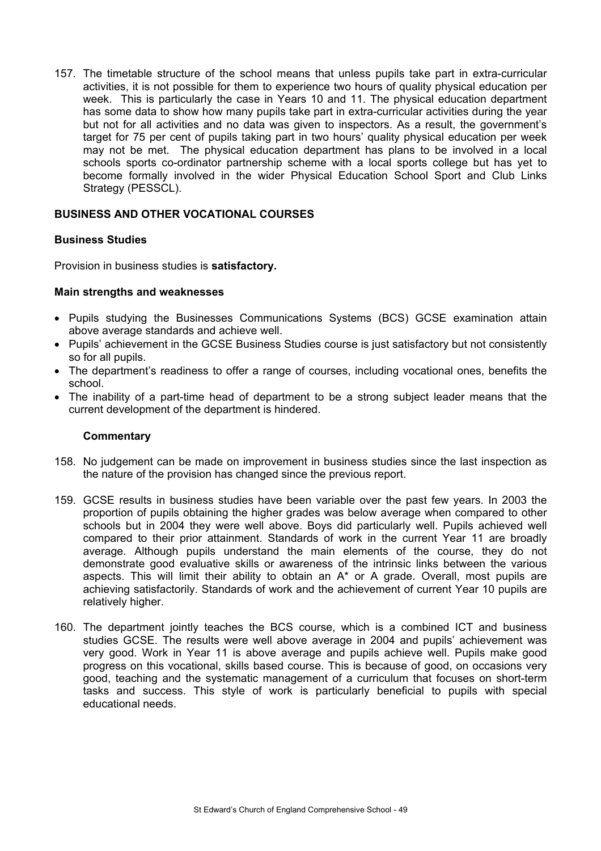157. The timetable structure of the school means that unless pupils take part in extra-curricular activities, it is not possible for them to experience two hours of quality physical education per week. This is particularly the case in Years 10 and 11. The physical education department has some data to show how many pupils take part in extra-curricular activities during the year but not for all activities and no data was given to inspectors. As a result, the government's target for 75 per cent of pupils taking part in two hours' quality physical education per week may not be met. The physical education department has plans to be involved in a local schools sports co-ordinator partnership scheme with a local sports college but has yet to become formally involved in the wider Physical Education School Sport and Club Links Strategy (PESSCL).

# **BUSINESS AND OTHER VOCATIONAL COURSES**

# **Business Studies**

Provision in business studies is **satisfactory.** 

# **Main strengths and weaknesses**

- Pupils studying the Businesses Communications Systems (BCS) GCSE examination attain above average standards and achieve well.
- Pupils' achievement in the GCSE Business Studies course is just satisfactory but not consistently so for all pupils.
- The department's readiness to offer a range of courses, including vocational ones, benefits the school.
- The inability of a part-time head of department to be a strong subject leader means that the current development of the department is hindered.

- 158. No judgement can be made on improvement in business studies since the last inspection as the nature of the provision has changed since the previous report.
- 159. GCSE results in business studies have been variable over the past few years. In 2003 the proportion of pupils obtaining the higher grades was below average when compared to other schools but in 2004 they were well above. Boys did particularly well. Pupils achieved well compared to their prior attainment. Standards of work in the current Year 11 are broadly average. Although pupils understand the main elements of the course, they do not demonstrate good evaluative skills or awareness of the intrinsic links between the various aspects. This will limit their ability to obtain an A\* or A grade. Overall, most pupils are achieving satisfactorily. Standards of work and the achievement of current Year 10 pupils are relatively higher.
- 160. The department jointly teaches the BCS course, which is a combined ICT and business studies GCSE. The results were well above average in 2004 and pupils' achievement was very good. Work in Year 11 is above average and pupils achieve well. Pupils make good progress on this vocational, skills based course. This is because of good, on occasions very good, teaching and the systematic management of a curriculum that focuses on short-term tasks and success. This style of work is particularly beneficial to pupils with special educational needs.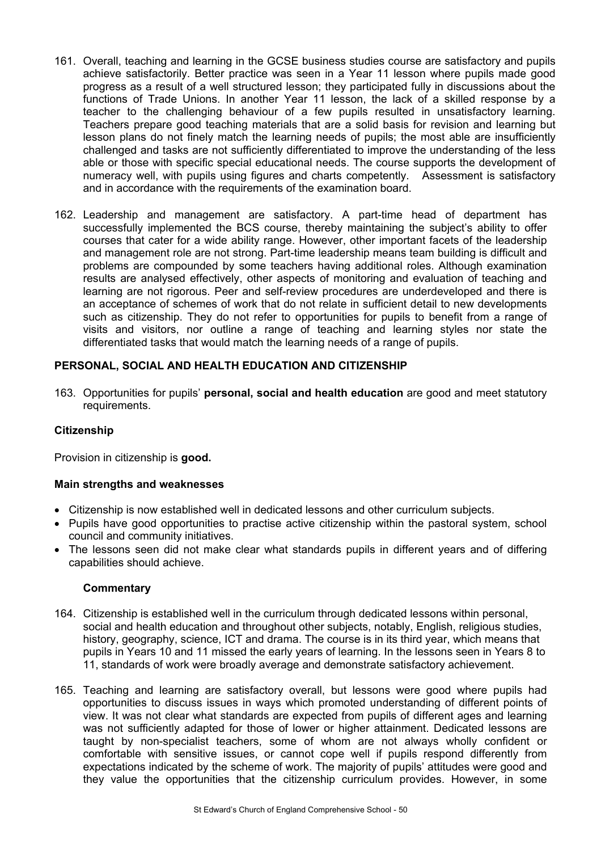- 161. Overall, teaching and learning in the GCSE business studies course are satisfactory and pupils achieve satisfactorily. Better practice was seen in a Year 11 lesson where pupils made good progress as a result of a well structured lesson; they participated fully in discussions about the functions of Trade Unions. In another Year 11 lesson, the lack of a skilled response by a teacher to the challenging behaviour of a few pupils resulted in unsatisfactory learning. Teachers prepare good teaching materials that are a solid basis for revision and learning but lesson plans do not finely match the learning needs of pupils; the most able are insufficiently challenged and tasks are not sufficiently differentiated to improve the understanding of the less able or those with specific special educational needs. The course supports the development of numeracy well, with pupils using figures and charts competently. Assessment is satisfactory and in accordance with the requirements of the examination board.
- 162. Leadership and management are satisfactory. A part-time head of department has successfully implemented the BCS course, thereby maintaining the subject's ability to offer courses that cater for a wide ability range. However, other important facets of the leadership and management role are not strong. Part-time leadership means team building is difficult and problems are compounded by some teachers having additional roles. Although examination results are analysed effectively, other aspects of monitoring and evaluation of teaching and learning are not rigorous. Peer and self-review procedures are underdeveloped and there is an acceptance of schemes of work that do not relate in sufficient detail to new developments such as citizenship. They do not refer to opportunities for pupils to benefit from a range of visits and visitors, nor outline a range of teaching and learning styles nor state the differentiated tasks that would match the learning needs of a range of pupils.

# **PERSONAL, SOCIAL AND HEALTH EDUCATION AND CITIZENSHIP**

163. Opportunities for pupils' **personal, social and health education** are good and meet statutory requirements.

# **Citizenship**

Provision in citizenship is **good.** 

#### **Main strengths and weaknesses**

- Citizenship is now established well in dedicated lessons and other curriculum subjects.
- Pupils have good opportunities to practise active citizenship within the pastoral system, school council and community initiatives.
- The lessons seen did not make clear what standards pupils in different years and of differing capabilities should achieve.

- 164. Citizenship is established well in the curriculum through dedicated lessons within personal, social and health education and throughout other subjects, notably, English, religious studies, history, geography, science, ICT and drama. The course is in its third year, which means that pupils in Years 10 and 11 missed the early years of learning. In the lessons seen in Years 8 to 11, standards of work were broadly average and demonstrate satisfactory achievement.
- 165. Teaching and learning are satisfactory overall, but lessons were good where pupils had opportunities to discuss issues in ways which promoted understanding of different points of view. It was not clear what standards are expected from pupils of different ages and learning was not sufficiently adapted for those of lower or higher attainment. Dedicated lessons are taught by non-specialist teachers, some of whom are not always wholly confident or comfortable with sensitive issues, or cannot cope well if pupils respond differently from expectations indicated by the scheme of work. The majority of pupils' attitudes were good and they value the opportunities that the citizenship curriculum provides. However, in some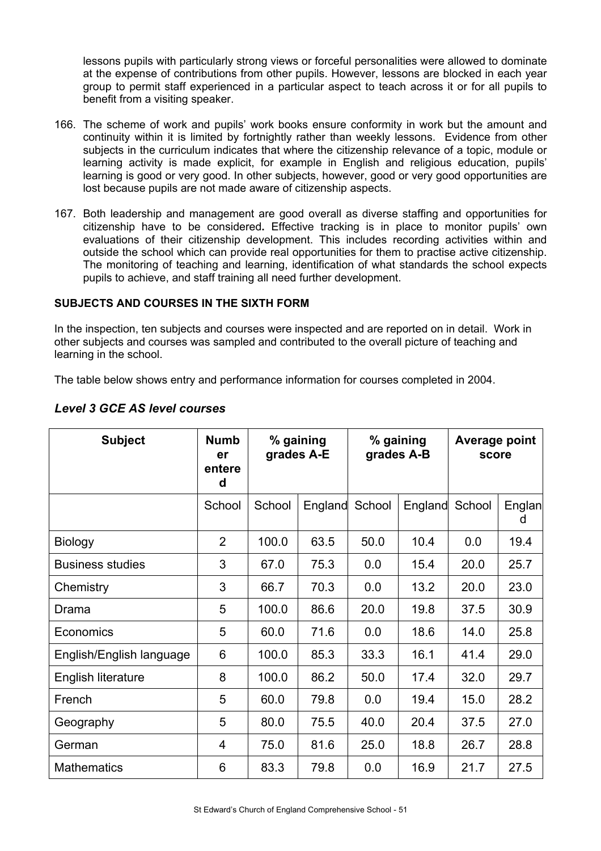lessons pupils with particularly strong views or forceful personalities were allowed to dominate at the expense of contributions from other pupils. However, lessons are blocked in each year group to permit staff experienced in a particular aspect to teach across it or for all pupils to benefit from a visiting speaker.

- 166. The scheme of work and pupils' work books ensure conformity in work but the amount and continuity within it is limited by fortnightly rather than weekly lessons. Evidence from other subjects in the curriculum indicates that where the citizenship relevance of a topic, module or learning activity is made explicit, for example in English and religious education, pupils' learning is good or very good. In other subjects, however, good or very good opportunities are lost because pupils are not made aware of citizenship aspects.
- 167. Both leadership and management are good overall as diverse staffing and opportunities for citizenship have to be considered**.** Effective tracking is in place to monitor pupils' own evaluations of their citizenship development. This includes recording activities within and outside the school which can provide real opportunities for them to practise active citizenship. The monitoring of teaching and learning, identification of what standards the school expects pupils to achieve, and staff training all need further development.

# **SUBJECTS AND COURSES IN THE SIXTH FORM**

In the inspection, ten subjects and courses were inspected and are reported on in detail. Work in other subjects and courses was sampled and contributed to the overall picture of teaching and learning in the school.

The table below shows entry and performance information for courses completed in 2004.

| <b>Subject</b>           | <b>Numb</b><br>er<br>entere<br>d |        | % gaining<br>grades A-E |        | % gaining<br>grades A-B | Average point<br>score |             |
|--------------------------|----------------------------------|--------|-------------------------|--------|-------------------------|------------------------|-------------|
|                          | School                           | School | England                 | School | England                 | School                 | Englan<br>d |
| <b>Biology</b>           | $\overline{2}$                   | 100.0  | 63.5                    | 50.0   | 10.4                    | 0.0                    | 19.4        |
| <b>Business studies</b>  | 3                                | 67.0   | 75.3                    | 0.0    | 15.4                    | 20.0                   | 25.7        |
| Chemistry                | 3                                | 66.7   | 70.3                    | 0.0    | 13.2                    | 20.0                   | 23.0        |
| Drama                    | 5                                | 100.0  | 86.6                    | 20.0   | 19.8                    | 37.5                   | 30.9        |
| Economics                | 5                                | 60.0   | 71.6                    | 0.0    | 18.6                    | 14.0                   | 25.8        |
| English/English language | 6                                | 100.0  | 85.3                    | 33.3   | 16.1                    | 41.4                   | 29.0        |
| English literature       | 8                                | 100.0  | 86.2                    | 50.0   | 17.4                    | 32.0                   | 29.7        |
| French                   | 5                                | 60.0   | 79.8                    | 0.0    | 19.4                    | 15.0                   | 28.2        |
| Geography                | 5                                | 80.0   | 75.5                    | 40.0   | 20.4                    | 37.5                   | 27.0        |
| German                   | 4                                | 75.0   | 81.6                    | 25.0   | 18.8                    | 26.7                   | 28.8        |
| <b>Mathematics</b>       | 6                                | 83.3   | 79.8                    | 0.0    | 16.9                    | 21.7                   | 27.5        |

# *Level 3 GCE AS level courses*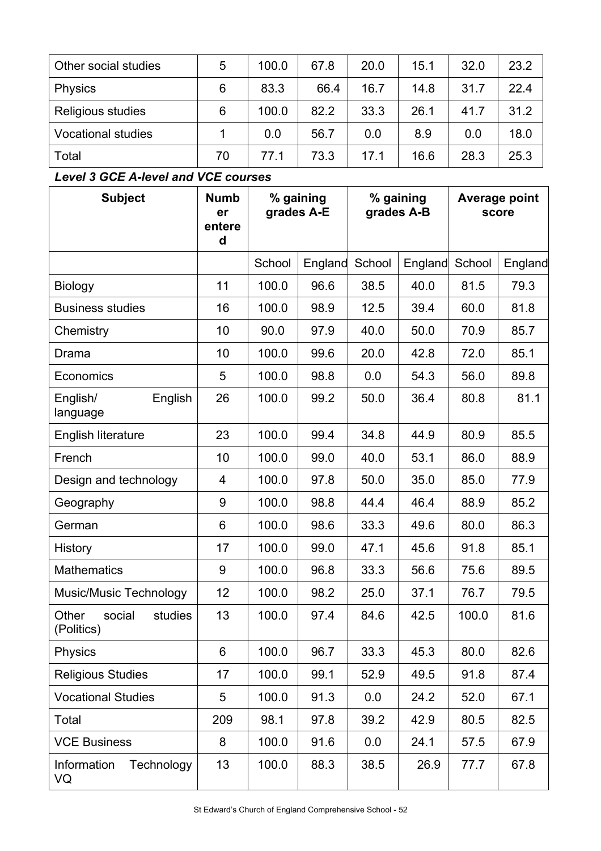| Other social studies      | 5  | 100.0 | 67.8 | 20.0 | 15.1 | 32.0 | 23.2 |
|---------------------------|----|-------|------|------|------|------|------|
| <b>Physics</b>            | 6  | 83.3  | 66.4 | 16.7 | 14.8 | 31.7 | 22.4 |
| Religious studies         | 6  | 100.0 | 82.2 | 33.3 | 26.1 | 41.7 | 31.2 |
| <b>Vocational studies</b> |    | 0.0   | 56.7 | 0.0  | 8.9  | 0.0  | 18.0 |
| Total                     | 70 | 77.1  | 73.3 | 17.1 | 16.6 | 28.3 | 25.3 |

# *Level 3 GCE A-level and VCE courses*

| <b>Subject</b>                           | <b>Numb</b><br>er<br>entere<br>d | % gaining<br>grades A-E |         |        |         | % gaining<br>grades A-B |         | Average point<br>score |  |
|------------------------------------------|----------------------------------|-------------------------|---------|--------|---------|-------------------------|---------|------------------------|--|
|                                          |                                  | School                  | England | School | England | School                  | England |                        |  |
| <b>Biology</b>                           | 11                               | 100.0                   | 96.6    | 38.5   | 40.0    | 81.5                    | 79.3    |                        |  |
| <b>Business studies</b>                  | 16                               | 100.0                   | 98.9    | 12.5   | 39.4    | 60.0                    | 81.8    |                        |  |
| Chemistry                                | 10                               | 90.0                    | 97.9    | 40.0   | 50.0    | 70.9                    | 85.7    |                        |  |
| Drama                                    | 10                               | 100.0                   | 99.6    | 20.0   | 42.8    | 72.0                    | 85.1    |                        |  |
| Economics                                | 5                                | 100.0                   | 98.8    | 0.0    | 54.3    | 56.0                    | 89.8    |                        |  |
| English/<br>English<br>language          | 26                               | 100.0                   | 99.2    | 50.0   | 36.4    | 80.8                    | 81.1    |                        |  |
| English literature                       | 23                               | 100.0                   | 99.4    | 34.8   | 44.9    | 80.9                    | 85.5    |                        |  |
| French                                   | 10                               | 100.0                   | 99.0    | 40.0   | 53.1    | 86.0                    | 88.9    |                        |  |
| Design and technology                    | 4                                | 100.0                   | 97.8    | 50.0   | 35.0    | 85.0                    | 77.9    |                        |  |
| Geography                                | 9                                | 100.0                   | 98.8    | 44.4   | 46.4    | 88.9                    | 85.2    |                        |  |
| German                                   | 6                                | 100.0                   | 98.6    | 33.3   | 49.6    | 80.0                    | 86.3    |                        |  |
| History                                  | 17                               | 100.0                   | 99.0    | 47.1   | 45.6    | 91.8                    | 85.1    |                        |  |
| <b>Mathematics</b>                       | 9                                | 100.0                   | 96.8    | 33.3   | 56.6    | 75.6                    | 89.5    |                        |  |
| <b>Music/Music Technology</b>            | 12                               | 100.0                   | 98.2    | 25.0   | 37.1    | 76.7                    | 79.5    |                        |  |
| Other<br>studies<br>social<br>(Politics) | 13                               | 100.0                   | 97.4    | 84.6   | 42.5    | 100.0                   | 81.6    |                        |  |
| <b>Physics</b>                           | 6                                | 100.0                   | 96.7    | 33.3   | 45.3    | 80.0                    | 82.6    |                        |  |
| <b>Religious Studies</b>                 | 17                               | 100.0                   | 99.1    | 52.9   | 49.5    | 91.8                    | 87.4    |                        |  |
| <b>Vocational Studies</b>                | 5                                | 100.0                   | 91.3    | 0.0    | 24.2    | 52.0                    | 67.1    |                        |  |
| Total                                    | 209                              | 98.1                    | 97.8    | 39.2   | 42.9    | 80.5                    | 82.5    |                        |  |
| <b>VCE Business</b>                      | 8                                | 100.0                   | 91.6    | 0.0    | 24.1    | 57.5                    | 67.9    |                        |  |
| Technology<br>Information<br>VQ          | 13                               | 100.0                   | 88.3    | 38.5   | 26.9    | 77.7                    | 67.8    |                        |  |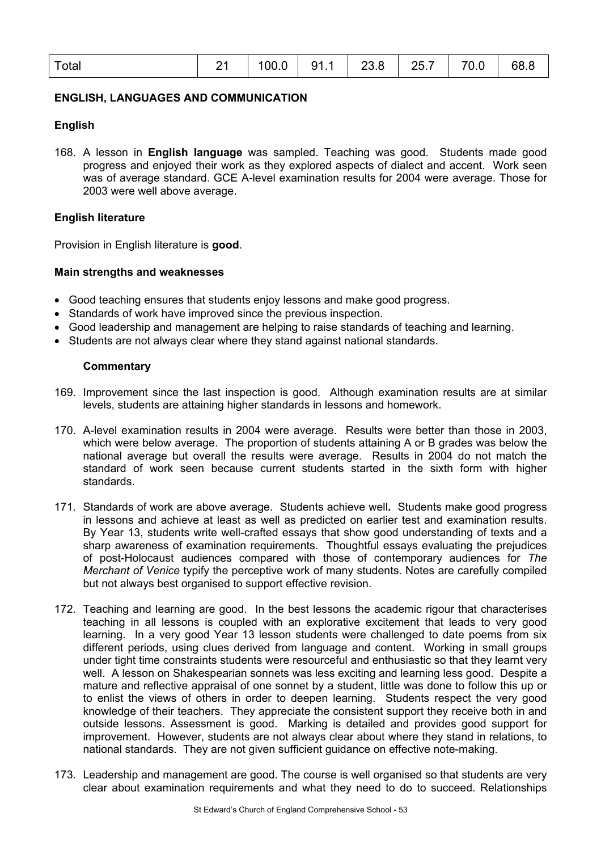| Total | 21   100.0   91.1   23.8   25.7   70.0   68.8 |  |  |  |
|-------|-----------------------------------------------|--|--|--|
|       |                                               |  |  |  |

# **ENGLISH, LANGUAGES AND COMMUNICATION**

#### **English**

168. A lesson in **English language** was sampled. Teaching was good. Students made good progress and enjoyed their work as they explored aspects of dialect and accent. Work seen was of average standard. GCE A-level examination results for 2004 were average. Those for 2003 were well above average.

## **English literature**

Provision in English literature is **good**.

#### **Main strengths and weaknesses**

- Good teaching ensures that students enjoy lessons and make good progress.
- Standards of work have improved since the previous inspection.
- Good leadership and management are helping to raise standards of teaching and learning.
- Students are not always clear where they stand against national standards.

- 169. Improvement since the last inspection is good. Although examination results are at similar levels, students are attaining higher standards in lessons and homework.
- 170. A-level examination results in 2004 were average. Results were better than those in 2003, which were below average. The proportion of students attaining A or B grades was below the national average but overall the results were average. Results in 2004 do not match the standard of work seen because current students started in the sixth form with higher standards.
- 171. Standards of work are above average. Students achieve well**.** Students make good progress in lessons and achieve at least as well as predicted on earlier test and examination results. By Year 13, students write well-crafted essays that show good understanding of texts and a sharp awareness of examination requirements. Thoughtful essays evaluating the prejudices of post-Holocaust audiences compared with those of contemporary audiences for *The Merchant of Venice* typify the perceptive work of many students. Notes are carefully compiled but not always best organised to support effective revision.
- 172. Teaching and learning are good. In the best lessons the academic rigour that characterises teaching in all lessons is coupled with an explorative excitement that leads to very good learning. In a very good Year 13 lesson students were challenged to date poems from six different periods, using clues derived from language and content. Working in small groups under tight time constraints students were resourceful and enthusiastic so that they learnt very well. A lesson on Shakespearian sonnets was less exciting and learning less good. Despite a mature and reflective appraisal of one sonnet by a student, little was done to follow this up or to enlist the views of others in order to deepen learning. Students respect the very good knowledge of their teachers. They appreciate the consistent support they receive both in and outside lessons. Assessment is good.Marking is detailed and provides good support for improvement. However, students are not always clear about where they stand in relations, to national standards. They are not given sufficient guidance on effective note-making.
- 173. Leadership and management are good. The course is well organised so that students are very clear about examination requirements and what they need to do to succeed. Relationships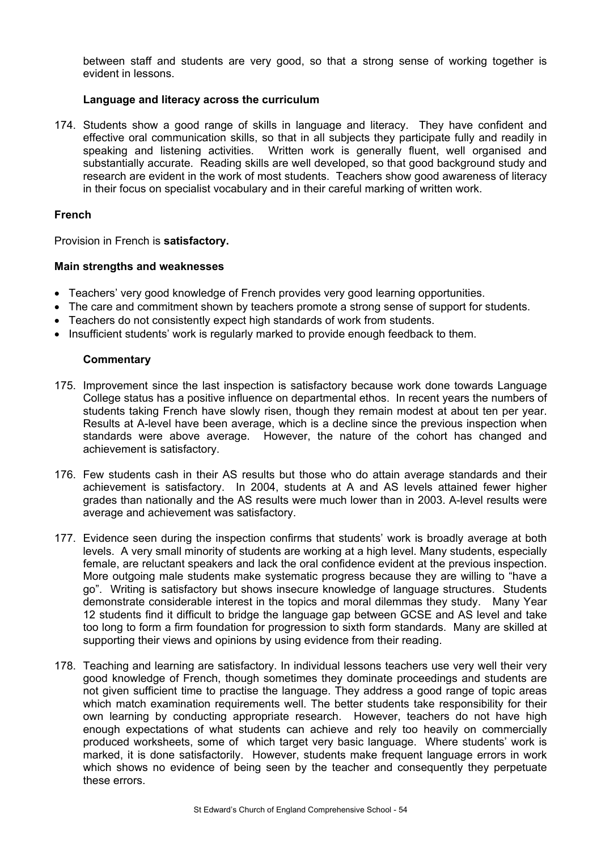between staff and students are very good, so that a strong sense of working together is evident in lessons.

## **Language and literacy across the curriculum**

174. Students show a good range of skills in language and literacy. They have confident and effective oral communication skills, so that in all subjects they participate fully and readily in speaking and listening activities. Written work is generally fluent, well organised and substantially accurate. Reading skills are well developed, so that good background study and research are evident in the work of most students. Teachers show good awareness of literacy in their focus on specialist vocabulary and in their careful marking of written work.

#### **French**

Provision in French is **satisfactory.**

#### **Main strengths and weaknesses**

- Teachers' very good knowledge of French provides very good learning opportunities.
- The care and commitment shown by teachers promote a strong sense of support for students.
- Teachers do not consistently expect high standards of work from students.
- Insufficient students' work is regularly marked to provide enough feedback to them.

- 175. Improvement since the last inspection is satisfactory because work done towards Language College status has a positive influence on departmental ethos. In recent years the numbers of students taking French have slowly risen, though they remain modest at about ten per year. Results at A-level have been average, which is a decline since the previous inspection when standards were above average. However, the nature of the cohort has changed and achievement is satisfactory.
- 176. Few students cash in their AS results but those who do attain average standards and their achievement is satisfactory. In 2004, students at A and AS levels attained fewer higher grades than nationally and the AS results were much lower than in 2003. A-level results were average and achievement was satisfactory.
- 177. Evidence seen during the inspection confirms that students' work is broadly average at both levels. A very small minority of students are working at a high level. Many students, especially female, are reluctant speakers and lack the oral confidence evident at the previous inspection. More outgoing male students make systematic progress because they are willing to "have a go". Writing is satisfactory but shows insecure knowledge of language structures. Students demonstrate considerable interest in the topics and moral dilemmas they study. Many Year 12 students find it difficult to bridge the language gap between GCSE and AS level and take too long to form a firm foundation for progression to sixth form standards. Many are skilled at supporting their views and opinions by using evidence from their reading.
- 178. Teaching and learning are satisfactory. In individual lessons teachers use very well their very good knowledge of French, though sometimes they dominate proceedings and students are not given sufficient time to practise the language. They address a good range of topic areas which match examination requirements well. The better students take responsibility for their own learning by conducting appropriate research. However, teachers do not have high enough expectations of what students can achieve and rely too heavily on commercially produced worksheets, some of which target very basic language. Where students' work is marked, it is done satisfactorily. However, students make frequent language errors in work which shows no evidence of being seen by the teacher and consequently they perpetuate these errors.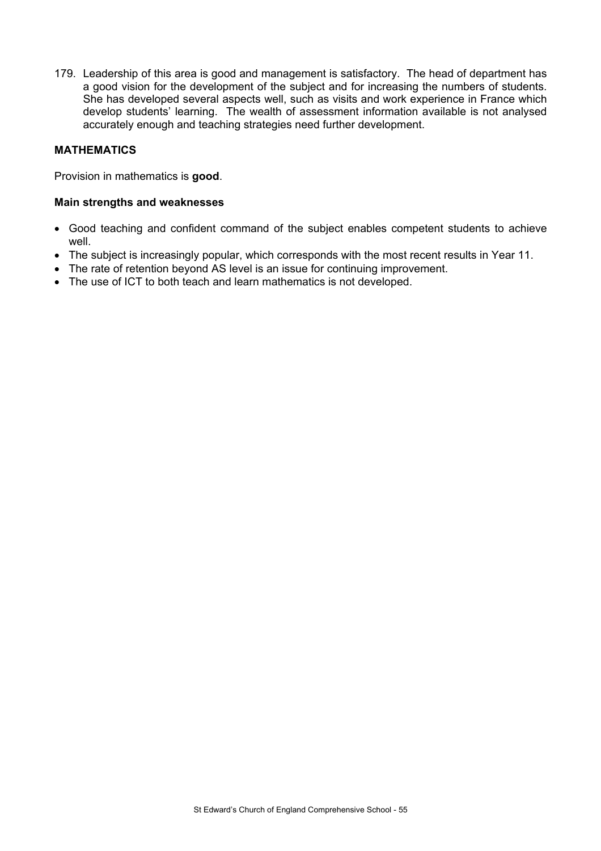179. Leadership of this area is good and management is satisfactory. The head of department has a good vision for the development of the subject and for increasing the numbers of students. She has developed several aspects well, such as visits and work experience in France which develop students' learning. The wealth of assessment information available is not analysed accurately enough and teaching strategies need further development.

## **MATHEMATICS**

Provision in mathematics is **good**.

#### **Main strengths and weaknesses**

- Good teaching and confident command of the subject enables competent students to achieve well.
- The subject is increasingly popular, which corresponds with the most recent results in Year 11.
- The rate of retention beyond AS level is an issue for continuing improvement.
- The use of ICT to both teach and learn mathematics is not developed.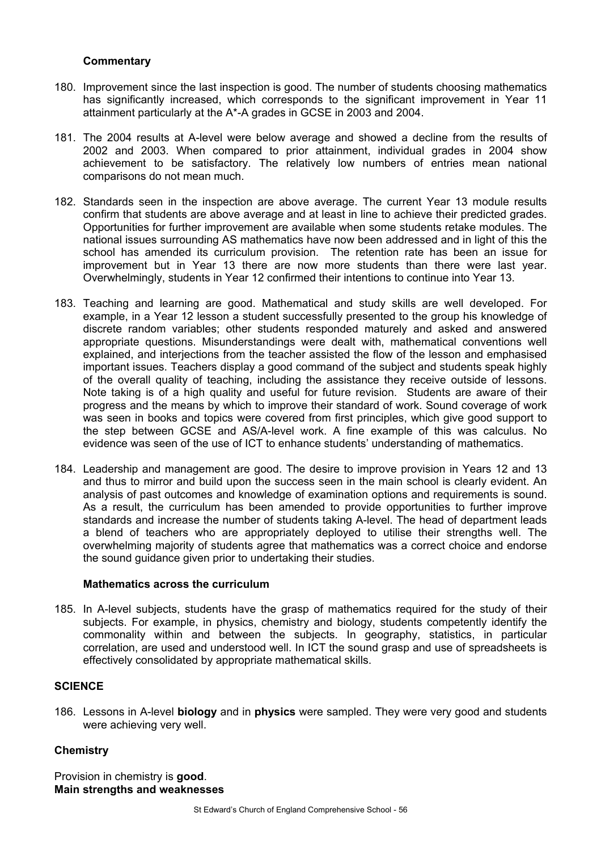## **Commentary**

- 180. Improvement since the last inspection is good. The number of students choosing mathematics has significantly increased, which corresponds to the significant improvement in Year 11 attainment particularly at the A\*-A grades in GCSE in 2003 and 2004.
- 181. The 2004 results at A-level were below average and showed a decline from the results of 2002 and 2003. When compared to prior attainment, individual grades in 2004 show achievement to be satisfactory. The relatively low numbers of entries mean national comparisons do not mean much.
- 182. Standards seen in the inspection are above average. The current Year 13 module results confirm that students are above average and at least in line to achieve their predicted grades. Opportunities for further improvement are available when some students retake modules. The national issues surrounding AS mathematics have now been addressed and in light of this the school has amended its curriculum provision. The retention rate has been an issue for improvement but in Year 13 there are now more students than there were last year. Overwhelmingly, students in Year 12 confirmed their intentions to continue into Year 13.
- 183. Teaching and learning are good. Mathematical and study skills are well developed. For example, in a Year 12 lesson a student successfully presented to the group his knowledge of discrete random variables; other students responded maturely and asked and answered appropriate questions. Misunderstandings were dealt with, mathematical conventions well explained, and interjections from the teacher assisted the flow of the lesson and emphasised important issues. Teachers display a good command of the subject and students speak highly of the overall quality of teaching, including the assistance they receive outside of lessons. Note taking is of a high quality and useful for future revision. Students are aware of their progress and the means by which to improve their standard of work. Sound coverage of work was seen in books and topics were covered from first principles, which give good support to the step between GCSE and AS/A-level work. A fine example of this was calculus. No evidence was seen of the use of ICT to enhance students' understanding of mathematics.
- 184. Leadership and management are good. The desire to improve provision in Years 12 and 13 and thus to mirror and build upon the success seen in the main school is clearly evident. An analysis of past outcomes and knowledge of examination options and requirements is sound. As a result, the curriculum has been amended to provide opportunities to further improve standards and increase the number of students taking A-level. The head of department leads a blend of teachers who are appropriately deployed to utilise their strengths well. The overwhelming majority of students agree that mathematics was a correct choice and endorse the sound guidance given prior to undertaking their studies.

#### **Mathematics across the curriculum**

185. In A-level subjects, students have the grasp of mathematics required for the study of their subjects. For example, in physics, chemistry and biology, students competently identify the commonality within and between the subjects. In geography, statistics, in particular correlation, are used and understood well. In ICT the sound grasp and use of spreadsheets is effectively consolidated by appropriate mathematical skills.

#### **SCIENCE**

186. Lessons in A-level **biology** and in **physics** were sampled. They were very good and students were achieving very well.

#### **Chemistry**

Provision in chemistry is **good**. **Main strengths and weaknesses**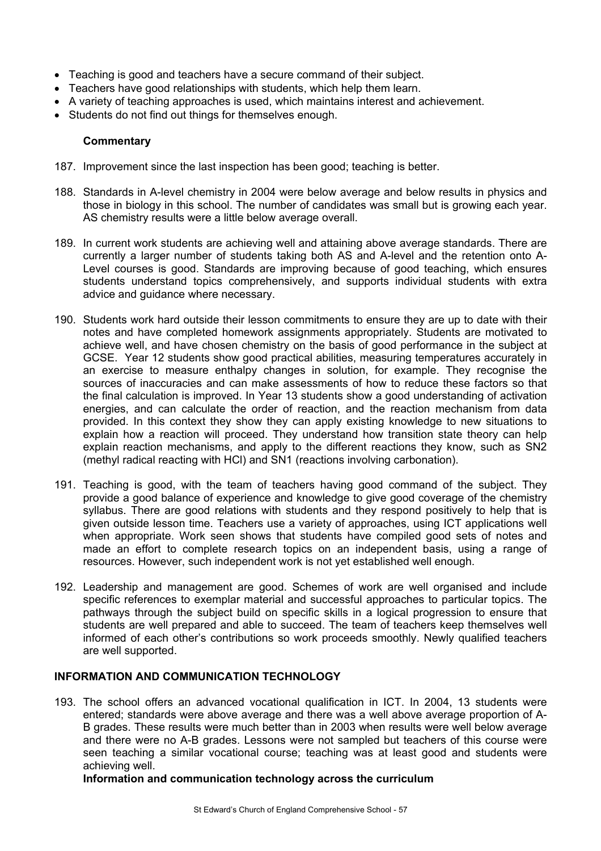- Teaching is good and teachers have a secure command of their subject.
- Teachers have good relationships with students, which help them learn.
- A variety of teaching approaches is used, which maintains interest and achievement.
- Students do not find out things for themselves enough.

#### **Commentary**

- 187. Improvement since the last inspection has been good; teaching is better.
- 188. Standards in A-level chemistry in 2004 were below average and below results in physics and those in biology in this school. The number of candidates was small but is growing each year. AS chemistry results were a little below average overall.
- 189. In current work students are achieving well and attaining above average standards. There are currently a larger number of students taking both AS and A-level and the retention onto A-Level courses is good. Standards are improving because of good teaching, which ensures students understand topics comprehensively, and supports individual students with extra advice and guidance where necessary.
- 190. Students work hard outside their lesson commitments to ensure they are up to date with their notes and have completed homework assignments appropriately. Students are motivated to achieve well, and have chosen chemistry on the basis of good performance in the subject at GCSE. Year 12 students show good practical abilities, measuring temperatures accurately in an exercise to measure enthalpy changes in solution, for example. They recognise the sources of inaccuracies and can make assessments of how to reduce these factors so that the final calculation is improved. In Year 13 students show a good understanding of activation energies, and can calculate the order of reaction, and the reaction mechanism from data provided. In this context they show they can apply existing knowledge to new situations to explain how a reaction will proceed. They understand how transition state theory can help explain reaction mechanisms, and apply to the different reactions they know, such as SN2 (methyl radical reacting with HCl) and SN1 (reactions involving carbonation).
- 191. Teaching is good, with the team of teachers having good command of the subject. They provide a good balance of experience and knowledge to give good coverage of the chemistry syllabus. There are good relations with students and they respond positively to help that is given outside lesson time. Teachers use a variety of approaches, using ICT applications well when appropriate. Work seen shows that students have compiled good sets of notes and made an effort to complete research topics on an independent basis, using a range of resources. However, such independent work is not yet established well enough.
- 192. Leadership and management are good. Schemes of work are well organised and include specific references to exemplar material and successful approaches to particular topics. The pathways through the subject build on specific skills in a logical progression to ensure that students are well prepared and able to succeed. The team of teachers keep themselves well informed of each other's contributions so work proceeds smoothly. Newly qualified teachers are well supported.

# **INFORMATION AND COMMUNICATION TECHNOLOGY**

193. The school offers an advanced vocational qualification in ICT. In 2004, 13 students were entered; standards were above average and there was a well above average proportion of A-B grades. These results were much better than in 2003 when results were well below average and there were no A-B grades. Lessons were not sampled but teachers of this course were seen teaching a similar vocational course; teaching was at least good and students were achieving well.

#### **Information and communication technology across the curriculum**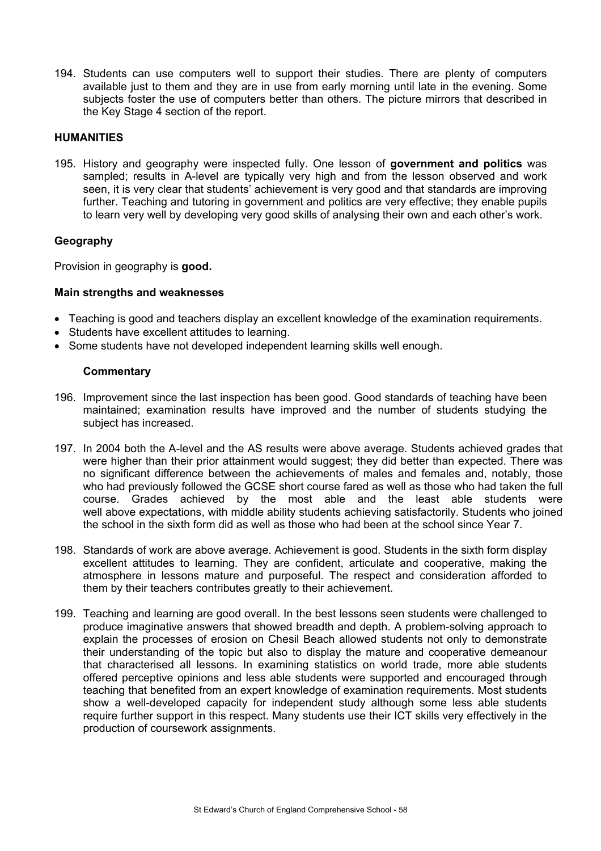194. Students can use computers well to support their studies. There are plenty of computers available just to them and they are in use from early morning until late in the evening. Some subjects foster the use of computers better than others. The picture mirrors that described in the Key Stage 4 section of the report.

## **HUMANITIES**

195. History and geography were inspected fully. One lesson of **government and politics** was sampled; results in A-level are typically very high and from the lesson observed and work seen, it is very clear that students' achievement is very good and that standards are improving further. Teaching and tutoring in government and politics are very effective; they enable pupils to learn very well by developing very good skills of analysing their own and each other's work.

#### **Geography**

Provision in geography is **good.**

#### **Main strengths and weaknesses**

- Teaching is good and teachers display an excellent knowledge of the examination requirements.
- Students have excellent attitudes to learning.
- Some students have not developed independent learning skills well enough.

- 196. Improvement since the last inspection has been good. Good standards of teaching have been maintained; examination results have improved and the number of students studying the subject has increased.
- 197. In 2004 both the A-level and the AS results were above average. Students achieved grades that were higher than their prior attainment would suggest; they did better than expected. There was no significant difference between the achievements of males and females and, notably, those who had previously followed the GCSE short course fared as well as those who had taken the full course. Grades achieved by the most able and the least able students were well above expectations, with middle ability students achieving satisfactorily. Students who joined the school in the sixth form did as well as those who had been at the school since Year 7.
- 198. Standards of work are above average. Achievement is good. Students in the sixth form display excellent attitudes to learning. They are confident, articulate and cooperative, making the atmosphere in lessons mature and purposeful. The respect and consideration afforded to them by their teachers contributes greatly to their achievement.
- 199. Teaching and learning are good overall. In the best lessons seen students were challenged to produce imaginative answers that showed breadth and depth. A problem-solving approach to explain the processes of erosion on Chesil Beach allowed students not only to demonstrate their understanding of the topic but also to display the mature and cooperative demeanour that characterised all lessons. In examining statistics on world trade, more able students offered perceptive opinions and less able students were supported and encouraged through teaching that benefited from an expert knowledge of examination requirements. Most students show a well-developed capacity for independent study although some less able students require further support in this respect. Many students use their ICT skills very effectively in the production of coursework assignments.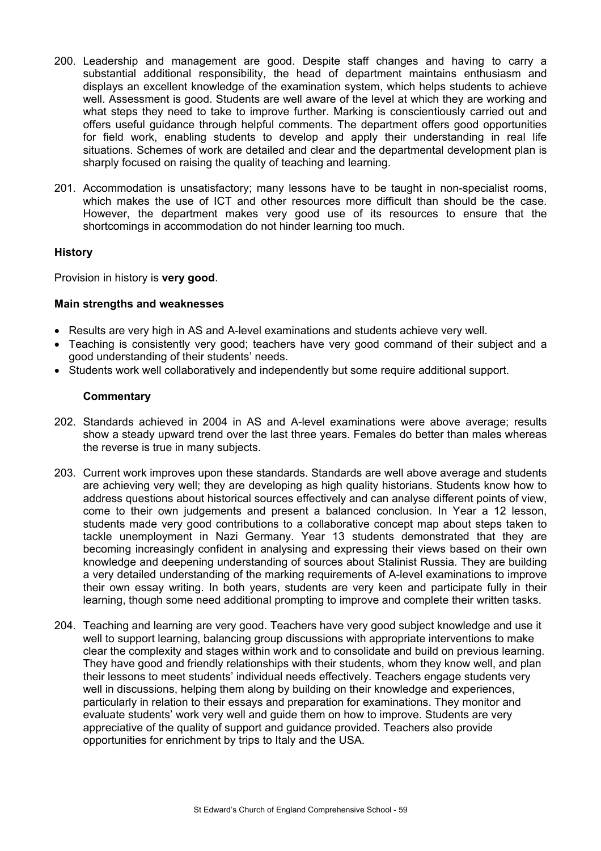- 200. Leadership and management are good. Despite staff changes and having to carry a substantial additional responsibility, the head of department maintains enthusiasm and displays an excellent knowledge of the examination system, which helps students to achieve well. Assessment is good. Students are well aware of the level at which they are working and what steps they need to take to improve further. Marking is conscientiously carried out and offers useful guidance through helpful comments. The department offers good opportunities for field work, enabling students to develop and apply their understanding in real life situations. Schemes of work are detailed and clear and the departmental development plan is sharply focused on raising the quality of teaching and learning.
- 201. Accommodation is unsatisfactory; many lessons have to be taught in non-specialist rooms, which makes the use of ICT and other resources more difficult than should be the case. However, the department makes very good use of its resources to ensure that the shortcomings in accommodation do not hinder learning too much.

# **History**

Provision in history is **very good**.

# **Main strengths and weaknesses**

- Results are very high in AS and A-level examinations and students achieve very well.
- Teaching is consistently very good; teachers have very good command of their subject and a good understanding of their students' needs.
- Students work well collaboratively and independently but some require additional support.

- 202. Standards achieved in 2004 in AS and A-level examinations were above average; results show a steady upward trend over the last three years. Females do better than males whereas the reverse is true in many subjects.
- 203. Current work improves upon these standards. Standards are well above average and students are achieving very well; they are developing as high quality historians. Students know how to address questions about historical sources effectively and can analyse different points of view, come to their own judgements and present a balanced conclusion. In Year a 12 lesson, students made very good contributions to a collaborative concept map about steps taken to tackle unemployment in Nazi Germany. Year 13 students demonstrated that they are becoming increasingly confident in analysing and expressing their views based on their own knowledge and deepening understanding of sources about Stalinist Russia. They are building a very detailed understanding of the marking requirements of A-level examinations to improve their own essay writing. In both years, students are very keen and participate fully in their learning, though some need additional prompting to improve and complete their written tasks.
- 204. Teaching and learning are very good. Teachers have very good subject knowledge and use it well to support learning, balancing group discussions with appropriate interventions to make clear the complexity and stages within work and to consolidate and build on previous learning. They have good and friendly relationships with their students, whom they know well, and plan their lessons to meet students' individual needs effectively. Teachers engage students very well in discussions, helping them along by building on their knowledge and experiences, particularly in relation to their essays and preparation for examinations. They monitor and evaluate students' work very well and guide them on how to improve. Students are very appreciative of the quality of support and guidance provided. Teachers also provide opportunities for enrichment by trips to Italy and the USA.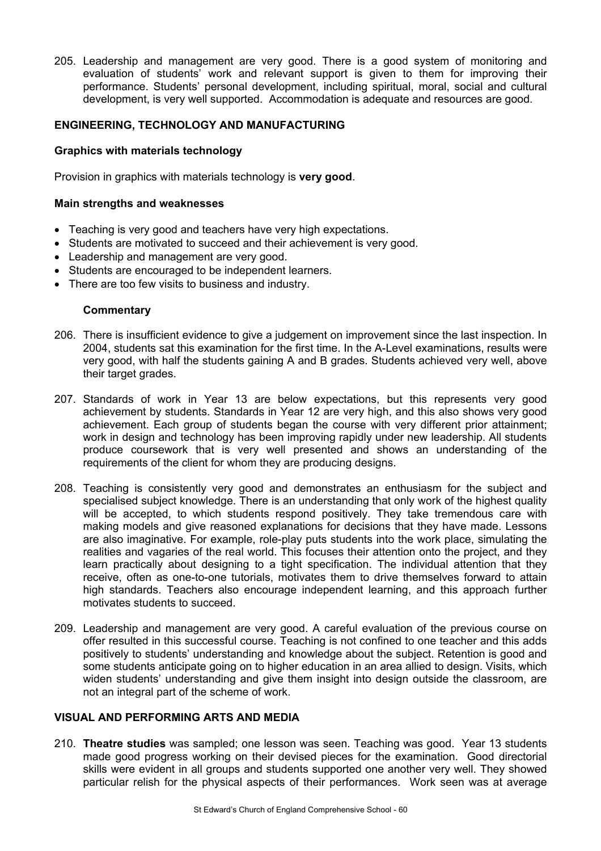205. Leadership and management are very good. There is a good system of monitoring and evaluation of students' work and relevant support is given to them for improving their performance. Students' personal development, including spiritual, moral, social and cultural development, is very well supported. Accommodation is adequate and resources are good.

## **ENGINEERING, TECHNOLOGY AND MANUFACTURING**

#### **Graphics with materials technology**

Provision in graphics with materials technology is **very good**.

#### **Main strengths and weaknesses**

- Teaching is very good and teachers have very high expectations.
- Students are motivated to succeed and their achievement is very good.
- Leadership and management are very good.
- Students are encouraged to be independent learners.
- There are too few visits to business and industry.

#### **Commentary**

- 206. There is insufficient evidence to give a judgement on improvement since the last inspection. In 2004, students sat this examination for the first time. In the A-Level examinations, results were very good, with half the students gaining A and B grades. Students achieved very well, above their target grades.
- 207. Standards of work in Year 13 are below expectations, but this represents very good achievement by students. Standards in Year 12 are very high, and this also shows very good achievement. Each group of students began the course with very different prior attainment; work in design and technology has been improving rapidly under new leadership. All students produce coursework that is very well presented and shows an understanding of the requirements of the client for whom they are producing designs.
- 208. Teaching is consistently very good and demonstrates an enthusiasm for the subject and specialised subject knowledge. There is an understanding that only work of the highest quality will be accepted, to which students respond positively. They take tremendous care with making models and give reasoned explanations for decisions that they have made. Lessons are also imaginative. For example, role-play puts students into the work place, simulating the realities and vagaries of the real world. This focuses their attention onto the project, and they learn practically about designing to a tight specification. The individual attention that they receive, often as one-to-one tutorials, motivates them to drive themselves forward to attain high standards. Teachers also encourage independent learning, and this approach further motivates students to succeed.
- 209. Leadership and management are very good. A careful evaluation of the previous course on offer resulted in this successful course. Teaching is not confined to one teacher and this adds positively to students' understanding and knowledge about the subject. Retention is good and some students anticipate going on to higher education in an area allied to design. Visits, which widen students' understanding and give them insight into design outside the classroom, are not an integral part of the scheme of work.

# **VISUAL AND PERFORMING ARTS AND MEDIA**

210. **Theatre studies** was sampled; one lesson was seen. Teaching was good. Year 13 students made good progress working on their devised pieces for the examination. Good directorial skills were evident in all groups and students supported one another very well. They showed particular relish for the physical aspects of their performances. Work seen was at average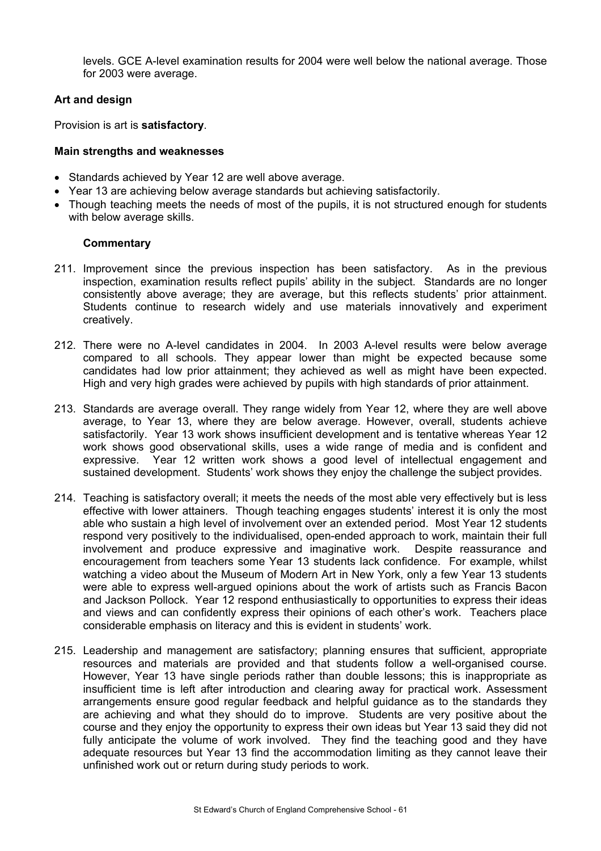levels. GCE A-level examination results for 2004 were well below the national average. Those for 2003 were average.

# **Art and design**

Provision is art is **satisfactory**.

#### **Main strengths and weaknesses**

- Standards achieved by Year 12 are well above average.
- Year 13 are achieving below average standards but achieving satisfactorily.
- Though teaching meets the needs of most of the pupils, it is not structured enough for students with below average skills.

- 211. Improvement since the previous inspection has been satisfactory. As in the previous inspection, examination results reflect pupils' ability in the subject. Standards are no longer consistently above average; they are average, but this reflects students' prior attainment. Students continue to research widely and use materials innovatively and experiment creatively.
- 212. There were no A-level candidates in 2004. In 2003 A-level results were below average compared to all schools. They appear lower than might be expected because some candidates had low prior attainment; they achieved as well as might have been expected. High and very high grades were achieved by pupils with high standards of prior attainment.
- 213. Standards are average overall. They range widely from Year 12, where they are well above average, to Year 13, where they are below average. However, overall, students achieve satisfactorily. Year 13 work shows insufficient development and is tentative whereas Year 12 work shows good observational skills, uses a wide range of media and is confident and expressive. Year 12 written work shows a good level of intellectual engagement and sustained development. Students' work shows they enjoy the challenge the subject provides.
- 214. Teaching is satisfactory overall; it meets the needs of the most able very effectively but is less effective with lower attainers. Though teaching engages students' interest it is only the most able who sustain a high level of involvement over an extended period. Most Year 12 students respond very positively to the individualised, open-ended approach to work, maintain their full involvement and produce expressive and imaginative work. Despite reassurance and encouragement from teachers some Year 13 students lack confidence. For example, whilst watching a video about the Museum of Modern Art in New York, only a few Year 13 students were able to express well-argued opinions about the work of artists such as Francis Bacon and Jackson Pollock. Year 12 respond enthusiastically to opportunities to express their ideas and views and can confidently express their opinions of each other's work. Teachers place considerable emphasis on literacy and this is evident in students' work.
- 215. Leadership and management are satisfactory; planning ensures that sufficient, appropriate resources and materials are provided and that students follow a well-organised course. However, Year 13 have single periods rather than double lessons; this is inappropriate as insufficient time is left after introduction and clearing away for practical work. Assessment arrangements ensure good regular feedback and helpful guidance as to the standards they are achieving and what they should do to improve. Students are very positive about the course and they enjoy the opportunity to express their own ideas but Year 13 said they did not fully anticipate the volume of work involved. They find the teaching good and they have adequate resources but Year 13 find the accommodation limiting as they cannot leave their unfinished work out or return during study periods to work.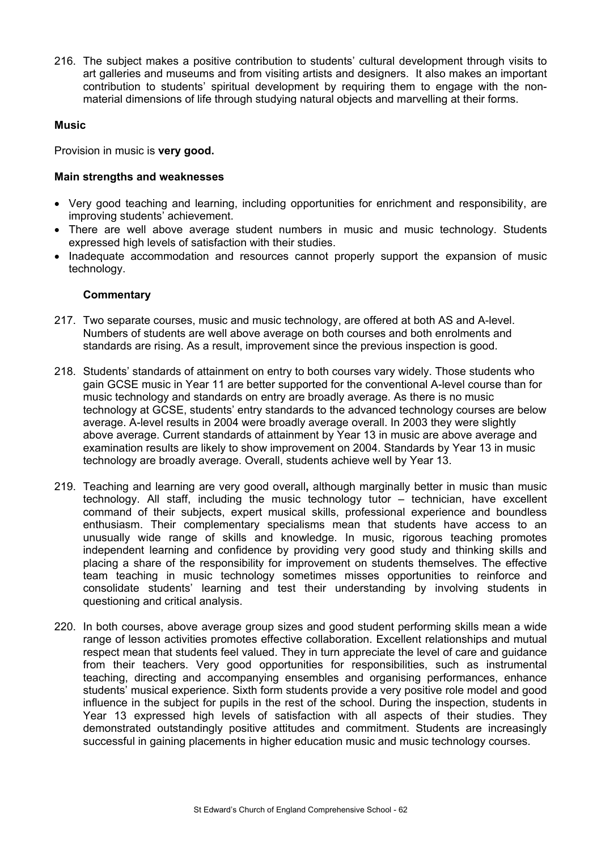216. The subject makes a positive contribution to students' cultural development through visits to art galleries and museums and from visiting artists and designers. It also makes an important contribution to students' spiritual development by requiring them to engage with the nonmaterial dimensions of life through studying natural objects and marvelling at their forms.

#### **Music**

Provision in music is **very good.** 

## **Main strengths and weaknesses**

- Very good teaching and learning, including opportunities for enrichment and responsibility, are improving students' achievement.
- There are well above average student numbers in music and music technology. Students expressed high levels of satisfaction with their studies.
- Inadequate accommodation and resources cannot properly support the expansion of music technology.

- 217. Two separate courses, music and music technology, are offered at both AS and A-level. Numbers of students are well above average on both courses and both enrolments and standards are rising. As a result, improvement since the previous inspection is good.
- 218. Students' standards of attainment on entry to both courses vary widely. Those students who gain GCSE music in Year 11 are better supported for the conventional A-level course than for music technology and standards on entry are broadly average. As there is no music technology at GCSE, students' entry standards to the advanced technology courses are below average. A-level results in 2004 were broadly average overall. In 2003 they were slightly above average. Current standards of attainment by Year 13 in music are above average and examination results are likely to show improvement on 2004. Standards by Year 13 in music technology are broadly average. Overall, students achieve well by Year 13.
- 219. Teaching and learning are very good overall**,** although marginally better in music than music technology. All staff, including the music technology tutor – technician, have excellent command of their subjects, expert musical skills, professional experience and boundless enthusiasm. Their complementary specialisms mean that students have access to an unusually wide range of skills and knowledge. In music, rigorous teaching promotes independent learning and confidence by providing very good study and thinking skills and placing a share of the responsibility for improvement on students themselves. The effective team teaching in music technology sometimes misses opportunities to reinforce and consolidate students' learning and test their understanding by involving students in questioning and critical analysis.
- 220. In both courses, above average group sizes and good student performing skills mean a wide range of lesson activities promotes effective collaboration. Excellent relationships and mutual respect mean that students feel valued. They in turn appreciate the level of care and guidance from their teachers. Very good opportunities for responsibilities, such as instrumental teaching, directing and accompanying ensembles and organising performances, enhance students' musical experience. Sixth form students provide a very positive role model and good influence in the subject for pupils in the rest of the school. During the inspection, students in Year 13 expressed high levels of satisfaction with all aspects of their studies. They demonstrated outstandingly positive attitudes and commitment. Students are increasingly successful in gaining placements in higher education music and music technology courses.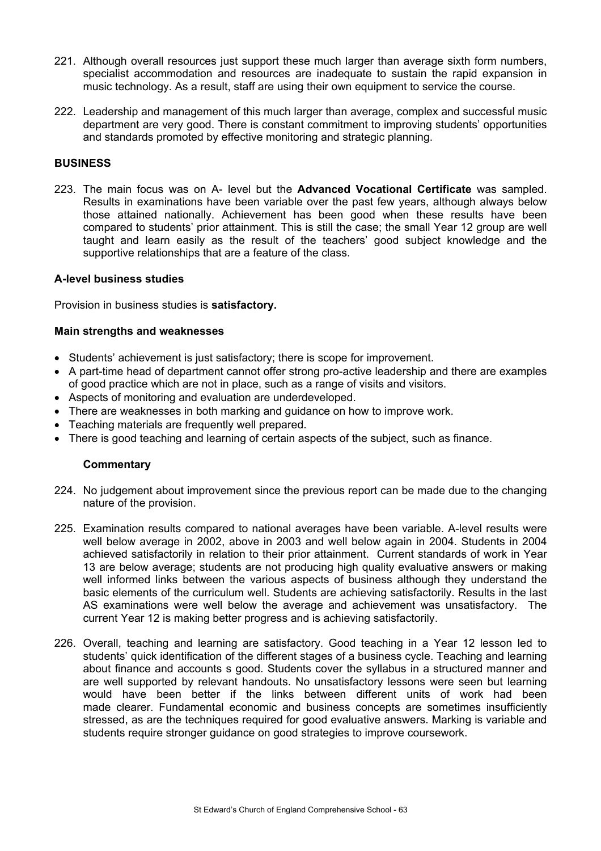- 221. Although overall resources just support these much larger than average sixth form numbers, specialist accommodation and resources are inadequate to sustain the rapid expansion in music technology. As a result, staff are using their own equipment to service the course.
- 222. Leadership and management of this much larger than average, complex and successful music department are very good. There is constant commitment to improving students' opportunities and standards promoted by effective monitoring and strategic planning.

## **BUSINESS**

223. The main focus was on A- level but the **Advanced Vocational Certificate** was sampled. Results in examinations have been variable over the past few years, although always below those attained nationally. Achievement has been good when these results have been compared to students' prior attainment. This is still the case; the small Year 12 group are well taught and learn easily as the result of the teachers' good subject knowledge and the supportive relationships that are a feature of the class.

#### **A-level business studies**

Provision in business studies is **satisfactory.** 

#### **Main strengths and weaknesses**

- Students' achievement is just satisfactory; there is scope for improvement.
- A part-time head of department cannot offer strong pro-active leadership and there are examples of good practice which are not in place, such as a range of visits and visitors.
- Aspects of monitoring and evaluation are underdeveloped.
- There are weaknesses in both marking and guidance on how to improve work.
- Teaching materials are frequently well prepared.
- There is good teaching and learning of certain aspects of the subject, such as finance.

- 224. No judgement about improvement since the previous report can be made due to the changing nature of the provision.
- 225. Examination results compared to national averages have been variable. A-level results were well below average in 2002, above in 2003 and well below again in 2004. Students in 2004 achieved satisfactorily in relation to their prior attainment. Current standards of work in Year 13 are below average; students are not producing high quality evaluative answers or making well informed links between the various aspects of business although they understand the basic elements of the curriculum well. Students are achieving satisfactorily. Results in the last AS examinations were well below the average and achievement was unsatisfactory. The current Year 12 is making better progress and is achieving satisfactorily.
- 226. Overall, teaching and learning are satisfactory. Good teaching in a Year 12 lesson led to students' quick identification of the different stages of a business cycle. Teaching and learning about finance and accounts s good. Students cover the syllabus in a structured manner and are well supported by relevant handouts. No unsatisfactory lessons were seen but learning would have been better if the links between different units of work had been made clearer. Fundamental economic and business concepts are sometimes insufficiently stressed, as are the techniques required for good evaluative answers. Marking is variable and students require stronger guidance on good strategies to improve coursework.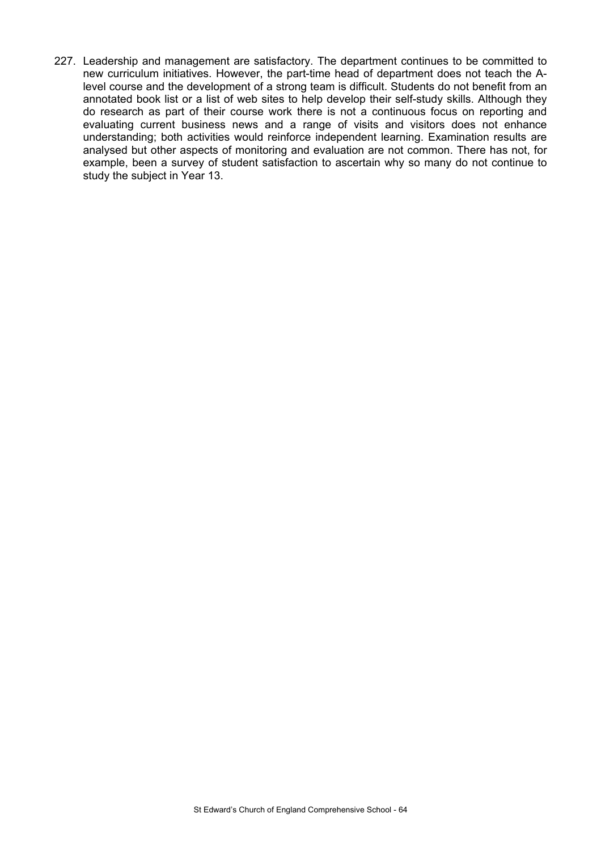227. Leadership and management are satisfactory. The department continues to be committed to new curriculum initiatives. However, the part-time head of department does not teach the Alevel course and the development of a strong team is difficult. Students do not benefit from an annotated book list or a list of web sites to help develop their self-study skills. Although they do research as part of their course work there is not a continuous focus on reporting and evaluating current business news and a range of visits and visitors does not enhance understanding; both activities would reinforce independent learning. Examination results are analysed but other aspects of monitoring and evaluation are not common. There has not, for example, been a survey of student satisfaction to ascertain why so many do not continue to study the subject in Year 13.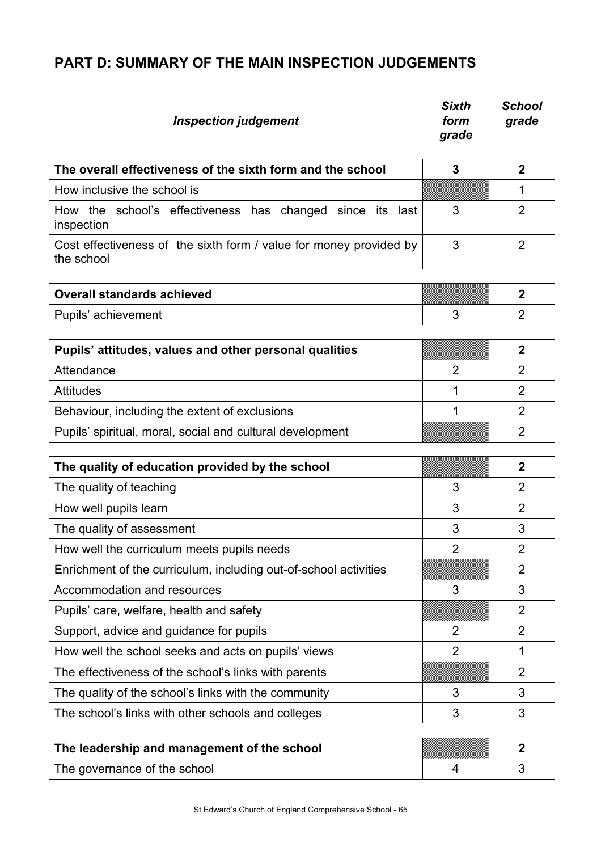# **PART D: SUMMARY OF THE MAIN INSPECTION JUDGEMENTS**

| <b>Inspection judgement</b>                                                      | <b>Sixth</b><br>form<br>grade | <b>School</b><br>grade |
|----------------------------------------------------------------------------------|-------------------------------|------------------------|
| The overall effectiveness of the sixth form and the school                       | 3                             | $\overline{2}$         |
| How inclusive the school is                                                      |                               | 1                      |
| How the school's effectiveness has changed since its<br>last<br>inspection       | 3                             | $\overline{2}$         |
| Cost effectiveness of the sixth form / value for money provided by<br>the school | 3                             | $\overline{2}$         |
| <b>Overall standards achieved</b>                                                |                               | $\overline{2}$         |
| Pupils' achievement                                                              | 3                             | $\overline{2}$         |
|                                                                                  |                               |                        |
| Pupils' attitudes, values and other personal qualities                           |                               | $\overline{2}$         |
| Attendance                                                                       | $\overline{2}$                | $\overline{2}$         |
| <b>Attitudes</b>                                                                 | 1                             | $\overline{2}$         |
| Behaviour, including the extent of exclusions                                    | 1                             | $\overline{2}$         |
| Pupils' spiritual, moral, social and cultural development                        |                               | $\overline{2}$         |
| The quality of education provided by the school                                  |                               | $\overline{2}$         |
| The quality of teaching                                                          | 3                             | $\overline{2}$         |
| How well pupils learn                                                            | 3                             | $\overline{2}$         |
| The quality of assessment                                                        | 3                             | 3                      |
| How well the curriculum meets pupils needs                                       | $\overline{2}$                | $\overline{2}$         |
| Enrichment of the curriculum, including out-of-school activities                 |                               | $\overline{2}$         |
| Accommodation and resources                                                      | 3                             | 3                      |
| Pupils' care, welfare, health and safety                                         |                               | $\overline{2}$         |
| Support, advice and guidance for pupils                                          | $\overline{2}$                | $\overline{2}$         |
| How well the school seeks and acts on pupils' views                              | $\overline{2}$                | 1                      |
| The effectiveness of the school's links with parents                             |                               | $\overline{2}$         |
| The quality of the school's links with the community                             | 3                             | 3                      |
| The school's links with other schools and colleges                               | 3                             | 3                      |
| The leadership and management of the school                                      |                               | 2                      |

| The leadership and management of the school |  |
|---------------------------------------------|--|
| The governance of the school                |  |